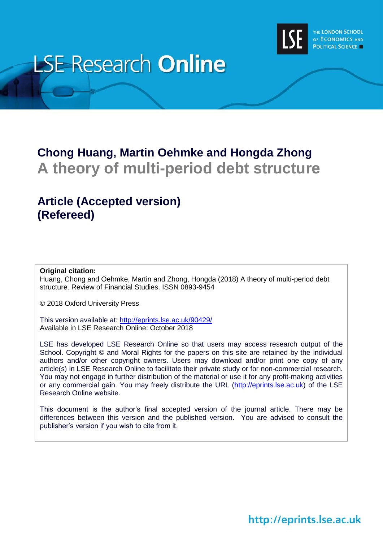

# **LSE Research Online**

# **Chong Huang, Martin Oehmke and Hongda Zhong A theory of multi-period debt structure**

# **Article (Accepted version) (Refereed)**

### **Original citation:**

Huang, Chong and Oehmke, Martin and Zhong, Hongda (2018) A theory of multi-period debt structure. Review of Financial Studies. ISSN 0893-9454

© 2018 Oxford University Press

This version available at:<http://eprints.lse.ac.uk/90429/> Available in LSE Research Online: October 2018

LSE has developed LSE Research Online so that users may access research output of the School. Copyright © and Moral Rights for the papers on this site are retained by the individual authors and/or other copyright owners. Users may download and/or print one copy of any article(s) in LSE Research Online to facilitate their private study or for non-commercial research. You may not engage in further distribution of the material or use it for any profit-making activities or any commercial gain. You may freely distribute the URL (http://eprints.lse.ac.uk) of the LSE Research Online website.

This document is the author's final accepted version of the journal article. There may be differences between this version and the published version. You are advised to consult the publisher's version if you wish to cite from it.

http://eprints.lse.ac.uk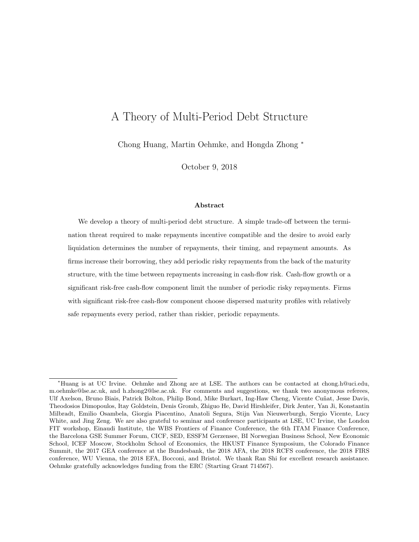# A Theory of Multi-Period Debt Structure

Chong Huang, Martin Oehmke, and Hongda Zhong <sup>∗</sup>

October 9, 2018

#### Abstract

We develop a theory of multi-period debt structure. A simple trade-off between the termination threat required to make repayments incentive compatible and the desire to avoid early liquidation determines the number of repayments, their timing, and repayment amounts. As firms increase their borrowing, they add periodic risky repayments from the back of the maturity structure, with the time between repayments increasing in cash-flow risk. Cash-flow growth or a significant risk-free cash-flow component limit the number of periodic risky repayments. Firms with significant risk-free cash-flow component choose dispersed maturity profiles with relatively safe repayments every period, rather than riskier, periodic repayments.

<sup>∗</sup>Huang is at UC Irvine. Oehmke and Zhong are at LSE. The authors can be contacted at chong.h@uci.edu, m.oehmke@lse.ac.uk, and h.zhong2@lse.ac.uk. For comments and suggestions, we thank two anonymous referees, Ulf Axelson, Bruno Biais, Patrick Bolton, Philip Bond, Mike Burkart, Ing-Haw Cheng, Vicente Cuñat, Jesse Davis, Theodosios Dimopoulos, Itay Goldstein, Denis Gromb, Zhiguo He, David Hirshleifer, Dirk Jenter, Yan Ji, Konstantin Milbradt, Emilio Osambela, Giorgia Piacentino, Anatoli Segura, Stijn Van Nieuwerburgh, Sergio Vicente, Lucy White, and Jing Zeng. We are also grateful to seminar and conference participants at LSE, UC Irvine, the London FIT workshop, Einaudi Institute, the WBS Frontiers of Finance Conference, the 6th ITAM Finance Conference, the Barcelona GSE Summer Forum, CICF, SED, ESSFM Gerzensee, BI Norwegian Business School, New Economic School, ICEF Moscow, Stockholm School of Economics, the HKUST Finance Symposium, the Colorado Finance Summit, the 2017 GEA conference at the Bundesbank, the 2018 AFA, the 2018 RCFS conference, the 2018 FIRS conference, WU Vienna, the 2018 EFA, Bocconi, and Bristol. We thank Ran Shi for excellent research assistance. Oehmke gratefully acknowledges funding from the ERC (Starting Grant 714567).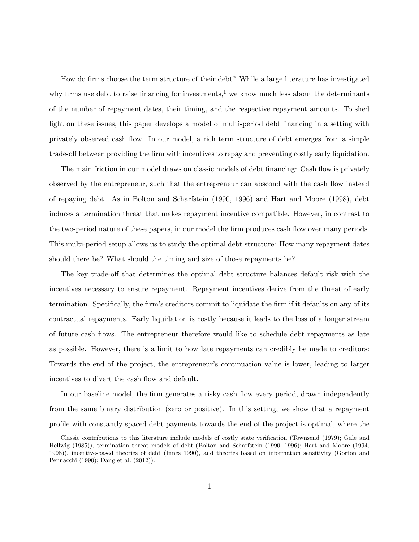How do firms choose the term structure of their debt? While a large literature has investigated why firms use debt to raise financing for investments,<sup>1</sup> we know much less about the determinants of the number of repayment dates, their timing, and the respective repayment amounts. To shed light on these issues, this paper develops a model of multi-period debt financing in a setting with privately observed cash flow. In our model, a rich term structure of debt emerges from a simple trade-off between providing the firm with incentives to repay and preventing costly early liquidation.

The main friction in our model draws on classic models of debt financing: Cash flow is privately observed by the entrepreneur, such that the entrepreneur can abscond with the cash flow instead of repaying debt. As in Bolton and Scharfstein (1990, 1996) and Hart and Moore (1998), debt induces a termination threat that makes repayment incentive compatible. However, in contrast to the two-period nature of these papers, in our model the firm produces cash flow over many periods. This multi-period setup allows us to study the optimal debt structure: How many repayment dates should there be? What should the timing and size of those repayments be?

The key trade-off that determines the optimal debt structure balances default risk with the incentives necessary to ensure repayment. Repayment incentives derive from the threat of early termination. Specifically, the firm's creditors commit to liquidate the firm if it defaults on any of its contractual repayments. Early liquidation is costly because it leads to the loss of a longer stream of future cash flows. The entrepreneur therefore would like to schedule debt repayments as late as possible. However, there is a limit to how late repayments can credibly be made to creditors: Towards the end of the project, the entrepreneur's continuation value is lower, leading to larger incentives to divert the cash flow and default.

In our baseline model, the firm generates a risky cash flow every period, drawn independently from the same binary distribution (zero or positive). In this setting, we show that a repayment profile with constantly spaced debt payments towards the end of the project is optimal, where the

<sup>1</sup>Classic contributions to this literature include models of costly state verification (Townsend (1979); Gale and Hellwig (1985)), termination threat models of debt (Bolton and Scharfstein (1990, 1996); Hart and Moore (1994, 1998)), incentive-based theories of debt (Innes 1990), and theories based on information sensitivity (Gorton and Pennacchi (1990); Dang et al. (2012)).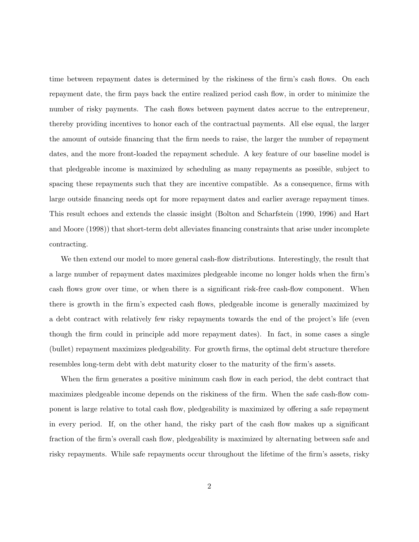time between repayment dates is determined by the riskiness of the firm's cash flows. On each repayment date, the firm pays back the entire realized period cash flow, in order to minimize the number of risky payments. The cash flows between payment dates accrue to the entrepreneur, thereby providing incentives to honor each of the contractual payments. All else equal, the larger the amount of outside financing that the firm needs to raise, the larger the number of repayment dates, and the more front-loaded the repayment schedule. A key feature of our baseline model is that pledgeable income is maximized by scheduling as many repayments as possible, subject to spacing these repayments such that they are incentive compatible. As a consequence, firms with large outside financing needs opt for more repayment dates and earlier average repayment times. This result echoes and extends the classic insight (Bolton and Scharfstein (1990, 1996) and Hart and Moore (1998)) that short-term debt alleviates financing constraints that arise under incomplete contracting.

We then extend our model to more general cash-flow distributions. Interestingly, the result that a large number of repayment dates maximizes pledgeable income no longer holds when the firm's cash flows grow over time, or when there is a significant risk-free cash-flow component. When there is growth in the firm's expected cash flows, pledgeable income is generally maximized by a debt contract with relatively few risky repayments towards the end of the project's life (even though the firm could in principle add more repayment dates). In fact, in some cases a single (bullet) repayment maximizes pledgeability. For growth firms, the optimal debt structure therefore resembles long-term debt with debt maturity closer to the maturity of the firm's assets.

When the firm generates a positive minimum cash flow in each period, the debt contract that maximizes pledgeable income depends on the riskiness of the firm. When the safe cash-flow component is large relative to total cash flow, pledgeability is maximized by offering a safe repayment in every period. If, on the other hand, the risky part of the cash flow makes up a significant fraction of the firm's overall cash flow, pledgeability is maximized by alternating between safe and risky repayments. While safe repayments occur throughout the lifetime of the firm's assets, risky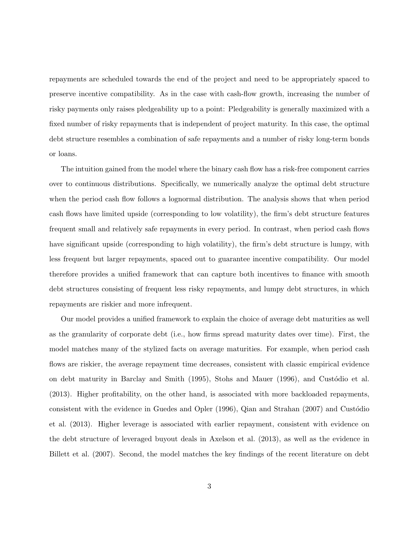repayments are scheduled towards the end of the project and need to be appropriately spaced to preserve incentive compatibility. As in the case with cash-flow growth, increasing the number of risky payments only raises pledgeability up to a point: Pledgeability is generally maximized with a fixed number of risky repayments that is independent of project maturity. In this case, the optimal debt structure resembles a combination of safe repayments and a number of risky long-term bonds or loans.

The intuition gained from the model where the binary cash flow has a risk-free component carries over to continuous distributions. Specifically, we numerically analyze the optimal debt structure when the period cash flow follows a lognormal distribution. The analysis shows that when period cash flows have limited upside (corresponding to low volatility), the firm's debt structure features frequent small and relatively safe repayments in every period. In contrast, when period cash flows have significant upside (corresponding to high volatility), the firm's debt structure is lumpy, with less frequent but larger repayments, spaced out to guarantee incentive compatibility. Our model therefore provides a unified framework that can capture both incentives to finance with smooth debt structures consisting of frequent less risky repayments, and lumpy debt structures, in which repayments are riskier and more infrequent.

Our model provides a unified framework to explain the choice of average debt maturities as well as the granularity of corporate debt (i.e., how firms spread maturity dates over time). First, the model matches many of the stylized facts on average maturities. For example, when period cash flows are riskier, the average repayment time decreases, consistent with classic empirical evidence on debt maturity in Barclay and Smith (1995), Stohs and Mauer (1996), and Custódio et al. (2013). Higher profitability, on the other hand, is associated with more backloaded repayments, consistent with the evidence in Guedes and Opler (1996), Qian and Strahan (2007) and Custódio et al. (2013). Higher leverage is associated with earlier repayment, consistent with evidence on the debt structure of leveraged buyout deals in Axelson et al. (2013), as well as the evidence in Billett et al. (2007). Second, the model matches the key findings of the recent literature on debt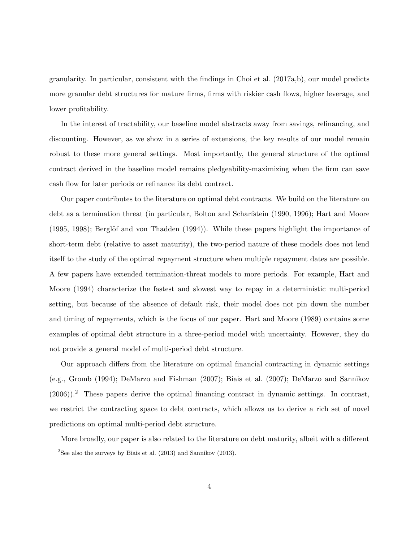granularity. In particular, consistent with the findings in Choi et al. (2017a,b), our model predicts more granular debt structures for mature firms, firms with riskier cash flows, higher leverage, and lower profitability.

In the interest of tractability, our baseline model abstracts away from savings, refinancing, and discounting. However, as we show in a series of extensions, the key results of our model remain robust to these more general settings. Most importantly, the general structure of the optimal contract derived in the baseline model remains pledgeability-maximizing when the firm can save cash flow for later periods or refinance its debt contract.

Our paper contributes to the literature on optimal debt contracts. We build on the literature on debt as a termination threat (in particular, Bolton and Scharfstein (1990, 1996); Hart and Moore  $(1995, 1998)$ ; Berglöf and von Thadden  $(1994)$ ). While these papers highlight the importance of short-term debt (relative to asset maturity), the two-period nature of these models does not lend itself to the study of the optimal repayment structure when multiple repayment dates are possible. A few papers have extended termination-threat models to more periods. For example, Hart and Moore (1994) characterize the fastest and slowest way to repay in a deterministic multi-period setting, but because of the absence of default risk, their model does not pin down the number and timing of repayments, which is the focus of our paper. Hart and Moore (1989) contains some examples of optimal debt structure in a three-period model with uncertainty. However, they do not provide a general model of multi-period debt structure.

Our approach differs from the literature on optimal financial contracting in dynamic settings (e.g., Gromb (1994); DeMarzo and Fishman (2007); Biais et al. (2007); DeMarzo and Sannikov  $(2006)$ ).<sup>2</sup> These papers derive the optimal financing contract in dynamic settings. In contrast, we restrict the contracting space to debt contracts, which allows us to derive a rich set of novel predictions on optimal multi-period debt structure.

More broadly, our paper is also related to the literature on debt maturity, albeit with a different

<sup>&</sup>lt;sup>2</sup>See also the surveys by Biais et al.  $(2013)$  and Sannikov  $(2013)$ .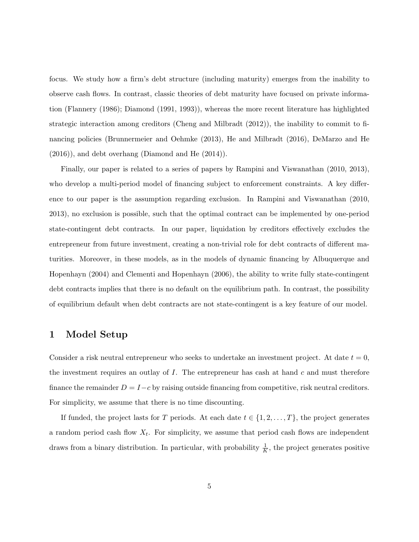focus. We study how a firm's debt structure (including maturity) emerges from the inability to observe cash flows. In contrast, classic theories of debt maturity have focused on private information (Flannery (1986); Diamond (1991, 1993)), whereas the more recent literature has highlighted strategic interaction among creditors (Cheng and Milbradt (2012)), the inability to commit to financing policies (Brunnermeier and Oehmke (2013), He and Milbradt (2016), DeMarzo and He (2016)), and debt overhang (Diamond and He (2014)).

Finally, our paper is related to a series of papers by Rampini and Viswanathan (2010, 2013), who develop a multi-period model of financing subject to enforcement constraints. A key difference to our paper is the assumption regarding exclusion. In Rampini and Viswanathan (2010, 2013), no exclusion is possible, such that the optimal contract can be implemented by one-period state-contingent debt contracts. In our paper, liquidation by creditors effectively excludes the entrepreneur from future investment, creating a non-trivial role for debt contracts of different maturities. Moreover, in these models, as in the models of dynamic financing by Albuquerque and Hopenhayn (2004) and Clementi and Hopenhayn (2006), the ability to write fully state-contingent debt contracts implies that there is no default on the equilibrium path. In contrast, the possibility of equilibrium default when debt contracts are not state-contingent is a key feature of our model.

# 1 Model Setup

Consider a risk neutral entrepreneur who seeks to undertake an investment project. At date  $t = 0$ , the investment requires an outlay of  $I$ . The entrepreneur has cash at hand  $c$  and must therefore finance the remainder  $D = I - c$  by raising outside financing from competitive, risk neutral creditors. For simplicity, we assume that there is no time discounting.

If funded, the project lasts for T periods. At each date  $t \in \{1, 2, ..., T\}$ , the project generates a random period cash flow  $X_t$ . For simplicity, we assume that period cash flows are independent draws from a binary distribution. In particular, with probability  $\frac{1}{K}$ , the project generates positive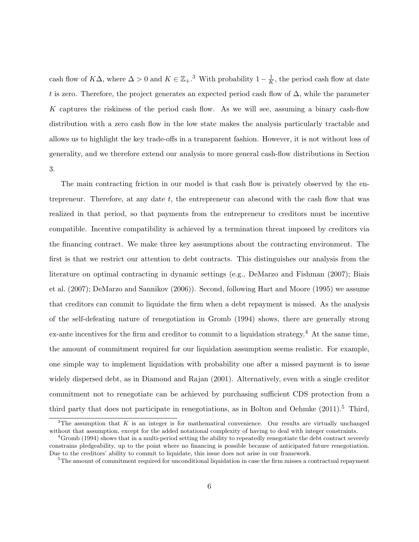cash flow of  $K\Delta$ , where  $\Delta > 0$  and  $K \in \mathbb{Z}_+$ .<sup>3</sup> With probability  $1-\frac{1}{K}$  $\frac{1}{K}$ , the period cash flow at date t is zero. Therefore, the project generates an expected period cash flow of  $\Delta$ , while the parameter K captures the riskiness of the period cash flow. As we will see, assuming a binary cash-flow distribution with a zero cash flow in the low state makes the analysis particularly tractable and allows us to highlight the key trade-offs in a transparent fashion. However, it is not without loss of generality, and we therefore extend our analysis to more general cash-flow distributions in Section 3.

The main contracting friction in our model is that cash flow is privately observed by the entrepreneur. Therefore, at any date  $t$ , the entrepreneur can abscond with the cash flow that was realized in that period, so that payments from the entrepreneur to creditors must be incentive compatible. Incentive compatibility is achieved by a termination threat imposed by creditors via the financing contract. We make three key assumptions about the contracting environment. The first is that we restrict our attention to debt contracts. This distinguishes our analysis from the literature on optimal contracting in dynamic settings (e.g., DeMarzo and Fishman (2007); Biais et al. (2007); DeMarzo and Sannikov (2006)). Second, following Hart and Moore (1995) we assume that creditors can commit to liquidate the firm when a debt repayment is missed. As the analysis of the self-defeating nature of renegotiation in Gromb (1994) shows, there are generally strong ex-ante incentives for the firm and creditor to commit to a liquidation strategy.<sup>4</sup> At the same time, the amount of commitment required for our liquidation assumption seems realistic. For example, one simple way to implement liquidation with probability one after a missed payment is to issue widely dispersed debt, as in Diamond and Rajan (2001). Alternatively, even with a single creditor commitment not to renegotiate can be achieved by purchasing sufficient CDS protection from a third party that does not participate in renegotiations, as in Bolton and Oehmke  $(2011).<sup>5</sup>$  Third,

 $3$ The assumption that K is an integer is for mathematical convenience. Our results are virtually unchanged without that assumption, except for the added notational complexity of having to deal with integer constraints.

<sup>&</sup>lt;sup>4</sup>Gromb (1994) shows that in a multi-period setting the ability to repeatedly renegotiate the debt contract severely constrains pledgeability, up to the point where no financing is possible because of anticipated future renegotiation. Due to the creditors' ability to commit to liquidate, this issue does not arise in our framework.

<sup>&</sup>lt;sup>5</sup>The amount of commitment required for unconditional liquidation in case the firm misses a contractual repayment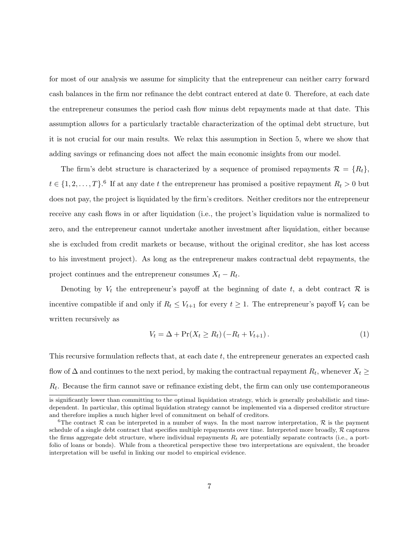for most of our analysis we assume for simplicity that the entrepreneur can neither carry forward cash balances in the firm nor refinance the debt contract entered at date 0. Therefore, at each date the entrepreneur consumes the period cash flow minus debt repayments made at that date. This assumption allows for a particularly tractable characterization of the optimal debt structure, but it is not crucial for our main results. We relax this assumption in Section 5, where we show that adding savings or refinancing does not affect the main economic insights from our model.

The firm's debt structure is characterized by a sequence of promised repayments  $\mathcal{R} = \{R_t\}$ ,  $t \in \{1, 2, \ldots, T\}$ <sup>6</sup> If at any date t the entrepreneur has promised a positive repayment  $R_t > 0$  but does not pay, the project is liquidated by the firm's creditors. Neither creditors nor the entrepreneur receive any cash flows in or after liquidation (i.e., the project's liquidation value is normalized to zero, and the entrepreneur cannot undertake another investment after liquidation, either because she is excluded from credit markets or because, without the original creditor, she has lost access to his investment project). As long as the entrepreneur makes contractual debt repayments, the project continues and the entrepreneur consumes  $X_t - R_t$ .

Denoting by  $V_t$  the entrepreneur's payoff at the beginning of date t, a debt contract  $\mathcal R$  is incentive compatible if and only if  $R_t \leq V_{t+1}$  for every  $t \geq 1$ . The entrepreneur's payoff  $V_t$  can be written recursively as

$$
V_t = \Delta + \Pr(X_t \ge R_t) (-R_t + V_{t+1}). \tag{1}
$$

This recursive formulation reflects that, at each date t, the entrepreneur generates an expected cash flow of  $\Delta$  and continues to the next period, by making the contractual repayment  $R_t$ , whenever  $X_t \geq$  $R_t$ . Because the firm cannot save or refinance existing debt, the firm can only use contemporaneous

is significantly lower than committing to the optimal liquidation strategy, which is generally probabilistic and timedependent. In particular, this optimal liquidation strategy cannot be implemented via a dispersed creditor structure and therefore implies a much higher level of commitment on behalf of creditors.

<sup>&</sup>lt;sup>6</sup>The contract  $\mathcal R$  can be interpreted in a number of ways. In the most narrow interpretation,  $\mathcal R$  is the payment schedule of a single debt contract that specifies multiple repayments over time. Interpreted more broadly,  $R$  captures the firms aggregate debt structure, where individual repayments  $R_t$  are potentially separate contracts (i.e., a portfolio of loans or bonds). While from a theoretical perspective these two interpretations are equivalent, the broader interpretation will be useful in linking our model to empirical evidence.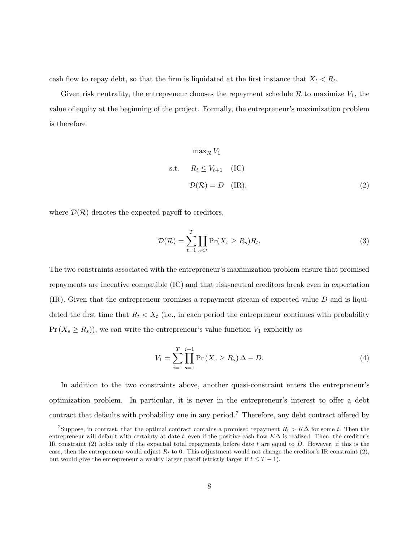cash flow to repay debt, so that the firm is liquidated at the first instance that  $X_t < R_t$ .

Given risk neutrality, the entrepreneur chooses the repayment schedule  $R$  to maximize  $V_1$ , the value of equity at the beginning of the project. Formally, the entrepreneur's maximization problem is therefore

$$
\max_{\mathcal{R}} V_1
$$
  
s.t.  $R_t \le V_{t+1}$  (IC)  

$$
\mathcal{D}(\mathcal{R}) = D
$$
 (IR), (2)

where  $\mathcal{D}(\mathcal{R})$  denotes the expected payoff to creditors,

$$
\mathcal{D}(\mathcal{R}) = \sum_{t=1}^{T} \prod_{s \le t} \Pr(X_s \ge R_s) R_t.
$$
\n(3)

The two constraints associated with the entrepreneur's maximization problem ensure that promised repayments are incentive compatible (IC) and that risk-neutral creditors break even in expectation  $(IR)$ . Given that the entrepreneur promises a repayment stream of expected value D and is liquidated the first time that  $R_t < X_t$  (i.e., in each period the entrepreneur continues with probability  $Pr(X_s \ge R_s)$ , we can write the entrepreneur's value function  $V_1$  explicitly as

$$
V_1 = \sum_{i=1}^{T} \prod_{s=1}^{i-1} \Pr(X_s \ge R_s) \Delta - D.
$$
 (4)

In addition to the two constraints above, another quasi-constraint enters the entrepreneur's optimization problem. In particular, it is never in the entrepreneur's interest to offer a debt contract that defaults with probability one in any period.<sup>7</sup> Therefore, any debt contract offered by

<sup>&</sup>lt;sup>7</sup>Suppose, in contrast, that the optimal contract contains a promised repayment  $R_t > K\Delta$  for some t. Then the entrepreneur will default with certainty at date t, even if the positive cash flow  $K\Delta$  is realized. Then, the creditor's IR constraint  $(2)$  holds only if the expected total repayments before date t are equal to D. However, if this is the case, then the entrepreneur would adjust  $R_t$  to 0. This adjustment would not change the creditor's IR constraint (2), but would give the entrepreneur a weakly larger payoff (strictly larger if  $t \leq T - 1$ ).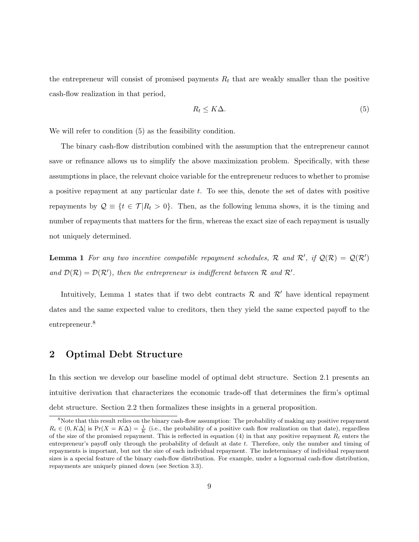the entrepreneur will consist of promised payments  $R_t$  that are weakly smaller than the positive cash-flow realization in that period,

$$
R_t \le K\Delta. \tag{5}
$$

We will refer to condition  $(5)$  as the feasibility condition.

The binary cash-flow distribution combined with the assumption that the entrepreneur cannot save or refinance allows us to simplify the above maximization problem. Specifically, with these assumptions in place, the relevant choice variable for the entrepreneur reduces to whether to promise a positive repayment at any particular date t. To see this, denote the set of dates with positive repayments by  $\mathcal{Q} \equiv \{t \in \mathcal{T} | R_t > 0\}$ . Then, as the following lemma shows, it is the timing and number of repayments that matters for the firm, whereas the exact size of each repayment is usually not uniquely determined.

**Lemma 1** For any two incentive compatible repayment schedules, R and R', if  $\mathcal{Q}(\mathcal{R}) = \mathcal{Q}(\mathcal{R}')$ and  $\mathcal{D}(\mathcal{R}) = \mathcal{D}(\mathcal{R}')$ , then the entrepreneur is indifferent between  $\mathcal{R}$  and  $\mathcal{R}'$ .

Intuitively, Lemma 1 states that if two debt contracts  $\mathcal{R}$  and  $\mathcal{R}'$  have identical repayment dates and the same expected value to creditors, then they yield the same expected payoff to the entrepreneur.<sup>8</sup>

# 2 Optimal Debt Structure

In this section we develop our baseline model of optimal debt structure. Section 2.1 presents an intuitive derivation that characterizes the economic trade-off that determines the firm's optimal debt structure. Section 2.2 then formalizes these insights in a general proposition.

<sup>&</sup>lt;sup>8</sup>Note that this result relies on the binary cash-flow assumption: The probability of making any positive repayment  $R_t \in (0, K\Delta]$  is  $Pr(X = K\Delta) = \frac{1}{K}$  (i.e., the probability of a positive cash flow realization on that date), regardless of the size of the promised repayment. This is reflected in equation  $(4)$  in that any positive repayment  $R_t$  enters the entrepreneur's payoff only through the probability of default at date t. Therefore, only the number and timing of repayments is important, but not the size of each individual repayment. The indeterminacy of individual repayment sizes is a special feature of the binary cash-flow distribution. For example, under a lognormal cash-flow distribution, repayments are uniquely pinned down (see Section 3.3).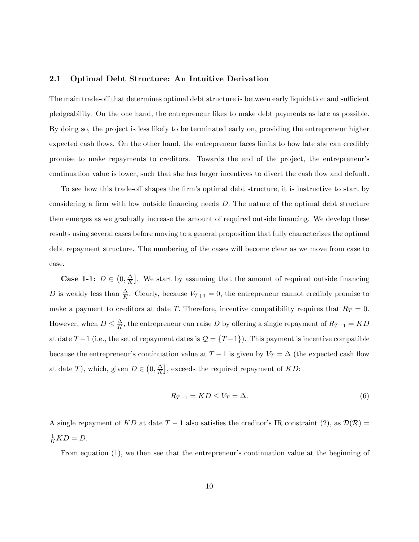#### 2.1 Optimal Debt Structure: An Intuitive Derivation

The main trade-off that determines optimal debt structure is between early liquidation and sufficient pledgeability. On the one hand, the entrepreneur likes to make debt payments as late as possible. By doing so, the project is less likely to be terminated early on, providing the entrepreneur higher expected cash flows. On the other hand, the entrepreneur faces limits to how late she can credibly promise to make repayments to creditors. Towards the end of the project, the entrepreneur's continuation value is lower, such that she has larger incentives to divert the cash flow and default.

To see how this trade-off shapes the firm's optimal debt structure, it is instructive to start by considering a firm with low outside financing needs D. The nature of the optimal debt structure then emerges as we gradually increase the amount of required outside financing. We develop these results using several cases before moving to a general proposition that fully characterizes the optimal debt repayment structure. The numbering of the cases will become clear as we move from case to case.

Case 1-1:  $D \in (0, \frac{\Delta}{K})$  $\frac{\Delta}{K}$ . We start by assuming that the amount of required outside financing D is weakly less than  $\frac{\Delta}{K}$ . Clearly, because  $V_{T+1} = 0$ , the entrepreneur cannot credibly promise to make a payment to creditors at date T. Therefore, incentive compatibility requires that  $R_T = 0$ . However, when  $D \leq \frac{\Delta}{K}$  $\frac{\Delta}{K}$ , the entrepreneur can raise D by offering a single repayment of  $R_{T-1} = KD$ at date  $T-1$  (i.e., the set of repayment dates is  $\mathcal{Q} = \{T-1\}$ ). This payment is incentive compatible because the entrepreneur's continuation value at  $T-1$  is given by  $V_T = \Delta$  (the expected cash flow at date T), which, given  $D \in (0, \frac{\Delta}{K})$  $\frac{\Delta}{K}$ , exceeds the required repayment of KD:

$$
R_{T-1} = KD \le V_T = \Delta. \tag{6}
$$

A single repayment of KD at date  $T-1$  also satisfies the creditor's IR constraint (2), as  $\mathcal{D}(\mathcal{R})=$  $\frac{1}{K}KD=D.$ 

From equation (1), we then see that the entrepreneur's continuation value at the beginning of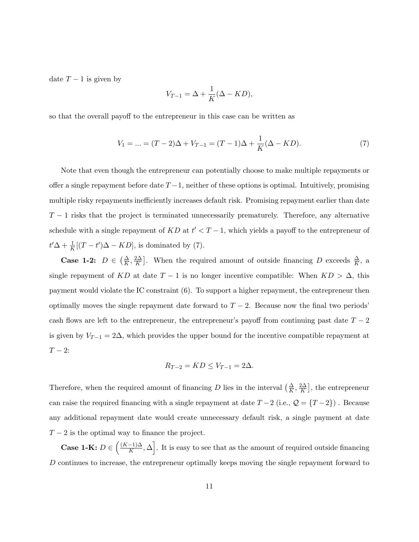date  $T - 1$  is given by

$$
V_{T-1} = \Delta + \frac{1}{K}(\Delta - KD),
$$

so that the overall payoff to the entrepreneur in this case can be written as

$$
V_1 = \dots = (T - 2)\Delta + V_{T-1} = (T - 1)\Delta + \frac{1}{K}(\Delta - KD). \tag{7}
$$

Note that even though the entrepreneur can potentially choose to make multiple repayments or offer a single repayment before date  $T-1$ , neither of these options is optimal. Intuitively, promising multiple risky repayments inefficiently increases default risk. Promising repayment earlier than date  $T-1$  risks that the project is terminated unnecessarily prematurely. Therefore, any alternative schedule with a single repayment of  $KD$  at  $t' < T-1$ , which yields a payoff to the entrepreneur of  $t'\Delta + \frac{1}{K}[(T-t')\Delta - KD]$ , is dominated by (7).

Case 1-2:  $D \in \left(\frac{\Delta}{K}, \frac{2\Delta}{K}\right)$  $\frac{\partial \Delta}{\partial K}$ . When the required amount of outside financing D exceeds  $\frac{\Delta}{K}$ , a single repayment of KD at date  $T-1$  is no longer incentive compatible: When  $KD > \Delta$ , this payment would violate the IC constraint (6). To support a higher repayment, the entrepreneur then optimally moves the single repayment date forward to  $T - 2$ . Because now the final two periods' cash flows are left to the entrepreneur, the entrepreneur's payoff from continuing past date  $T - 2$ is given by  $V_{T-1} = 2\Delta$ , which provides the upper bound for the incentive compatible repayment at  $T - 2$ :

$$
R_{T-2} = KD \leq V_{T-1} = 2\Delta.
$$

Therefore, when the required amount of financing D lies in the interval  $(\frac{\Delta}{K}, \frac{2\Delta}{K})$  $\frac{2\Delta}{K}$ , the entrepreneur can raise the required financing with a single repayment at date  $T - 2$  (i.e.,  $\mathcal{Q} = \{T - 2\}$ ). Because any additional repayment date would create unnecessary default risk, a single payment at date  $T-2$  is the optimal way to finance the project.

Case 1-K:  $D \in \left(\frac{(K-1)\Delta}{K}\right)$  $\left[\frac{-1}{K}, \Delta\right]$ . It is easy to see that as the amount of required outside financing D continues to increase, the entrepreneur optimally keeps moving the single repayment forward to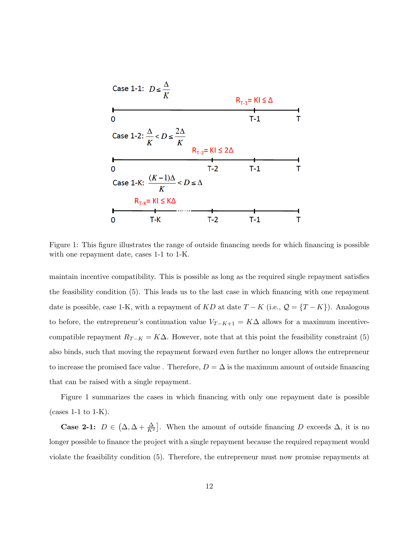

Figure 1: This figure illustrates the range of outside financing needs for which financing is possible with one repayment date, cases 1-1 to 1-K.

maintain incentive compatibility. This is possible as long as the required single repayment satisfies the feasibility condition (5). This leads us to the last case in which financing with one repayment date is possible, case 1-K, with a repayment of  $KD$  at date  $T - K$  (i.e.,  $\mathcal{Q} = \{T - K\}$ ). Analogous to before, the entrepreneur's continuation value  $V_{T-K+1} = K\Delta$  allows for a maximum incentivecompatible repayment  $R_{T-K} = K\Delta$ . However, note that at this point the feasibility constraint (5) also binds, such that moving the repayment forward even further no longer allows the entrepreneur to increase the promised face value. Therefore,  $D = \Delta$  is the maximum amount of outside financing that can be raised with a single repayment.

Figure 1 summarizes the cases in which financing with only one repayment date is possible (cases 1-1 to  $1-K$ ).

**Case 2-1:**  $D \in (\Delta, \Delta + \frac{\Delta}{K^2}]$ . When the amount of outside financing D exceeds  $\Delta$ , it is no longer possible to finance the project with a single repayment because the required repayment would violate the feasibility condition (5). Therefore, the entrepreneur must now promise repayments at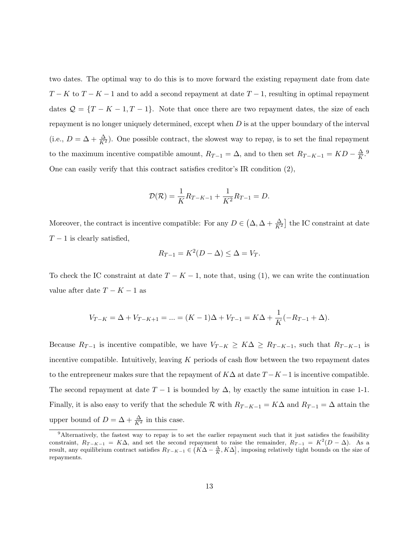two dates. The optimal way to do this is to move forward the existing repayment date from date  $T - K$  to  $T - K - 1$  and to add a second repayment at date  $T - 1$ , resulting in optimal repayment dates  $\mathcal{Q} = \{T - K - 1, T - 1\}$ . Note that once there are two repayment dates, the size of each repayment is no longer uniquely determined, except when  $D$  is at the upper boundary of the interval (i.e.,  $D = \Delta + \frac{\Delta}{K^2}$ ). One possible contract, the slowest way to repay, is to set the final repayment to the maximum incentive compatible amount,  $R_{T-1} = \Delta$ , and to then set  $R_{T-K-1} = KD - \frac{\Delta}{K}$  $\frac{\Delta}{K}$ .<sup>9</sup> One can easily verify that this contract satisfies creditor's IR condition (2),

$$
\mathcal{D}(\mathcal{R}) = \frac{1}{K} R_{T-K-1} + \frac{1}{K^2} R_{T-1} = D.
$$

Moreover, the contract is incentive compatible: For any  $D \in (\Delta, \Delta + \frac{\Delta}{K^2}]$  the IC constraint at date  $T-1$  is clearly satisfied,

$$
R_{T-1} = K^2(D - \Delta) \le \Delta = V_T.
$$

To check the IC constraint at date  $T - K - 1$ , note that, using (1), we can write the continuation value after date  $T - K - 1$  as

$$
V_{T-K} = \Delta + V_{T-K+1} = \dots = (K-1)\Delta + V_{T-1} = K\Delta + \frac{1}{K}(-R_{T-1} + \Delta).
$$

Because  $R_{T-1}$  is incentive compatible, we have  $V_{T-K} \geq K\Delta \geq R_{T-K-1}$ , such that  $R_{T-K-1}$  is incentive compatible. Intuitively, leaving  $K$  periods of cash flow between the two repayment dates to the entrepreneur makes sure that the repayment of  $K\Delta$  at date  $T - K - 1$  is incentive compatible. The second repayment at date  $T-1$  is bounded by  $\Delta$ , by exactly the same intuition in case 1-1. Finally, it is also easy to verify that the schedule R with  $R_{T-K-1} = K\Delta$  and  $R_{T-1} = \Delta$  attain the upper bound of  $D = \Delta + \frac{\Delta}{K^2}$  in this case.

<sup>9</sup>Alternatively, the fastest way to repay is to set the earlier repayment such that it just satisfies the feasibility constraint,  $R_{T-K-1} = K\Delta$ , and set the second repayment to raise the remainder,  $R_{T-1} = K^2(D - \Delta)$ . As a result, any equilibrium contract satisfies  $R_{T-K-1} \in (K\Delta - \frac{\Delta}{K}, K\Delta]$ , imposing relatively tight bounds on the size of repayments.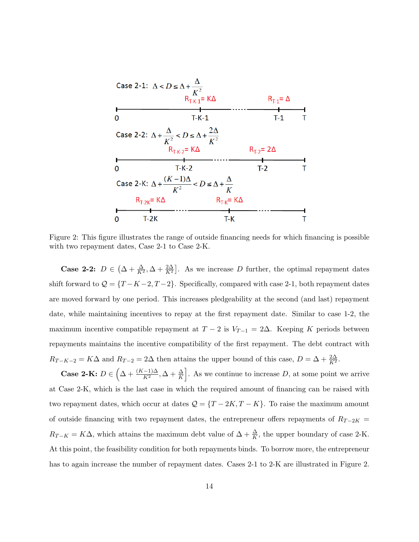

Figure 2: This figure illustrates the range of outside financing needs for which financing is possible with two repayment dates, Case 2-1 to Case 2-K.

**Case 2-2:**  $D \in (\Delta + \frac{\Delta}{K^2}, \Delta + \frac{2\Delta}{K^2}]$ . As we increase D further, the optimal repayment dates shift forward to  $Q = \{T - K - 2, T - 2\}$ . Specifically, compared with case 2-1, both repayment dates are moved forward by one period. This increases pledgeability at the second (and last) repayment date, while maintaining incentives to repay at the first repayment date. Similar to case 1-2, the maximum incentive compatible repayment at  $T - 2$  is  $V_{T-1} = 2\Delta$ . Keeping K periods between repayments maintains the incentive compatibility of the first repayment. The debt contract with  $R_{T-K-2} = K\Delta$  and  $R_{T-2} = 2\Delta$  then attains the upper bound of this case,  $D = \Delta + \frac{2\Delta}{K^2}$ .

**Case 2-K:**  $D \in \left(\Delta + \frac{(K-1)\Delta}{K^2}, \Delta + \frac{\Delta}{K}\right]$ . As we continue to increase D, at some point we arrive at Case 2-K, which is the last case in which the required amount of financing can be raised with two repayment dates, which occur at dates  $\mathcal{Q} = \{T - 2K, T - K\}$ . To raise the maximum amount of outside financing with two repayment dates, the entrepreneur offers repayments of  $R_{T-2K}$  =  $R_{T-K} = K\Delta$ , which attains the maximum debt value of  $\Delta + \frac{\Delta}{K}$ , the upper boundary of case 2-K. At this point, the feasibility condition for both repayments binds. To borrow more, the entrepreneur has to again increase the number of repayment dates. Cases 2-1 to 2-K are illustrated in Figure 2.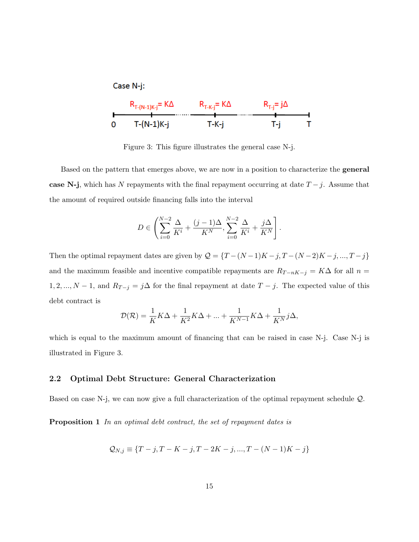

Figure 3: This figure illustrates the general case N-j.

Based on the pattern that emerges above, we are now in a position to characterize the general case N-j, which has N repayments with the final repayment occurring at date  $T - j$ . Assume that the amount of required outside financing falls into the interval

$$
D \in \left(\sum_{i=0}^{N-2} \frac{\Delta}{K^i} + \frac{(j-1)\Delta}{K^N}, \sum_{i=0}^{N-2} \frac{\Delta}{K^i} + \frac{j\Delta}{K^N}\right].
$$

Then the optimal repayment dates are given by  $\mathcal{Q} = \{T - (N-1)K - j, T - (N-2)K - j, ..., T - j\}$ and the maximum feasible and incentive compatible repayments are  $R_{T-nK-j} = K\Delta$  for all  $n =$ 1, 2, ...,  $N-1$ , and  $R_{T-j} = j\Delta$  for the final repayment at date  $T-j$ . The expected value of this debt contract is

$$
\mathcal{D}(\mathcal{R}) = \frac{1}{K}K\Delta + \frac{1}{K^2}K\Delta + \ldots + \frac{1}{K^{N-1}}K\Delta + \frac{1}{K^N}j\Delta,
$$

which is equal to the maximum amount of financing that can be raised in case N-j. Case N-j is illustrated in Figure 3.

#### 2.2 Optimal Debt Structure: General Characterization

Based on case N-j, we can now give a full characterization of the optimal repayment schedule Q.

Proposition 1 In an optimal debt contract, the set of repayment dates is

$$
Q_{N,j} \equiv \{T-j, T-K-j, T-2K-j, ..., T-(N-1)K-j\}
$$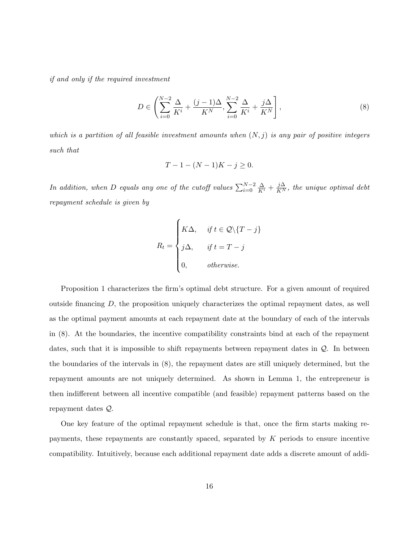if and only if the required investment

$$
D \in \left(\sum_{i=0}^{N-2} \frac{\Delta}{K^i} + \frac{(j-1)\Delta}{K^N}, \sum_{i=0}^{N-2} \frac{\Delta}{K^i} + \frac{j\Delta}{K^N}\right],\tag{8}
$$

which is a partition of all feasible investment amounts when  $(N, j)$  is any pair of positive integers such that

$$
T - 1 - (N - 1)K - j \ge 0.
$$

In addition, when D equals any one of the cutoff values  $\sum_{i=0}^{N-2} \frac{\Delta}{K^i} + \frac{j\Delta}{K^N}$ , the unique optimal debt repayment schedule is given by

$$
R_t = \begin{cases} K\Delta, & \text{if } t \in \mathcal{Q} \setminus \{T - j\} \\ j\Delta, & \text{if } t = T - j \\ 0, & \text{otherwise.} \end{cases}
$$

Proposition 1 characterizes the firm's optimal debt structure. For a given amount of required outside financing  $D$ , the proposition uniquely characterizes the optimal repayment dates, as well as the optimal payment amounts at each repayment date at the boundary of each of the intervals in (8). At the boundaries, the incentive compatibility constraints bind at each of the repayment dates, such that it is impossible to shift repayments between repayment dates in  $\mathcal{Q}$ . In between the boundaries of the intervals in (8), the repayment dates are still uniquely determined, but the repayment amounts are not uniquely determined. As shown in Lemma 1, the entrepreneur is then indifferent between all incentive compatible (and feasible) repayment patterns based on the repayment dates Q.

One key feature of the optimal repayment schedule is that, once the firm starts making repayments, these repayments are constantly spaced, separated by  $K$  periods to ensure incentive compatibility. Intuitively, because each additional repayment date adds a discrete amount of addi-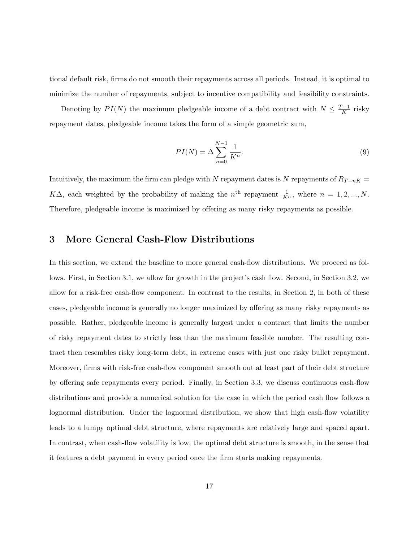tional default risk, firms do not smooth their repayments across all periods. Instead, it is optimal to minimize the number of repayments, subject to incentive compatibility and feasibility constraints.

Denoting by  $PI(N)$  the maximum pledgeable income of a debt contract with  $N \leq \frac{T-1}{K}$  $\frac{-1}{K}$  risky repayment dates, pledgeable income takes the form of a simple geometric sum,

$$
PI(N) = \Delta \sum_{n=0}^{N-1} \frac{1}{K^n}.
$$
\n(9)

Intuitively, the maximum the firm can pledge with N repayment dates is N repayments of  $R_{T-nK}$  = K $\Delta$ , each weighted by the probability of making the  $n^{\text{th}}$  repayment  $\frac{1}{K^n}$ , where  $n = 1, 2, ..., N$ . Therefore, pledgeable income is maximized by offering as many risky repayments as possible.

### 3 More General Cash-Flow Distributions

In this section, we extend the baseline to more general cash-flow distributions. We proceed as follows. First, in Section 3.1, we allow for growth in the project's cash flow. Second, in Section 3.2, we allow for a risk-free cash-flow component. In contrast to the results, in Section 2, in both of these cases, pledgeable income is generally no longer maximized by offering as many risky repayments as possible. Rather, pledgeable income is generally largest under a contract that limits the number of risky repayment dates to strictly less than the maximum feasible number. The resulting contract then resembles risky long-term debt, in extreme cases with just one risky bullet repayment. Moreover, firms with risk-free cash-flow component smooth out at least part of their debt structure by offering safe repayments every period. Finally, in Section 3.3, we discuss continuous cash-flow distributions and provide a numerical solution for the case in which the period cash flow follows a lognormal distribution. Under the lognormal distribution, we show that high cash-flow volatility leads to a lumpy optimal debt structure, where repayments are relatively large and spaced apart. In contrast, when cash-flow volatility is low, the optimal debt structure is smooth, in the sense that it features a debt payment in every period once the firm starts making repayments.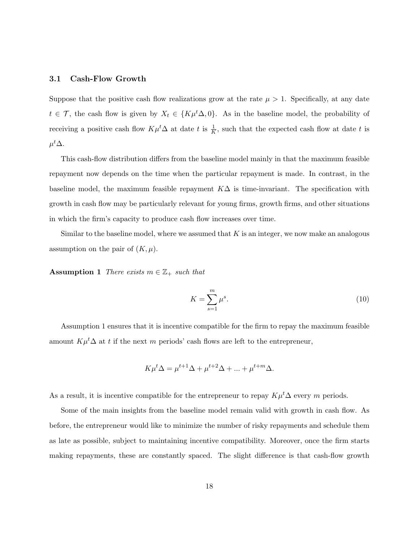#### 3.1 Cash-Flow Growth

Suppose that the positive cash flow realizations grow at the rate  $\mu > 1$ . Specifically, at any date  $t \in \mathcal{T}$ , the cash flow is given by  $X_t \in \{K\mu^t \Delta, 0\}$ . As in the baseline model, the probability of receiving a positive cash flow  $K\mu^t\Delta$  at date t is  $\frac{1}{K}$ , such that the expected cash flow at date t is  $\mu^t \Delta$ .

This cash-flow distribution differs from the baseline model mainly in that the maximum feasible repayment now depends on the time when the particular repayment is made. In contrast, in the baseline model, the maximum feasible repayment  $K\Delta$  is time-invariant. The specification with growth in cash flow may be particularly relevant for young firms, growth firms, and other situations in which the firm's capacity to produce cash flow increases over time.

Similar to the baseline model, where we assumed that  $K$  is an integer, we now make an analogous assumption on the pair of  $(K, \mu)$ .

**Assumption 1** There exists  $m \in \mathbb{Z}_+$  such that

$$
K = \sum_{s=1}^{m} \mu^s. \tag{10}
$$

Assumption 1 ensures that it is incentive compatible for the firm to repay the maximum feasible amount  $K\mu^t\Delta$  at t if the next m periods' cash flows are left to the entrepreneur,

$$
K\mu^t \Delta = \mu^{t+1} \Delta + \mu^{t+2} \Delta + \dots + \mu^{t+m} \Delta.
$$

As a result, it is incentive compatible for the entrepreneur to repay  $K\mu^t\Delta$  every m periods.

Some of the main insights from the baseline model remain valid with growth in cash flow. As before, the entrepreneur would like to minimize the number of risky repayments and schedule them as late as possible, subject to maintaining incentive compatibility. Moreover, once the firm starts making repayments, these are constantly spaced. The slight difference is that cash-flow growth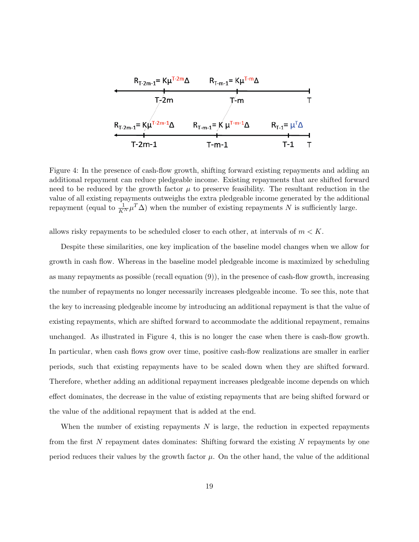

Figure 4: In the presence of cash-flow growth, shifting forward existing repayments and adding an additional repayment can reduce pledgeable income. Existing repayments that are shifted forward need to be reduced by the growth factor  $\mu$  to preserve feasibility. The resultant reduction in the value of all existing repayments outweighs the extra pledgeable income generated by the additional repayment (equal to  $\frac{1}{K^N} \mu^T \Delta$ ) when the number of existing repayments N is sufficiently large.

allows risky repayments to be scheduled closer to each other, at intervals of  $m < K$ .

Despite these similarities, one key implication of the baseline model changes when we allow for growth in cash flow. Whereas in the baseline model pledgeable income is maximized by scheduling as many repayments as possible (recall equation (9)), in the presence of cash-flow growth, increasing the number of repayments no longer necessarily increases pledgeable income. To see this, note that the key to increasing pledgeable income by introducing an additional repayment is that the value of existing repayments, which are shifted forward to accommodate the additional repayment, remains unchanged. As illustrated in Figure 4, this is no longer the case when there is cash-flow growth. In particular, when cash flows grow over time, positive cash-flow realizations are smaller in earlier periods, such that existing repayments have to be scaled down when they are shifted forward. Therefore, whether adding an additional repayment increases pledgeable income depends on which effect dominates, the decrease in the value of existing repayments that are being shifted forward or the value of the additional repayment that is added at the end.

When the number of existing repayments  $N$  is large, the reduction in expected repayments from the first  $N$  repayment dates dominates: Shifting forward the existing  $N$  repayments by one period reduces their values by the growth factor  $\mu$ . On the other hand, the value of the additional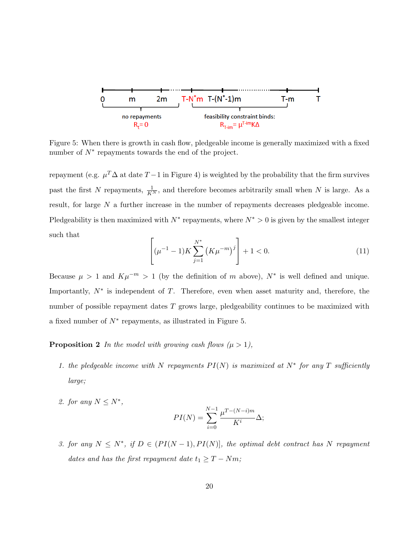

Figure 5: When there is growth in cash flow, pledgeable income is generally maximized with a fixed number of  $N^*$  repayments towards the end of the project.

repayment (e.g.  $\mu^T \Delta$  at date  $T - 1$  in Figure 4) is weighted by the probability that the firm survives past the first N repayments,  $\frac{1}{K^N}$ , and therefore becomes arbitrarily small when N is large. As a result, for large N a further increase in the number of repayments decreases pledgeable income. Pledgeability is then maximized with  $N^*$  repayments, where  $N^* > 0$  is given by the smallest integer such that

$$
\left[ (\mu^{-1} - 1)K \sum_{j=1}^{N^*} \left( K \mu^{-m} \right)^j \right] + 1 < 0. \tag{11}
$$

Because  $\mu > 1$  and  $K\mu^{-m} > 1$  (by the definition of m above),  $N^*$  is well defined and unique. Importantly,  $N^*$  is independent of T. Therefore, even when asset maturity and, therefore, the number of possible repayment dates T grows large, pledgeability continues to be maximized with a fixed number of  $N^*$  repayments, as illustrated in Figure 5.

**Proposition 2** In the model with growing cash flows  $(\mu > 1)$ ,

- 1. the pledgeable income with N repayments  $PI(N)$  is maximized at  $N^*$  for any T sufficiently large;
- 2. for any  $N \leq N^*$ ,

$$
PI(N) = \sum_{i=0}^{N-1} \frac{\mu^{T-(N-i)m}}{K^i} \Delta;
$$

3. for any  $N \leq N^*$ , if  $D \in (PI(N-1), PI(N)]$ , the optimal debt contract has N repayment dates and has the first repayment date  $t_1 \geq T - Nm$ ;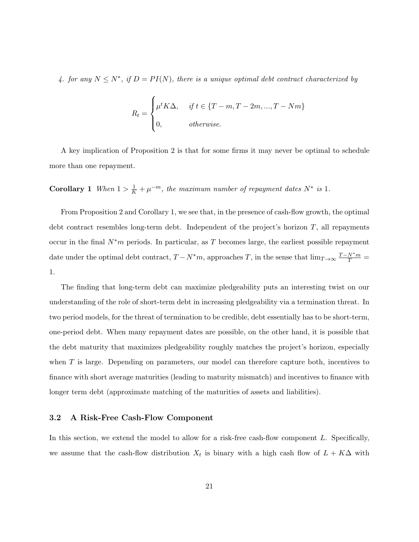4. for any  $N \leq N^*$ , if  $D = PI(N)$ , there is a unique optimal debt contract characterized by

$$
R_t = \begin{cases} \mu^t K \Delta, & \text{if } t \in \{T - m, T - 2m, \dots, T - Nm\} \\ 0, & \text{otherwise.} \end{cases}
$$

A key implication of Proposition 2 is that for some firms it may never be optimal to schedule more than one repayment.

**Corollary 1** When  $1 > \frac{1}{K} + \mu^{-m}$ , the maximum number of repayment dates  $N^*$  is 1.

From Proposition 2 and Corollary 1, we see that, in the presence of cash-flow growth, the optimal debt contract resembles long-term debt. Independent of the project's horizon  $T$ , all repayments occur in the final  $N*m$  periods. In particular, as T becomes large, the earliest possible repayment date under the optimal debt contract,  $T - N^*m$ , approaches T, in the sense that  $\lim_{T \to \infty} \frac{T - N^*m}{T} =$ 1.

The finding that long-term debt can maximize pledgeability puts an interesting twist on our understanding of the role of short-term debt in increasing pledgeability via a termination threat. In two period models, for the threat of termination to be credible, debt essentially has to be short-term, one-period debt. When many repayment dates are possible, on the other hand, it is possible that the debt maturity that maximizes pledgeability roughly matches the project's horizon, especially when  $T$  is large. Depending on parameters, our model can therefore capture both, incentives to finance with short average maturities (leading to maturity mismatch) and incentives to finance with longer term debt (approximate matching of the maturities of assets and liabilities).

#### 3.2 A Risk-Free Cash-Flow Component

In this section, we extend the model to allow for a risk-free cash-flow component L. Specifically, we assume that the cash-flow distribution  $X_t$  is binary with a high cash flow of  $L + K\Delta$  with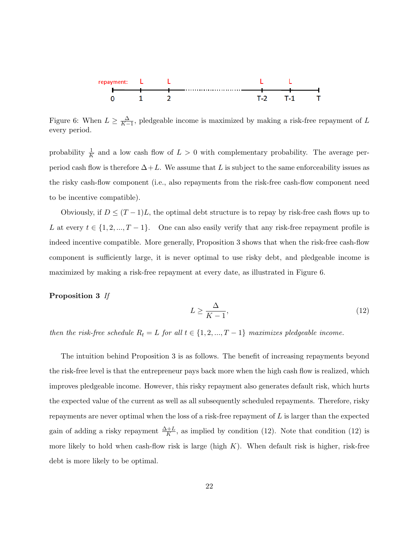

Figure 6: When  $L \geq \frac{\Delta}{K-1}$ , pledgeable income is maximized by making a risk-free repayment of L every period.

probability  $\frac{1}{K}$  and a low cash flow of  $L > 0$  with complementary probability. The average perperiod cash flow is therefore  $\Delta+L$ . We assume that L is subject to the same enforceability issues as the risky cash-flow component (i.e., also repayments from the risk-free cash-flow component need to be incentive compatible).

Obviously, if  $D \leq (T-1)L$ , the optimal debt structure is to repay by risk-free cash flows up to L at every  $t \in \{1, 2, ..., T - 1\}$ . One can also easily verify that any risk-free repayment profile is indeed incentive compatible. More generally, Proposition 3 shows that when the risk-free cash-flow component is sufficiently large, it is never optimal to use risky debt, and pledgeable income is maximized by making a risk-free repayment at every date, as illustrated in Figure 6.

#### Proposition 3 If

$$
L \ge \frac{\Delta}{K - 1},\tag{12}
$$

then the risk-free schedule  $R_t = L$  for all  $t \in \{1, 2, ..., T - 1\}$  maximizes pledgeable income.

The intuition behind Proposition 3 is as follows. The benefit of increasing repayments beyond the risk-free level is that the entrepreneur pays back more when the high cash flow is realized, which improves pledgeable income. However, this risky repayment also generates default risk, which hurts the expected value of the current as well as all subsequently scheduled repayments. Therefore, risky repayments are never optimal when the loss of a risk-free repayment of  $L$  is larger than the expected gain of adding a risky repayment  $\frac{\Delta+L}{K}$ , as implied by condition (12). Note that condition (12) is more likely to hold when cash-flow risk is large (high  $K$ ). When default risk is higher, risk-free debt is more likely to be optimal.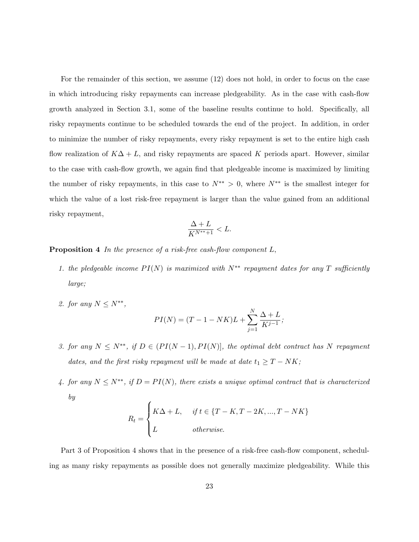For the remainder of this section, we assume (12) does not hold, in order to focus on the case in which introducing risky repayments can increase pledgeability. As in the case with cash-flow growth analyzed in Section 3.1, some of the baseline results continue to hold. Specifically, all risky repayments continue to be scheduled towards the end of the project. In addition, in order to minimize the number of risky repayments, every risky repayment is set to the entire high cash flow realization of  $K\Delta + L$ , and risky repayments are spaced K periods apart. However, similar to the case with cash-flow growth, we again find that pledgeable income is maximized by limiting the number of risky repayments, in this case to  $N^{**} > 0$ , where  $N^{**}$  is the smallest integer for which the value of a lost risk-free repayment is larger than the value gained from an additional risky repayment,

$$
\frac{\Delta+L}{K^{N^{**}+1}} < L.
$$

Proposition 4 In the presence of a risk-free cash-flow component L,

- 1. the pledgeable income  $PI(N)$  is maximized with  $N^{**}$  repayment dates for any T sufficiently large;
- 2. for any  $N \leq N^{**}$ ,

$$
PI(N) = (T - 1 - NK)L + \sum_{j=1}^{N} \frac{\Delta + L}{K^{j-1}};
$$

- 3. for any  $N \leq N^{**}$ , if  $D \in (PI(N-1), PI(N)]$ , the optimal debt contract has N repayment dates, and the first risky repayment will be made at date  $t_1 \geq T - NK$ ;
- 4. for any  $N \le N^{**}$ , if  $D = PI(N)$ , there exists a unique optimal contract that is characterized by

$$
R_t = \begin{cases} K\Delta + L, & \text{if } t \in \{T - K, T - 2K, ..., T - NK\} \\ L & \text{otherwise.} \end{cases}
$$

Part 3 of Proposition 4 shows that in the presence of a risk-free cash-flow component, scheduling as many risky repayments as possible does not generally maximize pledgeability. While this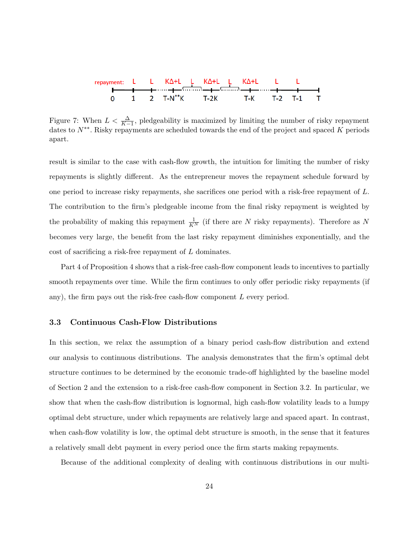

Figure 7: When  $L < \frac{\Delta}{K-1}$ , pledgeability is maximized by limiting the number of risky repayment dates to  $N^{**}$ . Risky repayments are scheduled towards the end of the project and spaced K periods apart.

result is similar to the case with cash-flow growth, the intuition for limiting the number of risky repayments is slightly different. As the entrepreneur moves the repayment schedule forward by one period to increase risky repayments, she sacrifices one period with a risk-free repayment of L. The contribution to the firm's pledgeable income from the final risky repayment is weighted by the probability of making this repayment  $\frac{1}{K^N}$  (if there are N risky repayments). Therefore as N becomes very large, the benefit from the last risky repayment diminishes exponentially, and the cost of sacrificing a risk-free repayment of L dominates.

Part 4 of Proposition 4 shows that a risk-free cash-flow component leads to incentives to partially smooth repayments over time. While the firm continues to only offer periodic risky repayments (if any), the firm pays out the risk-free cash-flow component L every period.

#### 3.3 Continuous Cash-Flow Distributions

In this section, we relax the assumption of a binary period cash-flow distribution and extend our analysis to continuous distributions. The analysis demonstrates that the firm's optimal debt structure continues to be determined by the economic trade-off highlighted by the baseline model of Section 2 and the extension to a risk-free cash-flow component in Section 3.2. In particular, we show that when the cash-flow distribution is lognormal, high cash-flow volatility leads to a lumpy optimal debt structure, under which repayments are relatively large and spaced apart. In contrast, when cash-flow volatility is low, the optimal debt structure is smooth, in the sense that it features a relatively small debt payment in every period once the firm starts making repayments.

Because of the additional complexity of dealing with continuous distributions in our multi-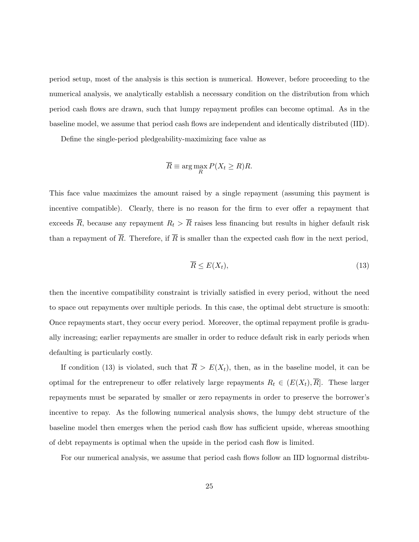period setup, most of the analysis is this section is numerical. However, before proceeding to the numerical analysis, we analytically establish a necessary condition on the distribution from which period cash flows are drawn, such that lumpy repayment profiles can become optimal. As in the baseline model, we assume that period cash flows are independent and identically distributed (IID).

Define the single-period pledgeability-maximizing face value as

$$
\overline{R} \equiv \arg\max_{R} P(X_t \ge R)R.
$$

This face value maximizes the amount raised by a single repayment (assuming this payment is incentive compatible). Clearly, there is no reason for the firm to ever offer a repayment that exceeds  $\overline{R}$ , because any repayment  $R_t > \overline{R}$  raises less financing but results in higher default risk than a repayment of  $\overline{R}$ . Therefore, if  $\overline{R}$  is smaller than the expected cash flow in the next period,

$$
\overline{R} \le E(X_t),\tag{13}
$$

then the incentive compatibility constraint is trivially satisfied in every period, without the need to space out repayments over multiple periods. In this case, the optimal debt structure is smooth: Once repayments start, they occur every period. Moreover, the optimal repayment profile is gradually increasing; earlier repayments are smaller in order to reduce default risk in early periods when defaulting is particularly costly.

If condition (13) is violated, such that  $\overline{R} > E(X_t)$ , then, as in the baseline model, it can be optimal for the entrepreneur to offer relatively large repayments  $R_t \in (E(X_t), \overline{R}]$ . These larger repayments must be separated by smaller or zero repayments in order to preserve the borrower's incentive to repay. As the following numerical analysis shows, the lumpy debt structure of the baseline model then emerges when the period cash flow has sufficient upside, whereas smoothing of debt repayments is optimal when the upside in the period cash flow is limited.

For our numerical analysis, we assume that period cash flows follow an IID lognormal distribu-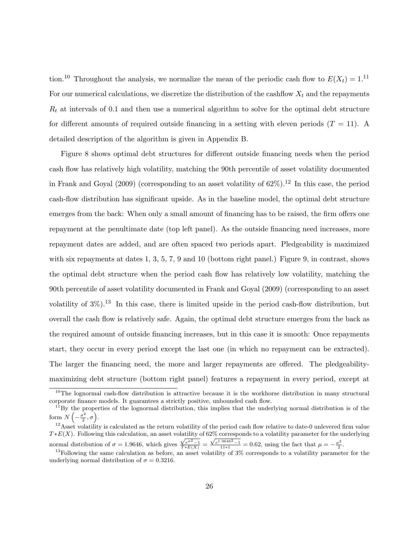tion.<sup>10</sup> Throughout the analysis, we normalize the mean of the periodic cash flow to  $E(X_t) = 1$ .<sup>11</sup> For our numerical calculations, we discretize the distribution of the cashflow  $X_t$  and the repayments  $R_t$  at intervals of 0.1 and then use a numerical algorithm to solve for the optimal debt structure for different amounts of required outside financing in a setting with eleven periods  $(T = 11)$ . A detailed description of the algorithm is given in Appendix B.

Figure 8 shows optimal debt structures for different outside financing needs when the period cash flow has relatively high volatility, matching the 90th percentile of asset volatility documented in Frank and Goyal (2009) (corresponding to an asset volatility of  $62\%$ ).<sup>12</sup> In this case, the period cash-flow distribution has significant upside. As in the baseline model, the optimal debt structure emerges from the back: When only a small amount of financing has to be raised, the firm offers one repayment at the penultimate date (top left panel). As the outside financing need increases, more repayment dates are added, and are often spaced two periods apart. Pledgeability is maximized with six repayments at dates 1, 3, 5, 7, 9 and 10 (bottom right panel.) Figure 9, in contrast, shows the optimal debt structure when the period cash flow has relatively low volatility, matching the 90th percentile of asset volatility documented in Frank and Goyal (2009) (corresponding to an asset volatility of  $3\%$ ).<sup>13</sup> In this case, there is limited upside in the period cash-flow distribution, but overall the cash flow is relatively safe. Again, the optimal debt structure emerges from the back as the required amount of outside financing increases, but in this case it is smooth: Once repayments start, they occur in every period except the last one (in which no repayment can be extracted). The larger the financing need, the more and larger repayments are offered. The pledgeabilitymaximizing debt structure (bottom right panel) features a repayment in every period, except at

 $10$ The lognormal cash-flow distribution is attractive because it is the workhorse distribution in many structural corporate finance models. It guarantees a strictly positive, unbounded cash flow.

 $11\,\text{By}$  the properties of the lognormal distribution, this implies that the underlying normal distribution is of the form  $N\left(-\frac{\sigma^2}{2}\right)$  $\left( \frac{\sigma^2}{2}, \sigma \right)$ .

 $12$ Asset volatility is calculated as the return volatility of the period cash flow relative to date-0 unlevered firm value  $T * E(X)$ . Following this calculation, an asset volatility of 62% corresponds to a volatility parameter for the underlying normal distribution of  $\sigma = 1.9646$ , which gives  $\frac{\sqrt{e^{\sigma^2}-1}}{T* E(X)} = \frac{\sqrt{e^{1.9646^2}-1}}{11*1} = 0.62$ , using the fact that  $\mu = -\frac{\sigma^2}{2}$  $\frac{r^2}{2}$ .

 $13$ Following the same calculation as before, an asset volatility of  $3\%$  corresponds to a volatility parameter for the underlying normal distribution of  $\sigma = 0.3216$ .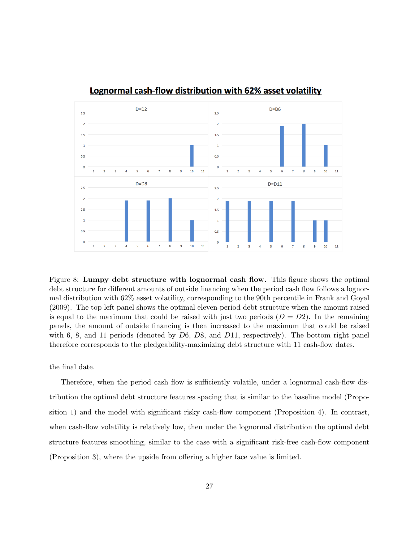

Lognormal cash-flow distribution with 62% asset volatility

Figure 8: Lumpy debt structure with lognormal cash flow. This figure shows the optimal debt structure for different amounts of outside financing when the period cash flow follows a lognormal distribution with 62% asset volatility, corresponding to the 90th percentile in Frank and Goyal (2009). The top left panel shows the optimal eleven-period debt structure when the amount raised is equal to the maximum that could be raised with just two periods  $(D = D2)$ . In the remaining panels, the amount of outside financing is then increased to the maximum that could be raised with 6, 8, and 11 periods (denoted by  $D6$ ,  $D8$ , and  $D11$ , respectively). The bottom right panel therefore corresponds to the pledgeability-maximizing debt structure with 11 cash-flow dates.

the final date.

Therefore, when the period cash flow is sufficiently volatile, under a lognormal cash-flow distribution the optimal debt structure features spacing that is similar to the baseline model (Proposition 1) and the model with significant risky cash-flow component (Proposition 4). In contrast, when cash-flow volatility is relatively low, then under the lognormal distribution the optimal debt structure features smoothing, similar to the case with a significant risk-free cash-flow component (Proposition 3), where the upside from offering a higher face value is limited.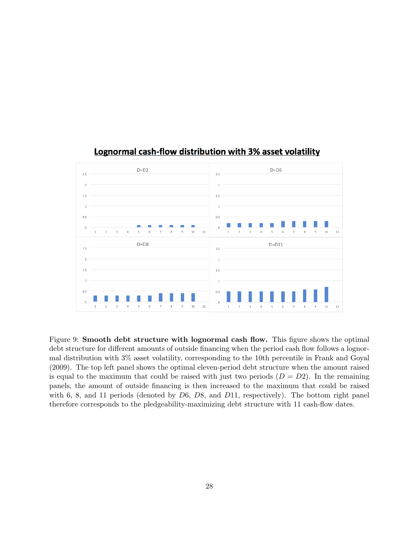

# Lognormal cash-flow distribution with 3% asset volatility

Figure 9: Smooth debt structure with lognormal cash flow. This figure shows the optimal debt structure for different amounts of outside financing when the period cash flow follows a lognormal distribution with 3% asset volatility, corresponding to the 10th percentile in Frank and Goyal (2009). The top left panel shows the optimal eleven-period debt structure when the amount raised is equal to the maximum that could be raised with just two periods  $(D = D2)$ . In the remaining panels, the amount of outside financing is then increased to the maximum that could be raised with 6, 8, and 11 periods (denoted by  $D6$ ,  $D8$ , and  $D11$ , respectively). The bottom right panel therefore corresponds to the pledgeability-maximizing debt structure with 11 cash-flow dates.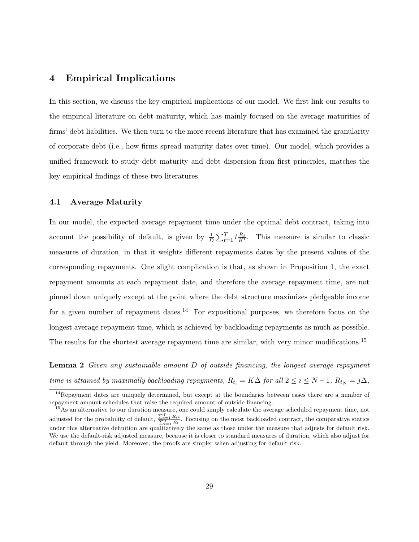# 4 Empirical Implications

In this section, we discuss the key empirical implications of our model. We first link our results to the empirical literature on debt maturity, which has mainly focused on the average maturities of firms' debt liabilities. We then turn to the more recent literature that has examined the granularity of corporate debt (i.e., how firms spread maturity dates over time). Our model, which provides a unified framework to study debt maturity and debt dispersion from first principles, matches the key empirical findings of these two literatures.

#### 4.1 Average Maturity

In our model, the expected average repayment time under the optimal debt contract, taking into account the possibility of default, is given by  $\frac{1}{D}\sum_{t=1}^T t \frac{R_t}{K^t}$ . This measure is similar to classic measures of duration, in that it weights different repayments dates by the present values of the corresponding repayments. One slight complication is that, as shown in Proposition 1, the exact repayment amounts at each repayment date, and therefore the average repayment time, are not pinned down uniquely except at the point where the debt structure maximizes pledgeable income for a given number of repayment dates.<sup>14</sup> For expositional purposes, we therefore focus on the longest average repayment time, which is achieved by backloading repayments as much as possible. The results for the shortest average repayment time are similar, with very minor modifications.<sup>15</sup>

**Lemma 2** Given any sustainable amount  $D$  of outside financing, the longest average repayment time is attained by maximally backloading repayments,  $R_{t_i} = K\Delta$  for all  $2 \leq i \leq N-1$ ,  $R_{t_N} = j\Delta$ ,

<sup>&</sup>lt;sup>14</sup>Repayment dates are uniquely determined, but except at the boundaries between cases there are a number of repayment amount schedules that raise the required amount of outside financing.

<sup>&</sup>lt;sup>15</sup>As an alternative to our duration measure, one could simply calculate the average scheduled repayment time, not adjusted for the probability of default,  $\frac{\sum_{t=1}^{T} R_t t}{\sum_{t=1}^{T} R_t}$ . Focusing on the most backloaded contract, the comparative statics under this alternative definition are qualitatively the same as those under the measure that adjusts for default risk. We use the default-risk adjusted measure, because it is closer to standard measures of duration, which also adjust for default through the yield. Moreover, the proofs are simpler when adjusting for default risk.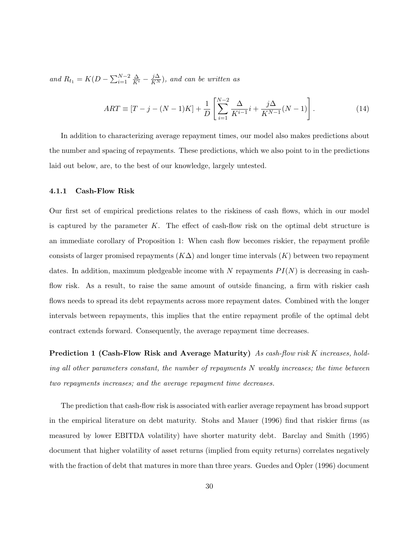and  $R_{t_1} = K(D - \sum_{i=1}^{N-2} \frac{\Delta}{K^i} - \frac{j\Delta}{K^N})$ , and can be written as

$$
ART \equiv [T - j - (N - 1)K] + \frac{1}{D} \left[ \sum_{i=1}^{N-2} \frac{\Delta}{K^{i-1}} i + \frac{j\Delta}{K^{N-1}} (N - 1) \right]. \tag{14}
$$

In addition to characterizing average repayment times, our model also makes predictions about the number and spacing of repayments. These predictions, which we also point to in the predictions laid out below, are, to the best of our knowledge, largely untested.

#### 4.1.1 Cash-Flow Risk

Our first set of empirical predictions relates to the riskiness of cash flows, which in our model is captured by the parameter  $K$ . The effect of cash-flow risk on the optimal debt structure is an immediate corollary of Proposition 1: When cash flow becomes riskier, the repayment profile consists of larger promised repayments  $(K\Delta)$  and longer time intervals  $(K)$  between two repayment dates. In addition, maximum pledgeable income with N repayments  $PI(N)$  is decreasing in cashflow risk. As a result, to raise the same amount of outside financing, a firm with riskier cash flows needs to spread its debt repayments across more repayment dates. Combined with the longer intervals between repayments, this implies that the entire repayment profile of the optimal debt contract extends forward. Consequently, the average repayment time decreases.

Prediction 1 (Cash-Flow Risk and Average Maturity) As cash-flow risk K increases, holding all other parameters constant, the number of repayments N weakly increases; the time between two repayments increases; and the average repayment time decreases.

The prediction that cash-flow risk is associated with earlier average repayment has broad support in the empirical literature on debt maturity. Stohs and Mauer (1996) find that riskier firms (as measured by lower EBITDA volatility) have shorter maturity debt. Barclay and Smith (1995) document that higher volatility of asset returns (implied from equity returns) correlates negatively with the fraction of debt that matures in more than three years. Guedes and Opler (1996) document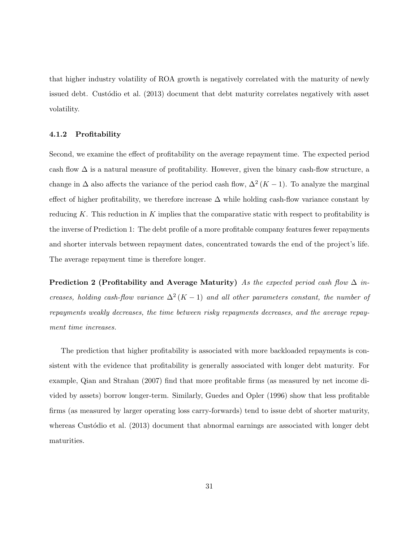that higher industry volatility of ROA growth is negatively correlated with the maturity of newly issued debt. Custódio et al. (2013) document that debt maturity correlates negatively with asset volatility.

#### 4.1.2 Profitability

Second, we examine the effect of profitability on the average repayment time. The expected period cash flow  $\Delta$  is a natural measure of profitability. However, given the binary cash-flow structure, a change in  $\Delta$  also affects the variance of the period cash flow,  $\Delta^2 (K - 1)$ . To analyze the marginal effect of higher profitability, we therefore increase  $\Delta$  while holding cash-flow variance constant by reducing K. This reduction in K implies that the comparative static with respect to profitability is the inverse of Prediction 1: The debt profile of a more profitable company features fewer repayments and shorter intervals between repayment dates, concentrated towards the end of the project's life. The average repayment time is therefore longer.

Prediction 2 (Profitability and Average Maturity) As the expected period cash flow  $\Delta$  increases, holding cash-flow variance  $\Delta^2 (K-1)$  and all other parameters constant, the number of repayments weakly decreases, the time between risky repayments decreases, and the average repayment time increases.

The prediction that higher profitability is associated with more backloaded repayments is consistent with the evidence that profitability is generally associated with longer debt maturity. For example, Qian and Strahan (2007) find that more profitable firms (as measured by net income divided by assets) borrow longer-term. Similarly, Guedes and Opler (1996) show that less profitable firms (as measured by larger operating loss carry-forwards) tend to issue debt of shorter maturity, whereas Custódio et al. (2013) document that abnormal earnings are associated with longer debt maturities.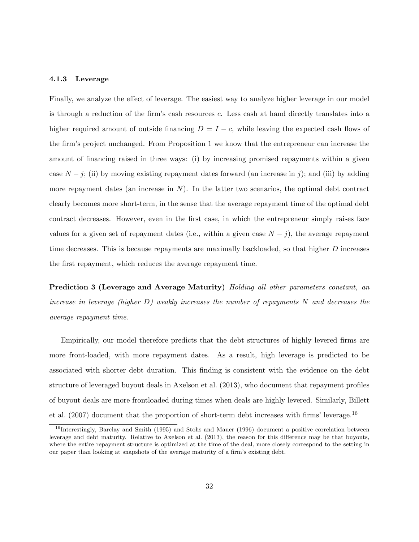#### 4.1.3 Leverage

Finally, we analyze the effect of leverage. The easiest way to analyze higher leverage in our model is through a reduction of the firm's cash resources c. Less cash at hand directly translates into a higher required amount of outside financing  $D = I - c$ , while leaving the expected cash flows of the firm's project unchanged. From Proposition 1 we know that the entrepreneur can increase the amount of financing raised in three ways: (i) by increasing promised repayments within a given case  $N - j$ ; (ii) by moving existing repayment dates forward (an increase in j); and (iii) by adding more repayment dates (an increase in  $N$ ). In the latter two scenarios, the optimal debt contract clearly becomes more short-term, in the sense that the average repayment time of the optimal debt contract decreases. However, even in the first case, in which the entrepreneur simply raises face values for a given set of repayment dates (i.e., within a given case  $N - j$ ), the average repayment time decreases. This is because repayments are maximally backloaded, so that higher  $D$  increases the first repayment, which reduces the average repayment time.

Prediction 3 (Leverage and Average Maturity) Holding all other parameters constant, an increase in leverage (higher  $D$ ) weakly increases the number of repayments N and decreases the average repayment time.

Empirically, our model therefore predicts that the debt structures of highly levered firms are more front-loaded, with more repayment dates. As a result, high leverage is predicted to be associated with shorter debt duration. This finding is consistent with the evidence on the debt structure of leveraged buyout deals in Axelson et al. (2013), who document that repayment profiles of buyout deals are more frontloaded during times when deals are highly levered. Similarly, Billett et al. (2007) document that the proportion of short-term debt increases with firms' leverage.<sup>16</sup>

<sup>&</sup>lt;sup>16</sup>Interestingly, Barclay and Smith (1995) and Stohs and Mauer (1996) document a positive correlation between leverage and debt maturity. Relative to Axelson et al. (2013), the reason for this difference may be that buyouts, where the entire repayment structure is optimized at the time of the deal, more closely correspond to the setting in our paper than looking at snapshots of the average maturity of a firm's existing debt.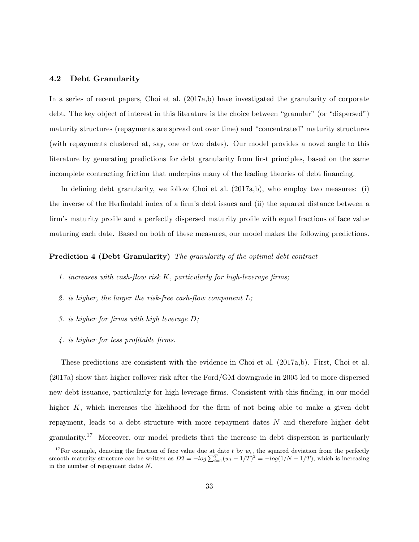#### 4.2 Debt Granularity

In a series of recent papers, Choi et al.  $(2017a,b)$  have investigated the granularity of corporate debt. The key object of interest in this literature is the choice between "granular" (or "dispersed") maturity structures (repayments are spread out over time) and "concentrated" maturity structures (with repayments clustered at, say, one or two dates). Our model provides a novel angle to this literature by generating predictions for debt granularity from first principles, based on the same incomplete contracting friction that underpins many of the leading theories of debt financing.

In defining debt granularity, we follow Choi et al.  $(2017a,b)$ , who employ two measures: (i) the inverse of the Herfindahl index of a firm's debt issues and (ii) the squared distance between a firm's maturity profile and a perfectly dispersed maturity profile with equal fractions of face value maturing each date. Based on both of these measures, our model makes the following predictions.

#### Prediction 4 (Debt Granularity) The granularity of the optimal debt contract

- 1. increases with cash-flow risk K, particularly for high-leverage firms;
- 2. is higher, the larger the risk-free cash-flow component  $L$ ;
- 3. is higher for firms with high leverage D;
- 4. is higher for less profitable firms.

These predictions are consistent with the evidence in Choi et al. (2017a,b). First, Choi et al. (2017a) show that higher rollover risk after the Ford/GM downgrade in 2005 led to more dispersed new debt issuance, particularly for high-leverage firms. Consistent with this finding, in our model higher K, which increases the likelihood for the firm of not being able to make a given debt repayment, leads to a debt structure with more repayment dates N and therefore higher debt granularity.<sup>17</sup> Moreover, our model predicts that the increase in debt dispersion is particularly

<sup>&</sup>lt;sup>17</sup>For example, denoting the fraction of face value due at date t by  $w_t$ , the squared deviation from the perfectly smooth maturity structure can be written as  $D2 = -log \sum_{i=1}^{T} (w_t - 1/T)^2 = -log(1/N - 1/T)$ , which is increasing in the number of repayment dates N.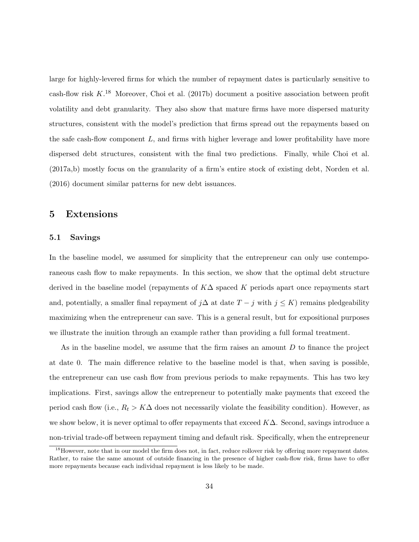large for highly-levered firms for which the number of repayment dates is particularly sensitive to cash-flow risk  $K^{18}$  Moreover, Choi et al. (2017b) document a positive association between profit volatility and debt granularity. They also show that mature firms have more dispersed maturity structures, consistent with the model's prediction that firms spread out the repayments based on the safe cash-flow component  $L$ , and firms with higher leverage and lower profitability have more dispersed debt structures, consistent with the final two predictions. Finally, while Choi et al. (2017a,b) mostly focus on the granularity of a firm's entire stock of existing debt, Norden et al. (2016) document similar patterns for new debt issuances.

# 5 Extensions

#### 5.1 Savings

In the baseline model, we assumed for simplicity that the entrepreneur can only use contemporaneous cash flow to make repayments. In this section, we show that the optimal debt structure derived in the baseline model (repayments of  $K\Delta$  spaced K periods apart once repayments start and, potentially, a smaller final repayment of  $j\Delta$  at date  $T - j$  with  $j \leq K$ ) remains pledgeability maximizing when the entrepreneur can save. This is a general result, but for expositional purposes we illustrate the inuition through an example rather than providing a full formal treatment.

As in the baseline model, we assume that the firm raises an amount D to finance the project at date 0. The main difference relative to the baseline model is that, when saving is possible, the entrepreneur can use cash flow from previous periods to make repayments. This has two key implications. First, savings allow the entrepreneur to potentially make payments that exceed the period cash flow (i.e.,  $R_t > K\Delta$  does not necessarily violate the feasibility condition). However, as we show below, it is never optimal to offer repayments that exceed  $K\Delta$ . Second, savings introduce a non-trivial trade-off between repayment timing and default risk. Specifically, when the entrepreneur

<sup>&</sup>lt;sup>18</sup>However, note that in our model the firm does not, in fact, reduce rollover risk by offering more repayment dates. Rather, to raise the same amount of outside financing in the presence of higher cash-flow risk, firms have to offer more repayments because each individual repayment is less likely to be made.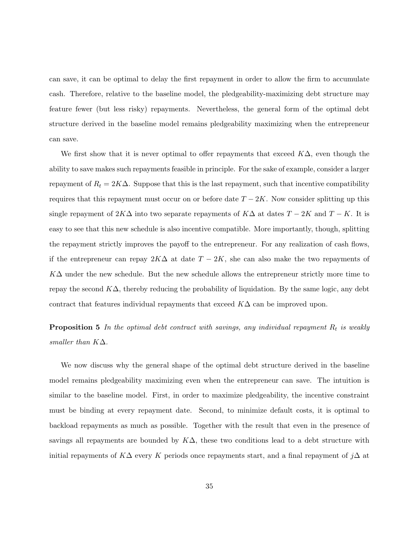can save, it can be optimal to delay the first repayment in order to allow the firm to accumulate cash. Therefore, relative to the baseline model, the pledgeability-maximizing debt structure may feature fewer (but less risky) repayments. Nevertheless, the general form of the optimal debt structure derived in the baseline model remains pledgeability maximizing when the entrepreneur can save.

We first show that it is never optimal to offer repayments that exceed  $K\Delta$ , even though the ability to save makes such repayments feasible in principle. For the sake of example, consider a larger repayment of  $R_t = 2K\Delta$ . Suppose that this is the last repayment, such that incentive compatibility requires that this repayment must occur on or before date  $T - 2K$ . Now consider splitting up this single repayment of  $2K\Delta$  into two separate repayments of  $K\Delta$  at dates  $T - 2K$  and  $T - K$ . It is easy to see that this new schedule is also incentive compatible. More importantly, though, splitting the repayment strictly improves the payoff to the entrepreneur. For any realization of cash flows, if the entrepreneur can repay  $2K\Delta$  at date  $T-2K$ , she can also make the two repayments of  $K\Delta$  under the new schedule. But the new schedule allows the entrepreneur strictly more time to repay the second  $K\Delta$ , thereby reducing the probability of liquidation. By the same logic, any debt contract that features individual repayments that exceed  $K\Delta$  can be improved upon.

**Proposition 5** In the optimal debt contract with savings, any individual repayment  $R_t$  is weakly smaller than K∆.

We now discuss why the general shape of the optimal debt structure derived in the baseline model remains pledgeability maximizing even when the entrepreneur can save. The intuition is similar to the baseline model. First, in order to maximize pledgeability, the incentive constraint must be binding at every repayment date. Second, to minimize default costs, it is optimal to backload repayments as much as possible. Together with the result that even in the presence of savings all repayments are bounded by  $K\Delta$ , these two conditions lead to a debt structure with initial repayments of  $K\Delta$  every K periods once repayments start, and a final repayment of j $\Delta$  at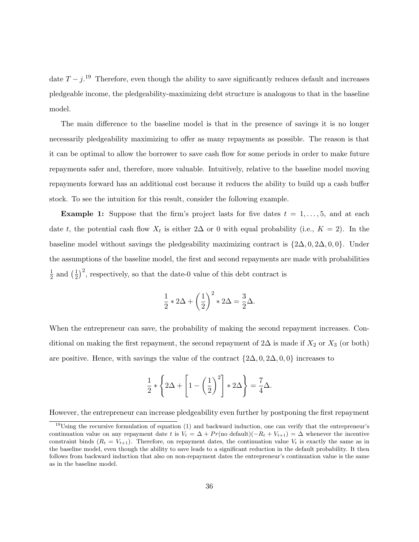date  $T - j$ .<sup>19</sup> Therefore, even though the ability to save significantly reduces default and increases pledgeable income, the pledgeability-maximizing debt structure is analogous to that in the baseline model.

The main difference to the baseline model is that in the presence of savings it is no longer necessarily pledgeability maximizing to offer as many repayments as possible. The reason is that it can be optimal to allow the borrower to save cash flow for some periods in order to make future repayments safer and, therefore, more valuable. Intuitively, relative to the baseline model moving repayments forward has an additional cost because it reduces the ability to build up a cash buffer stock. To see the intuition for this result, consider the following example.

**Example 1:** Suppose that the firm's project lasts for five dates  $t = 1, \ldots, 5$ , and at each date t, the potential cash flow  $X_t$  is either 2 $\Delta$  or 0 with equal probability (i.e.,  $K = 2$ ). In the baseline model without savings the pledgeability maximizing contract is  $\{2\Delta, 0, 2\Delta, 0, 0\}$ . Under the assumptions of the baseline model, the first and second repayments are made with probabilities 1  $\frac{1}{2}$  and  $\left(\frac{1}{2}\right)$  $\frac{1}{2}$ )<sup>2</sup>, respectively, so that the date-0 value of this debt contract is

$$
\frac{1}{2} * 2\Delta + \left(\frac{1}{2}\right)^2 * 2\Delta = \frac{3}{2}\Delta.
$$

When the entrepreneur can save, the probability of making the second repayment increases. Conditional on making the first repayment, the second repayment of  $2\Delta$  is made if  $X_2$  or  $X_3$  (or both) are positive. Hence, with savings the value of the contract  $\{2\Delta, 0, 2\Delta, 0, 0\}$  increases to

$$
\frac{1}{2} * \left\{ 2\Delta + \left[ 1 - \left(\frac{1}{2}\right)^2 \right] * 2\Delta \right\} = \frac{7}{4}\Delta.
$$

However, the entrepreneur can increase pledgeability even further by postponing the first repayment

 $19$ Using the recursive formulation of equation (1) and backward induction, one can verify that the entrepreneur's continuation value on any repayment date t is  $V_t = \Delta + Pr$ (no default)( $-R_t + V_{t+1}$ ) =  $\Delta$  whenever the incentive constraint binds  $(R_t = V_{t+1})$ . Therefore, on repayment dates, the continuation value  $V_t$  is exactly the same as in the baseline model, even though the ability to save leads to a significant reduction in the default probability. It then follows from backward induction that also on non-repayment dates the entrepreneur's continuation value is the same as in the baseline model.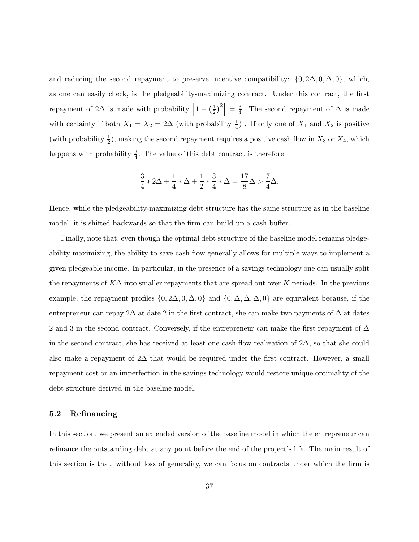and reducing the second repayment to preserve incentive compatibility:  $\{0, 2\Delta, 0, \Delta, 0\}$ , which, as one can easily check, is the pledgeability-maximizing contract. Under this contract, the first repayment of  $2\Delta$  is made with probability  $\left[1 - \left(\frac{1}{2}\right)\right]$  $\left[\frac{1}{2}\right)^2\right] = \frac{3}{4}$  $\frac{3}{4}$ . The second repayment of  $\Delta$  is made with certainty if both  $X_1 = X_2 = 2\Delta$  (with probability  $\frac{1}{4}$ ). If only one of  $X_1$  and  $X_2$  is positive (with probability  $\frac{1}{2}$ ), making the second repayment requires a positive cash flow in  $X_3$  or  $X_4$ , which happens with probability  $\frac{3}{4}$ . The value of this debt contract is therefore

$$
\frac{3}{4}*2\Delta+\frac{1}{4}*\Delta+\frac{1}{2}*\frac{3}{4}*\Delta=\frac{17}{8}\Delta>\frac{7}{4}\Delta.
$$

Hence, while the pledgeability-maximizing debt structure has the same structure as in the baseline model, it is shifted backwards so that the firm can build up a cash buffer.

Finally, note that, even though the optimal debt structure of the baseline model remains pledgeability maximizing, the ability to save cash flow generally allows for multiple ways to implement a given pledgeable income. In particular, in the presence of a savings technology one can usually split the repayments of  $K\Delta$  into smaller repayments that are spread out over K periods. In the previous example, the repayment profiles  $\{0, 2\Delta, 0, \Delta, 0\}$  and  $\{0, \Delta, \Delta, \Delta, 0\}$  are equivalent because, if the entrepreneur can repay 2 $\Delta$  at date 2 in the first contract, she can make two payments of  $\Delta$  at dates 2 and 3 in the second contract. Conversely, if the entrepreneur can make the first repayment of  $\Delta$ in the second contract, she has received at least one cash-flow realization of  $2\Delta$ , so that she could also make a repayment of  $2\Delta$  that would be required under the first contract. However, a small repayment cost or an imperfection in the savings technology would restore unique optimality of the debt structure derived in the baseline model.

#### 5.2 Refinancing

In this section, we present an extended version of the baseline model in which the entrepreneur can refinance the outstanding debt at any point before the end of the project's life. The main result of this section is that, without loss of generality, we can focus on contracts under which the firm is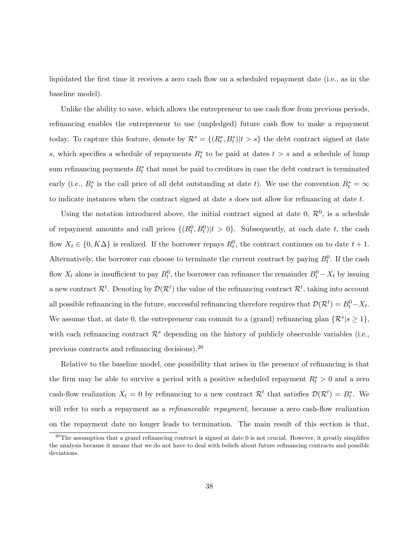liquidated the first time it receives a zero cash flow on a scheduled repayment date (i.e., as in the baseline model).

Unlike the ability to save, which allows the entrepreneur to use cash flow from previous periods, refinancing enables the entrepreneur to use (unpledged) future cash flow to make a repayment today. To capture this feature, denote by  $\mathcal{R}^s = \{(R_t^s, B_t^s)|t > s\}$  the debt contract signed at date s, which specifies a schedule of repayments  $R_t^s$  to be paid at dates  $t > s$  and a schedule of lump sum refinancing payments  $B_t^s$  that must be paid to creditors in case the debt contract is terminated early (i.e.,  $B_t^s$  is the call price of all debt outstanding at date t). We use the convention  $B_t^s = \infty$ to indicate instances when the contract signed at date  $s$  does not allow for refinancing at date  $t$ .

Using the notation introduced above, the initial contract signed at date 0,  $\mathcal{R}^0$ , is a schedule of repayment amounts and call prices  $\{(R_t^0, B_t^0)|t > 0\}$ . Subsequently, at each date t, the cash flow  $X_t \in \{0, K\Delta\}$  is realized. If the borrower repays  $R_t^0$ , the contract continues on to date  $t + 1$ . Alternatively, the borrower can choose to terminate the current contract by paying  $B_t^0$ . If the cash flow  $X_t$  alone is insufficient to pay  $B_t^0$ , the borrower can refinance the remainder  $B_t^0 - X_t$  by issuing a new contract  $\mathcal{R}^t$ . Denoting by  $\mathcal{D}(\mathcal{R}^t)$  the value of the refinancing contract  $\mathcal{R}^t$ , taking into account all possible refinancing in the future, successful refinancing therefore requires that  $\mathcal{D}(\mathcal{R}^t) = B_t^0 - X_t$ . We assume that, at date 0, the entrepreneur can commit to a (grand) refinancing plan  $\{\mathcal{R}^s | s \geq 1\}$ , with each refinancing contract  $\mathcal{R}^s$  depending on the history of publicly observable variables (i.e., previous contracts and refinancing decisions).<sup>20</sup>

Relative to the baseline model, one possibility that arises in the presence of refinancing is that the firm may be able to survive a period with a positive scheduled repayment  $R_t^s > 0$  and a zero cash-flow realization  $X_t = 0$  by refinancing to a new contract  $\mathcal{R}^t$  that satisfies  $\mathcal{D}(\mathcal{R}^t) = B_t^s$ . We will refer to such a repayment as a *refinanceable repayment*, because a zero cash-flow realization on the repayment date no longer leads to termination. The main result of this section is that,

 $^{20}$ The assumption that a grand refinancing contract is signed at date 0 is not crucial. However, it greatly simplifies the analysis because it means that we do not have to deal with beliefs about future refinancing contracts and possible deviations.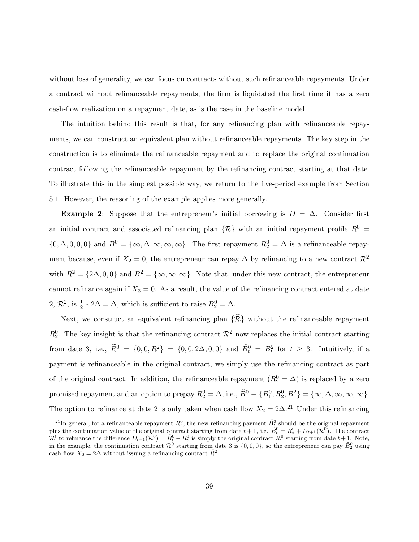without loss of generality, we can focus on contracts without such refinanceable repayments. Under a contract without refinanceable repayments, the firm is liquidated the first time it has a zero cash-flow realization on a repayment date, as is the case in the baseline model.

The intuition behind this result is that, for any refinancing plan with refinanceable repayments, we can construct an equivalent plan without refinanceable repayments. The key step in the construction is to eliminate the refinanceable repayment and to replace the original continuation contract following the refinanceable repayment by the refinancing contract starting at that date. To illustrate this in the simplest possible way, we return to the five-period example from Section 5.1. However, the reasoning of the example applies more generally.

**Example 2:** Suppose that the entrepreneur's initial borrowing is  $D = \Delta$ . Consider first an initial contract and associated refinancing plan  $\{\mathcal{R}\}\$  with an initial repayment profile  $R^0 =$  $\{0, \Delta, 0, 0, 0\}$  and  $B^0 = \{\infty, \Delta, \infty, \infty, \infty\}$ . The first repayment  $R_2^0 = \Delta$  is a refinanceable repayment because, even if  $X_2 = 0$ , the entrepreneur can repay  $\Delta$  by refinancing to a new contract  $\mathcal{R}^2$ with  $R^2 = \{2\Delta, 0, 0\}$  and  $B^2 = \{\infty, \infty, \infty\}$ . Note that, under this new contract, the entrepreneur cannot refinance again if  $X_3 = 0$ . As a result, the value of the refinancing contract entered at date 2,  $\mathcal{R}^2$ , is  $\frac{1}{2} * 2\Delta = \Delta$ , which is sufficient to raise  $B_2^0 = \Delta$ .

Next, we construct an equivalent refinancing plan  $\{\mathcal{R}\}\$  without the refinanceable repayment  $R_2^0$ . The key insight is that the refinancing contract  $\mathcal{R}^2$  now replaces the initial contract starting from date 3, i.e.,  $\tilde{R}^0 = \{0,0,R^2\} = \{0,0,2\Delta,0,0\}$  and  $\tilde{B}_t^0 = B_t^2$  for  $t \geq 3$ . Intuitively, if a payment is refinanceable in the original contract, we simply use the refinancing contract as part of the original contract. In addition, the refinanceable repayment  $(R_2^0 = \Delta)$  is replaced by a zero promised repayment and an option to prepay  $R_2^0 = \Delta$ , i.e.,  $\tilde{B}^0 \equiv \{B_1^0, R_2^0, B^2\} = \{\infty, \Delta, \infty, \infty, \infty\}$ . The option to refinance at date 2 is only taken when cash flow  $X_2 = 2\Delta^{21}$  Under this refinancing

<sup>&</sup>lt;sup>21</sup>In general, for a refinanceable repayment  $R_t^0$ , the new refinancing payment  $\tilde{B}_t^0$  should be the original repayment plus the continuation value of the original contract starting from date  $t + 1$ , i.e.  $\tilde{B}_t^0 = R_t^0 + D_{t+1}(\mathcal{R}^0)$ . The contract  $\tilde{R}^t$  to refinance the difference  $D_{t+1}(\mathcal{R}^0) = \tilde{B}_t^0 - R_t^0$  is simply the original contract  $\mathcal{R}^0$  starting from date  $t+1$ . Note, in the example, the continuation contract  $\mathcal{R}^0$  starting from date 3 is  $\{0,0,0\}$ , so the entrepreneur can pay  $\tilde{B}_2^0$  using cash flow  $X_2 = 2\Delta$  without issuing a refinancing contract  $\tilde{R}^2$ .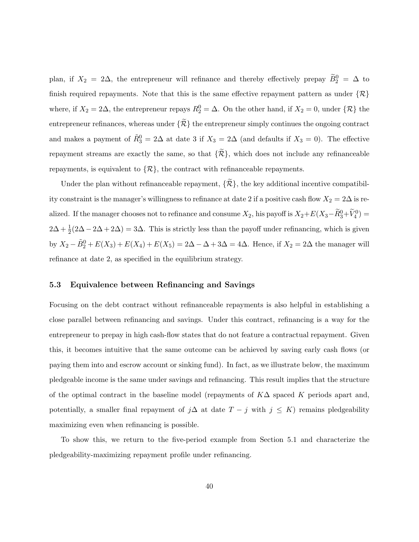plan, if  $X_2 = 2\Delta$ , the entrepreneur will refinance and thereby effectively prepay  $\tilde{B}_2^0 = \Delta$  to finish required repayments. Note that this is the same effective repayment pattern as under  $\{\mathcal{R}\}$ where, if  $X_2 = 2\Delta$ , the entrepreneur repays  $R_2^0 = \Delta$ . On the other hand, if  $X_2 = 0$ , under  $\{\mathcal{R}\}\$  the entrepreneur refinances, whereas under  $\{\widetilde{\mathcal{R}}\}$  the entrepreneur simply continues the ongoing contract and makes a payment of  $\tilde{R}_{3}^{0} = 2\Delta$  at date 3 if  $X_{3} = 2\Delta$  (and defaults if  $X_{3} = 0$ ). The effective repayment streams are exactly the same, so that  $\{\mathcal{R}\}\$ , which does not include any refinanceable repayments, is equivalent to  $\{\mathcal{R}\}\$ , the contract with refinanceable repayments.

Under the plan without refinanceable repayment,  $\{\mathcal{R}\}\$ , the key additional incentive compatibility constraint is the manager's willingness to refinance at date 2 if a positive cash flow  $X_2 = 2\Delta$  is realized. If the manager chooses not to refinance and consume  $X_2$ , his payoff is  $X_2 + E(X_3 - \widetilde{R}_3^0 + \widetilde{V}_4^0) =$  $2\Delta + \frac{1}{2}(2\Delta - 2\Delta + 2\Delta) = 3\Delta$ . This is strictly less than the payoff under refinancing, which is given by  $X_2 - \tilde{B}_2^0 + E(X_3) + E(X_4) + E(X_5) = 2\Delta - \Delta + 3\Delta = 4\Delta$ . Hence, if  $X_2 = 2\Delta$  the manager will refinance at date 2, as specified in the equilibrium strategy.

#### 5.3 Equivalence between Refinancing and Savings

Focusing on the debt contract without refinanceable repayments is also helpful in establishing a close parallel between refinancing and savings. Under this contract, refinancing is a way for the entrepreneur to prepay in high cash-flow states that do not feature a contractual repayment. Given this, it becomes intuitive that the same outcome can be achieved by saving early cash flows (or paying them into and escrow account or sinking fund). In fact, as we illustrate below, the maximum pledgeable income is the same under savings and refinancing. This result implies that the structure of the optimal contract in the baseline model (repayments of  $K\Delta$  spaced K periods apart and, potentially, a smaller final repayment of  $j\Delta$  at date  $T - j$  with  $j \leq K$ ) remains pledgeability maximizing even when refinancing is possible.

To show this, we return to the five-period example from Section 5.1 and characterize the pledgeability-maximizing repayment profile under refinancing.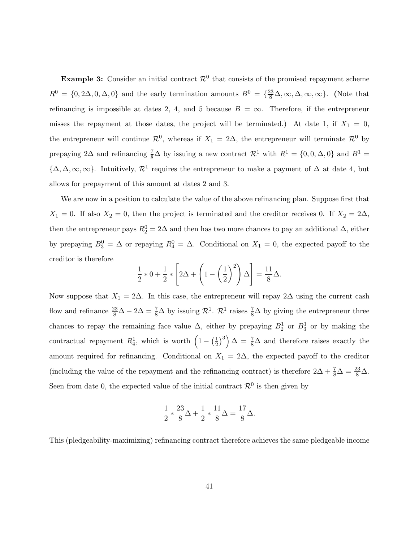**Example 3:** Consider an initial contract  $\mathcal{R}^0$  that consists of the promised repayment scheme  $R^0 = \{0, 2\Delta, 0, \Delta, 0\}$  and the early termination amounts  $B^0 = \{\frac{23}{8}\Delta, \infty, \Delta, \infty, \infty\}$ . (Note that refinancing is impossible at dates 2, 4, and 5 because  $B = \infty$ . Therefore, if the entrepreneur misses the repayment at those dates, the project will be terminated.) At date 1, if  $X_1 = 0$ , the entrepreneur will continue  $\mathcal{R}^0$ , whereas if  $X_1 = 2\Delta$ , the entrepreneur will terminate  $\mathcal{R}^0$  by prepaying 2 $\Delta$  and refinancing  $\frac{7}{8}\Delta$  by issuing a new contract  $\mathcal{R}^1$  with  $R^1 = \{0, 0, \Delta, 0\}$  and  $B^1 =$  $\{\Delta, \Delta, \infty, \infty\}$ . Intuitively,  $\mathcal{R}^1$  requires the entrepreneur to make a payment of  $\Delta$  at date 4, but allows for prepayment of this amount at dates 2 and 3.

We are now in a position to calculate the value of the above refinancing plan. Suppose first that  $X_1 = 0$ . If also  $X_2 = 0$ , then the project is terminated and the creditor receives 0. If  $X_2 = 2\Delta$ , then the entrepreneur pays  $R_2^0 = 2\Delta$  and then has two more chances to pay an additional  $\Delta$ , either by prepaying  $B_3^0 = \Delta$  or repaying  $R_4^0 = \Delta$ . Conditional on  $X_1 = 0$ , the expected payoff to the creditor is therefore

$$
\frac{1}{2} * 0 + \frac{1}{2} * \left[ 2\Delta + \left( 1 - \left(\frac{1}{2}\right)^2 \right) \Delta \right] = \frac{11}{8} \Delta.
$$

Now suppose that  $X_1 = 2\Delta$ . In this case, the entrepreneur will repay  $2\Delta$  using the current cash flow and refinance  $\frac{23}{8}\Delta - 2\Delta = \frac{7}{8}\Delta$  by issuing  $\mathcal{R}^1$ .  $\mathcal{R}^1$  raises  $\frac{7}{8}\Delta$  by giving the entrepreneur three chances to repay the remaining face value  $\Delta$ , either by prepaying  $B_2^1$  or  $B_3^1$  or by making the contractual repayment  $R_4^1$ , which is worth  $\left(1 - \left(\frac{1}{2}\right)$  $\left(\frac{1}{2}\right)^3$   $\Delta = \frac{7}{8}\Delta$  and therefore raises exactly the amount required for refinancing. Conditional on  $X_1 = 2\Delta$ , the expected payoff to the creditor (including the value of the repayment and the refinancing contract) is therefore  $2\Delta + \frac{7}{8}\Delta = \frac{23}{8}\Delta$ . Seen from date 0, the expected value of the initial contract  $\mathcal{R}^0$  is then given by

$$
\frac{1}{2} * \frac{23}{8}\Delta + \frac{1}{2} * \frac{11}{8}\Delta = \frac{17}{8}\Delta.
$$

This (pledgeability-maximizing) refinancing contract therefore achieves the same pledgeable income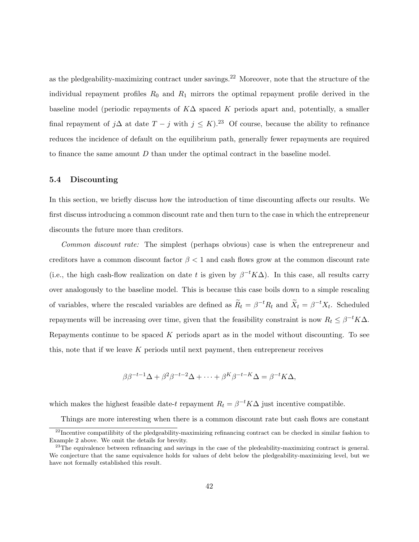as the pledgeability-maximizing contract under savings.<sup>22</sup> Moreover, note that the structure of the individual repayment profiles  $R_0$  and  $R_1$  mirrors the optimal repayment profile derived in the baseline model (periodic repayments of  $K\Delta$  spaced K periods apart and, potentially, a smaller final repayment of j $\Delta$  at date  $T - j$  with  $j \leq K$ ).<sup>23</sup> Of course, because the ability to refinance reduces the incidence of default on the equilibrium path, generally fewer repayments are required to finance the same amount D than under the optimal contract in the baseline model.

#### 5.4 Discounting

In this section, we briefly discuss how the introduction of time discounting affects our results. We first discuss introducing a common discount rate and then turn to the case in which the entrepreneur discounts the future more than creditors.

Common discount rate: The simplest (perhaps obvious) case is when the entrepreneur and creditors have a common discount factor  $\beta < 1$  and cash flows grow at the common discount rate (i.e., the high cash-flow realization on date t is given by  $\beta^{-t}K\Delta$ ). In this case, all results carry over analogously to the baseline model. This is because this case boils down to a simple rescaling of variables, where the rescaled variables are defined as  $\widetilde{R}_t = \beta^{-t} R_t$  and  $\widetilde{X}_t = \beta^{-t} X_t$ . Scheduled repayments will be increasing over time, given that the feasibility constraint is now  $R_t \leq \beta^{-t} K \Delta$ . Repayments continue to be spaced  $K$  periods apart as in the model without discounting. To see this, note that if we leave  $K$  periods until next payment, then entrepreneur receives

$$
\beta \beta^{-t-1} \Delta + \beta^2 \beta^{-t-2} \Delta + \dots + \beta^K \beta^{-t-K} \Delta = \beta^{-t} K \Delta,
$$

which makes the highest feasible date-t repayment  $R_t = \beta^{-t} K \Delta$  just incentive compatible.

Things are more interesting when there is a common discount rate but cash flows are constant

<sup>&</sup>lt;sup>22</sup>Incentive compatilibity of the pledgeability-maximizing refinancing contract can be checked in similar fashion to Example 2 above. We omit the details for brevity.

 $^{23}$ The equivalence between refinancing and savings in the case of the pledeability-maximizing contract is general. We conjecture that the same equivalence holds for values of debt below the pledgeability-maximizing level, but we have not formally established this result.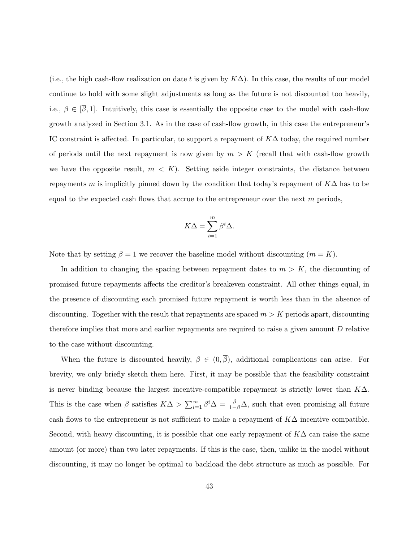(i.e., the high cash-flow realization on date t is given by  $K\Delta$ ). In this case, the results of our model continue to hold with some slight adjustments as long as the future is not discounted too heavily, i.e.,  $\beta \in [\beta, 1]$ . Intuitively, this case is essentially the opposite case to the model with cash-flow growth analyzed in Section 3.1. As in the case of cash-flow growth, in this case the entrepreneur's IC constraint is affected. In particular, to support a repayment of  $K\Delta$  today, the required number of periods until the next repayment is now given by  $m > K$  (recall that with cash-flow growth we have the opposite result,  $m < K$ ). Setting aside integer constraints, the distance between repayments m is implicitly pinned down by the condition that today's repayment of  $K\Delta$  has to be equal to the expected cash flows that accrue to the entrepreneur over the next  $m$  periods,

$$
K\Delta = \sum_{i=1}^{m} \beta^i \Delta.
$$

Note that by setting  $\beta = 1$  we recover the baseline model without discounting  $(m = K)$ .

In addition to changing the spacing between repayment dates to  $m > K$ , the discounting of promised future repayments affects the creditor's breakeven constraint. All other things equal, in the presence of discounting each promised future repayment is worth less than in the absence of discounting. Together with the result that repayments are spaced  $m > K$  periods apart, discounting therefore implies that more and earlier repayments are required to raise a given amount D relative to the case without discounting.

When the future is discounted heavily,  $\beta \in (0, \overline{\beta})$ , additional complications can arise. For brevity, we only briefly sketch them here. First, it may be possible that the feasibility constraint is never binding because the largest incentive-compatible repayment is strictly lower than  $K\Delta$ . This is the case when  $\beta$  satisfies  $K\Delta > \sum_{i=1}^{\infty} \beta^{i} \Delta = \frac{\beta}{1-\beta} \Delta$ , such that even promising all future cash flows to the entrepreneur is not sufficient to make a repayment of  $K\Delta$  incentive compatible. Second, with heavy discounting, it is possible that one early repayment of  $K\Delta$  can raise the same amount (or more) than two later repayments. If this is the case, then, unlike in the model without discounting, it may no longer be optimal to backload the debt structure as much as possible. For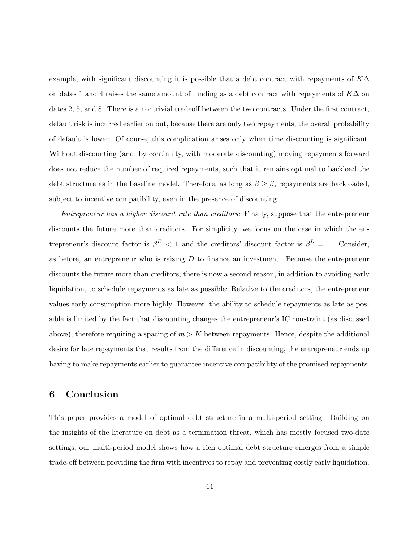example, with significant discounting it is possible that a debt contract with repayments of  $K\Delta$ on dates 1 and 4 raises the same amount of funding as a debt contract with repayments of  $K\Delta$  on dates 2, 5, and 8. There is a nontrivial tradeoff between the two contracts. Under the first contract, default risk is incurred earlier on but, because there are only two repayments, the overall probability of default is lower. Of course, this complication arises only when time discounting is significant. Without discounting (and, by continuity, with moderate discounting) moving repayments forward does not reduce the number of required repayments, such that it remains optimal to backload the debt structure as in the baseline model. Therefore, as long as  $\beta \geq \overline{\beta}$ , repayments are backloaded, subject to incentive compatibility, even in the presence of discounting.

Entrepreneur has a higher discount rate than creditors: Finally, suppose that the entrepreneur discounts the future more than creditors. For simplicity, we focus on the case in which the entrepreneur's discount factor is  $\beta^E$  < 1 and the creditors' discount factor is  $\beta^L = 1$ . Consider, as before, an entrepreneur who is raising  $D$  to finance an investment. Because the entrepreneur discounts the future more than creditors, there is now a second reason, in addition to avoiding early liquidation, to schedule repayments as late as possible: Relative to the creditors, the entrepreneur values early consumption more highly. However, the ability to schedule repayments as late as possible is limited by the fact that discounting changes the entrepreneur's IC constraint (as discussed above), therefore requiring a spacing of  $m > K$  between repayments. Hence, despite the additional desire for late repayments that results from the difference in discounting, the entrepreneur ends up having to make repayments earlier to guarantee incentive compatibility of the promised repayments.

# 6 Conclusion

This paper provides a model of optimal debt structure in a multi-period setting. Building on the insights of the literature on debt as a termination threat, which has mostly focused two-date settings, our multi-period model shows how a rich optimal debt structure emerges from a simple trade-off between providing the firm with incentives to repay and preventing costly early liquidation.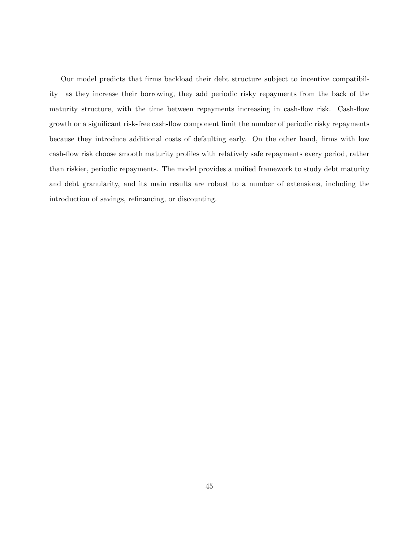Our model predicts that firms backload their debt structure subject to incentive compatibility—as they increase their borrowing, they add periodic risky repayments from the back of the maturity structure, with the time between repayments increasing in cash-flow risk. Cash-flow growth or a significant risk-free cash-flow component limit the number of periodic risky repayments because they introduce additional costs of defaulting early. On the other hand, firms with low cash-flow risk choose smooth maturity profiles with relatively safe repayments every period, rather than riskier, periodic repayments. The model provides a unified framework to study debt maturity and debt granularity, and its main results are robust to a number of extensions, including the introduction of savings, refinancing, or discounting.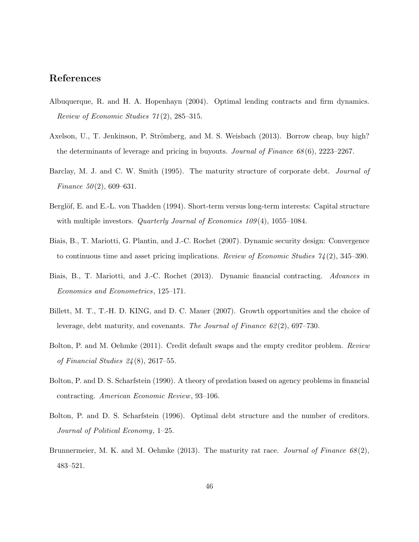# References

- Albuquerque, R. and H. A. Hopenhayn (2004). Optimal lending contracts and firm dynamics. Review of Economic Studies 71 (2), 285–315.
- Axelson, U., T. Jenkinson, P. Strömberg, and M. S. Weisbach (2013). Borrow cheap, buy high? the determinants of leverage and pricing in buyouts. Journal of Finance 68 (6), 2223–2267.
- Barclay, M. J. and C. W. Smith (1995). The maturity structure of corporate debt. *Journal of* Finance  $50(2)$ , 609–631.
- Berglöf, E. and E.-L. von Thadden (1994). Short-term versus long-term interests: Capital structure with multiple investors. Quarterly Journal of Economics  $109(4)$ , 1055–1084.
- Biais, B., T. Mariotti, G. Plantin, and J.-C. Rochet (2007). Dynamic security design: Convergence to continuous time and asset pricing implications. Review of Economic Studies  $\gamma_4(2)$ , 345–390.
- Biais, B., T. Mariotti, and J.-C. Rochet (2013). Dynamic financial contracting. Advances in Economics and Econometrics, 125–171.
- Billett, M. T., T.-H. D. KING, and D. C. Mauer (2007). Growth opportunities and the choice of leverage, debt maturity, and covenants. The Journal of Finance 62 (2), 697–730.
- Bolton, P. and M. Oehmke (2011). Credit default swaps and the empty creditor problem. Review of Financial Studies  $24(8)$ , 2617–55.
- Bolton, P. and D. S. Scharfstein (1990). A theory of predation based on agency problems in financial contracting. American Economic Review, 93–106.
- Bolton, P. and D. S. Scharfstein (1996). Optimal debt structure and the number of creditors. Journal of Political Economy, 1–25.
- Brunnermeier, M. K. and M. Oehmke (2013). The maturity rat race. Journal of Finance  $68(2)$ , 483–521.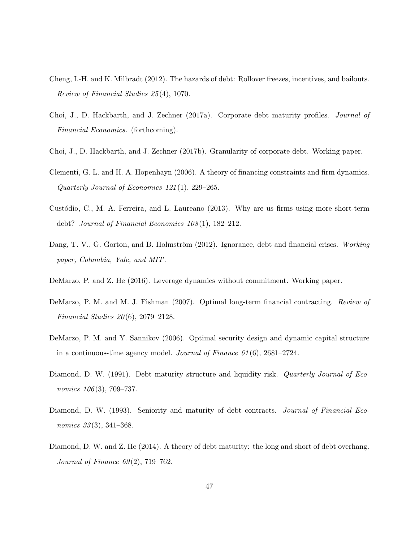- Cheng, I.-H. and K. Milbradt (2012). The hazards of debt: Rollover freezes, incentives, and bailouts. Review of Financial Studies 25 (4), 1070.
- Choi, J., D. Hackbarth, and J. Zechner (2017a). Corporate debt maturity profiles. Journal of Financial Economics. (forthcoming).
- Choi, J., D. Hackbarth, and J. Zechner (2017b). Granularity of corporate debt. Working paper.
- Clementi, G. L. and H. A. Hopenhayn (2006). A theory of financing constraints and firm dynamics. Quarterly Journal of Economics 121 (1), 229–265.
- Custódio, C., M. A. Ferreira, and L. Laureano (2013). Why are us firms using more short-term debt? *Journal of Financial Economics 108*(1), 182–212.
- Dang, T. V., G. Gorton, and B. Holmström (2012). Ignorance, debt and financial crises. Working paper, Columbia, Yale, and MIT.
- DeMarzo, P. and Z. He (2016). Leverage dynamics without commitment. Working paper.
- DeMarzo, P. M. and M. J. Fishman (2007). Optimal long-term financial contracting. Review of Financial Studies  $20(6)$ , 2079–2128.
- DeMarzo, P. M. and Y. Sannikov (2006). Optimal security design and dynamic capital structure in a continuous-time agency model. Journal of Finance  $61(6)$ ,  $2681-2724$ .
- Diamond, D. W. (1991). Debt maturity structure and liquidity risk. *Quarterly Journal of Eco*nomics  $106(3)$ , 709-737.
- Diamond, D. W. (1993). Seniority and maturity of debt contracts. Journal of Financial Economics 33(3), 341–368.
- Diamond, D. W. and Z. He (2014). A theory of debt maturity: the long and short of debt overhang. Journal of Finance  $69(2)$ , 719–762.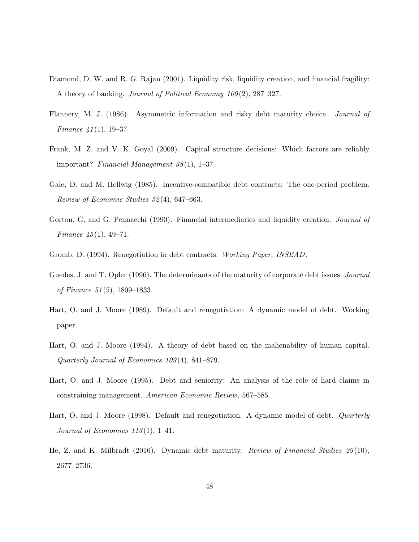- Diamond, D. W. and R. G. Rajan (2001). Liquidity risk, liquidity creation, and financial fragility: A theory of banking. Journal of Political Economy 109 (2), 287–327.
- Flannery, M. J. (1986). Asymmetric information and risky debt maturity choice. Journal of Finance  $41(1)$ , 19-37.
- Frank, M. Z. and V. K. Goyal (2009). Capital structure decisions: Which factors are reliably important? Financial Management 38 (1), 1–37.
- Gale, D. and M. Hellwig (1985). Incentive-compatible debt contracts: The one-period problem. Review of Economic Studies 52 (4), 647–663.
- Gorton, G. and G. Pennacchi (1990). Financial intermediaries and liquidity creation. *Journal of* Finance  $\angle 45(1)$ , 49-71.
- Gromb, D. (1994). Renegotiation in debt contracts. Working Paper, INSEAD.
- Guedes, J. and T. Opler (1996). The determinants of the maturity of corporate debt issues. Journal of Finance 51 (5), 1809–1833.
- Hart, O. and J. Moore (1989). Default and renegotiation: A dynamic model of debt. Working paper.
- Hart, O. and J. Moore (1994). A theory of debt based on the inalienability of human capital. Quarterly Journal of Economics 109 (4), 841–879.
- Hart, O. and J. Moore (1995). Debt and seniority: An analysis of the role of hard claims in constraining management. American Economic Review, 567–585.
- Hart, O. and J. Moore (1998). Default and renegotiation: A dynamic model of debt. Quarterly Journal of Economics  $113(1)$ , 1–41.
- He, Z. and K. Milbradt (2016). Dynamic debt maturity. Review of Financial Studies 29 (10), 2677–2736.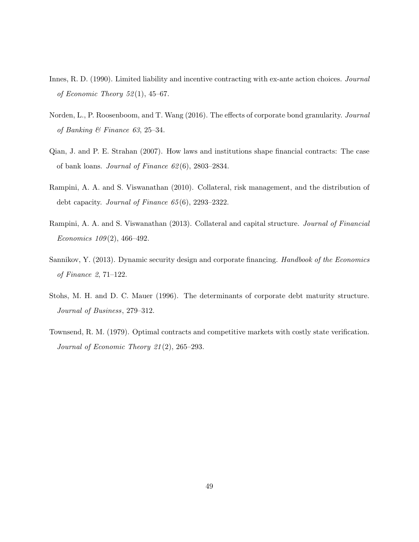- Innes, R. D. (1990). Limited liability and incentive contracting with ex-ante action choices. Journal of Economic Theory  $52(1)$ , 45–67.
- Norden, L., P. Roosenboom, and T. Wang (2016). The effects of corporate bond granularity. Journal of Banking & Finance 63, 25-34.
- Qian, J. and P. E. Strahan (2007). How laws and institutions shape financial contracts: The case of bank loans. Journal of Finance  $62(6)$ , 2803–2834.
- Rampini, A. A. and S. Viswanathan (2010). Collateral, risk management, and the distribution of debt capacity. Journal of Finance 65 (6), 2293–2322.
- Rampini, A. A. and S. Viswanathan (2013). Collateral and capital structure. Journal of Financial Economics  $109(2)$ , 466-492.
- Sannikov, Y. (2013). Dynamic security design and corporate financing. Handbook of the Economics of Finance 2, 71–122.
- Stohs, M. H. and D. C. Mauer (1996). The determinants of corporate debt maturity structure. Journal of Business, 279–312.
- Townsend, R. M. (1979). Optimal contracts and competitive markets with costly state verification. Journal of Economic Theory 21 (2), 265–293.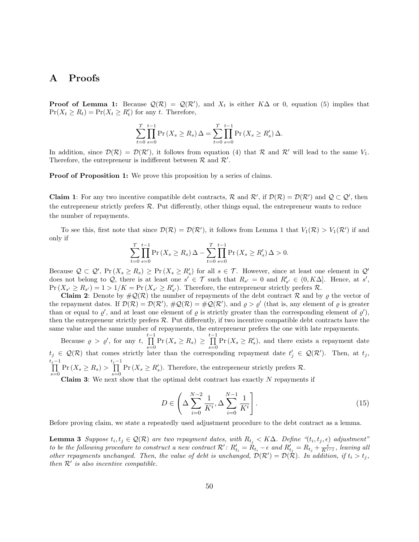# A Proofs

**Proof of Lemma 1:** Because  $\mathcal{Q}(\mathcal{R}) = \mathcal{Q}(\mathcal{R}')$ , and  $X_t$  is either  $K\Delta$  or 0, equation (5) implies that  $Pr(X_t \ge R_t) = Pr(X_t \ge R'_t)$  for any t. Therefore,

$$
\sum_{t=0}^{T} \prod_{s=0}^{t-1} \Pr(X_s \ge R_s) \Delta = \sum_{t=0}^{T} \prod_{s=0}^{t-1} \Pr(X_s \ge R'_s) \Delta.
$$

In addition, since  $\mathcal{D}(\mathcal{R}) = \mathcal{D}(\mathcal{R}')$ , it follows from equation (4) that  $\mathcal{R}$  and  $\mathcal{R}'$  will lead to the same  $V_1$ . Therefore, the entrepreneur is indifferent between  $R$  and  $R'$ .

Proof of Proposition 1: We prove this proposition by a series of claims.

**Claim 1**: For any two incentive compatible debt contracts, R and R', if  $\mathcal{D}(\mathcal{R}) = \mathcal{D}(\mathcal{R}')$  and  $\mathcal{Q} \subset \mathcal{Q}'$ , then the entrepreneur strictly prefers  $R$ . Put differently, other things equal, the entrepreneur wants to reduce the number of repayments.

To see this, first note that since  $\mathcal{D}(\mathcal{R}) = \mathcal{D}(\mathcal{R}')$ , it follows from Lemma 1 that  $V_1(\mathcal{R}) > V_1(\mathcal{R}')$  if and only if

$$
\sum_{t=0}^{T} \prod_{s=0}^{t-1} \Pr\left(X_s \ge R_s\right) \Delta - \sum_{t=0}^{T} \prod_{s=0}^{t-1} \Pr\left(X_s \ge R_s'\right) \Delta > 0.
$$

Because  $\mathcal{Q} \subset \mathcal{Q}'$ ,  $Pr(X_s \ge R_s) \ge Pr(X_s \ge R'_s)$  for all  $s \in \mathcal{T}$ . However, since at least one element in  $\mathcal{Q}'$ does not belong to Q, there is at least one  $s' \in \mathcal{T}$  such that  $R_{s'} = 0$  and  $R'_{s'} \in (0, K\Delta]$ . Hence, at  $s'$ ,  $Pr(X_{s'} \ge R_{s'}) = 1 > 1/K = Pr(X_{s'} \ge R'_{s'})$ . Therefore, the entrepreneur strictly prefers R.

**Claim 2:** Denote by  $\#\mathcal{Q}(\mathcal{R})$  the number of repayments of the debt contract  $\mathcal{R}$  and by  $\varrho$  the vector of the repayment dates. If  $\mathcal{D}(\mathcal{R}) = \mathcal{D}(\mathcal{R}')$ ,  $\#\mathcal{Q}(\mathcal{R}) = \#\mathcal{Q}(\mathcal{R}')$ , and  $\varrho > \varrho'$  (that is, any element of  $\varrho$  is greater than or equal to  $\varrho'$ , and at least one element of  $\varrho$  is strictly greater than the corresponding element of  $\varrho'$ ), then the entrepreneur strictly prefers R. Put differently, if two incentive compatible debt contracts have the same value and the same number of repayments, the entrepreneur prefers the one with late repayments.

Because  $\varrho > \varrho'$ , for any  $t$ ,  $\prod^{t-1}$  $\prod_{s=0}^{t-1} \Pr(X_s \geq R_s) \geq \prod_{s=0}^{t-1}$  $\prod_{s=0}$  Pr ( $X_s \ge R'_s$ ), and there exists a repayment date  $t_j \in \mathcal{Q}(\mathcal{R})$  that comes strictly later than the corresponding repayment date  $t'_j \in \mathcal{Q}(\mathcal{R}')$ . Then, at  $t_j$ ,  $\prod_{s=1}^{t_j-1} \Pr(X_s \geq R_s) >$  $\prod_{j=1}^{t_j-1} \Pr(X_s \geq R_s')$ . Therefore, the entrepreneur strictly prefers R.

 $s=0$ <br>**Claim 3**: We next show that the optimal debt contract has exactly N repayments if

$$
D \in \left(\Delta \sum_{i=0}^{N-2} \frac{1}{K^i}, \Delta \sum_{i=0}^{N-1} \frac{1}{K^i}\right].
$$
 (15)

Before proving claim, we state a repeatedly used adjustment procedure to the debt contract as a lemma.

**Lemma 3** Suppose  $t_i, t_j \in \mathcal{Q}(\mathcal{R})$  are two repayment dates, with  $R_{t_j} < K\Delta$ . Define " $(t_i, t_j, \epsilon)$  adjustment" to be the following procedure to construct a new contract  $\mathcal{R}'$ :  $R'_{t_i} = R_{t_i} - \epsilon$  and  $R'_{t_j} = R_{t_j} + \frac{\epsilon}{K^{i-j}}$ , leaving all other repayments unchanged. Then, the value of debt is unchanged,  $\mathcal{D}(\mathcal{R}') = \mathcal{D}(\mathcal{R})$ . In addition, if  $t_i > t_j$ , then  $\mathcal{R}'$  is also incentive compatible.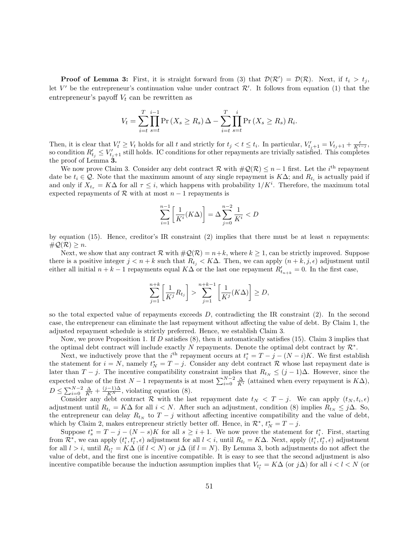**Proof of Lemma 3:** First, it is straight forward from (3) that  $\mathcal{D}(\mathcal{R}') = \mathcal{D}(\mathcal{R})$ . Next, if  $t_i > t_j$ , let V' be the entrepreneur's continuation value under contract  $\mathcal{R}'$ . It follows from equation (1) that the entrepreneur's payoff  $V_t$  can be rewritten as

$$
V_t = \sum_{i=t}^{T} \prod_{s=t}^{i-1} \Pr\left(X_s \geq R_s\right) \Delta - \sum_{i=t}^{T} \prod_{s=t}^{i} \Pr\left(X_s \geq R_s\right) R_i.
$$

Then, it is clear that  $V'_t \geq V_t$  holds for all t and strictly for  $t_j < t \leq t_i$ . In particular,  $V'_{t_j+1} = V_{t_j+1} + \frac{\epsilon}{K^{i-j}}$ , so condition  $R'_{t_j} \leq V'_{t_j+1}$  still holds. IC conditions for other repayments are trivially satisfied. This completes the proof of Lemma 3.

We now prove Claim 3. Consider any debt contract  $\mathcal R$  with  $\#\mathcal Q(\mathcal R)\leq n-1$  first. Let the i<sup>th</sup> repayment date be  $t_i \in \mathcal{Q}$ . Note that the maximum amount of any single repayment is  $K\Delta$ ; and  $R_{t_i}$  is actually paid if and only if  $X_{t_{\tau}} = K\Delta$  for all  $\tau \leq i$ , which happens with probability  $1/K^i$ . Therefore, the maximum total expected repayments of  $\mathcal R$  with at most  $n-1$  repayments is

$$
\sum_{i=1}^{n-1} \left[ \frac{1}{K^i} (K \Delta) \right] = \Delta \sum_{j=0}^{n-2} \frac{1}{K^i} < D
$$

by equation (15). Hence, creditor's IR constraint (2) implies that there must be at least n repayments:  $\#\mathcal{Q}(\mathcal{R}) \geq n$ .

Next, we show that any contract R with  $\#\mathcal{Q}(\mathcal{R}) = n+k$ , where  $k \geq 1$ , can be strictly improved. Suppose there is a positive integer  $j < n + k$  such that  $R_{t_i} < K\Delta$ . Then, we can apply  $(n + k, j, \epsilon)$  adjustment until either all initial  $n + k - 1$  repayments equal  $K\Delta$  or the last one repayment  $R'_{t_{n+k}} = 0$ . In the first case,

$$
\sum_{j=1}^{n+k} \left[ \frac{1}{K^j} R_{t_j} \right] > \sum_{j=1}^{n+k-1} \left[ \frac{1}{K^j} (K \Delta) \right] \ge D,
$$

so the total expected value of repayments exceeds  $D$ , contradicting the IR constraint  $(2)$ . In the second case, the entrepreneur can eliminate the last repayment without affecting the value of debt. By Claim 1, the adjusted repayment schedule is strictly preferred. Hence, we establish Claim 3.

Now, we prove Proposition 1. If  $D$  satisfies  $(8)$ , then it automatically satisfies  $(15)$ . Claim 3 implies that the optimal debt contract will include exactly N repayments. Denote the optimal debt contract by  $\mathcal{R}^*$ .

Next, we inductively prove that the  $i^{\text{th}}$  repayment occurs at  $t_i^* = T - j - (N - i)K$ . We first establish the statement for  $i = N$ , namely  $t_N^* = T - j$ . Consider any debt contract R whose last repayment date is later than  $T - j$ . The incentive compatibility constraint implies that  $R_{t_N} \leq (j-1)\Delta$ . However, since the expected value of the first  $N-1$  repayments is at most  $\sum_{i=0}^{N-2} \frac{\Delta}{K^i}$  (attained when every repayment is  $K\Delta$ ),  $D \leq \sum_{i=0}^{N-2} \frac{\Delta}{K^i} + \frac{(j-1)\Delta}{K^N}$ , violating equation (8).

Consider any debt contract R with the last repayment date  $t_N < T - j$ . We can apply  $(t_N, t_i, \epsilon)$ adjustment until  $R_{t_i} = K\Delta$  for all  $i < N$ . After such an adjustment, condition (8) implies  $R_{t_N} \leq j\Delta$ . So, the entrepreneur can delay  $R_{t_N}$  to  $T - j$  without affecting incentive compatibility and the value of debt, which by Claim 2, makes entrepreneur strictly better off. Hence, in  $\mathcal{R}^*, t^*_{N} = T - j$ .

Suppose  $t_s^* = T - j - (N - s)K$  for all  $s \geq i + 1$ . We now prove the statement for  $t_i^*$ . First, starting from  $\mathcal{R}^*$ , we can apply  $(t_i^*, t_i^*, \epsilon)$  adjustment for all  $l < i$ , until  $R_{t_l} = K\Delta$ . Next, apply  $(t_i^*, t_l^*, \epsilon)$  adjustment for all  $l > i$ , until  $R_{t_l^*} = K\Delta$  (if  $l < N$ ) or  $j\Delta$  (if  $l = N$ ). By Lemma 3, both adjustments do not affect the value of debt, and the first one is incentive compatible. It is easy to see that the second adjustment is also incentive compatible because the induction assumption implies that  $V_{t_i^*} = K\Delta$  (or  $j\Delta$ ) for all  $i < l < N$  (or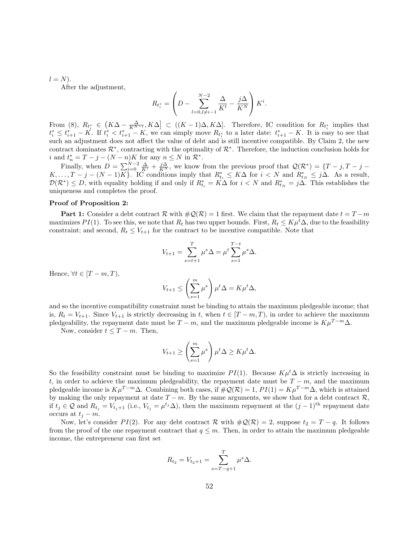$l = N$ ).

After the adjustment,

$$
R_{t_i^*} = \left(D - \sum_{l=0, l \neq i-1}^{N-2} \frac{\Delta}{K^l} - \frac{j\Delta}{K^N}\right) K^i.
$$

From (8),  $R_{t_i^*} \in (K\Delta - \frac{\Delta}{K^{N-i}}, K\Delta] \subset ((K-1)\Delta, K\Delta]$ . Therefore, IC condition for  $R_{t_i^*}$  implies that  $t_i^* \leq t_{i+1}^* - K$ . If  $t_i^* < t_{i+1}^* - K$ , we can simply move  $R_{t_i^*}$  to a later date:  $t_{i+1}^* - K$ . It is easy to see that such an adjustment does not affect the value of debt and is still incentive compatible. By Claim 2, the new contract dominates  $\mathcal{R}^*$ , contracting with the optimality of  $\mathcal{R}^*$ . Therefore, the induction conclusion holds for i and  $t_n^* = T - j - (N - n)K$  for any  $n \leq N$  in  $\mathcal{R}^*$ .

Finally, when  $D = \sum_{i=0}^{N-2} \frac{\Delta}{K^i} + \frac{j\Delta}{K^N}$ , we know from the previous proof that  $\mathcal{Q}(\mathcal{R}^*) = \{T-j, T-j-\}$  $K, \ldots, T-j-(N-1)K$ . IC conditions imply that  $R_{t_i}^* \leq K\Delta$  for  $i < N$  and  $R_{t_N}^* \leq j\Delta$ . As a result,  $\mathcal{D}(\mathcal{R}^*) \leq D$ , with equality holding if and only if  $R^*_{t_i} = K\Delta$  for  $i < N$  and  $R^*_{t_N} = j\Delta$ . This establishes the uniqueness and completes the proof.

#### Proof of Proposition 2:

**Part 1:** Consider a debt contract R with  $\#\mathcal{Q}(\mathcal{R}) = 1$  first. We claim that the repayment date  $t = T - m$ maximizes PI(1). To see this, we note that  $R_t$  has two upper bounds. First,  $R_t \leq K \mu^t \Delta$ , due to the feasibility constraint; and second,  $R_t \leq V_{t+1}$  for the contract to be incentive compatible. Note that

$$
V_{t+1} = \sum_{s=t+1}^{T} \mu^s \Delta = \mu^t \sum_{s=1}^{T-t} \mu^s \Delta.
$$

Hence,  $\forall t \in [T-m, T)$ ,

$$
V_{t+1} \le \left(\sum_{s=1}^m \mu^s\right) \mu^t \Delta = K \mu^t \Delta,
$$

and so the incentive compatibility constraint must be binding to attain the maximum pledgeable income; that is,  $R_t = V_{t+1}$ . Since  $V_{t+1}$  is strictly decreasing in t, when  $t \in [T-m, T)$ , in order to achieve the maximum pledgeability, the repayment date must be  $T - m$ , and the maximum pledgeable income is  $K\mu^{T-m}\Delta$ .

Now, consider  $t \leq T - m$ . Then,

$$
V_{t+1} \ge \left(\sum_{s=1}^m \mu^s\right) \mu^t \Delta \ge K \mu^t \Delta.
$$

So the feasibility constraint must be binding to maximize  $PI(1)$ . Because  $K\mu^t\Delta$  is strictly increasing in t, in order to achieve the maximum pledgeability, the repayment date must be  $T - m$ , and the maximum pledgeable income is  $K\mu^{T-m}\Delta$ . Combining both cases, if  $\#\mathcal{Q}(\mathcal{R})=1$ ,  $PI(1)=K\mu^{T-m}\Delta$ , which is attained by making the only repayment at date  $T - m$ . By the same arguments, we show that for a debt contract R, if  $t_j \in \mathcal{Q}$  and  $R_{t_j} = V_{t_j+1}$  (i.e.,  $V_{t_j} = \mu^{t_j} \Delta$ ), then the maximum repayment at the  $(j-1)$ <sup>th</sup> repayment date occurs at  $t_i - m$ .

Now, let's consider PI(2). For any debt contract R with  $\#\mathcal{Q}(\mathcal{R})=2$ , suppose  $t_2=T-q$ . It follows from the proof of the one repayment contract that  $q \leq m$ . Then, in order to attain the maximum pledgeable income, the entrepreneur can first set

$$
R_{t_2} = V_{t_2+1} = \sum_{s=T-q+1}^{T} \mu^s \Delta.
$$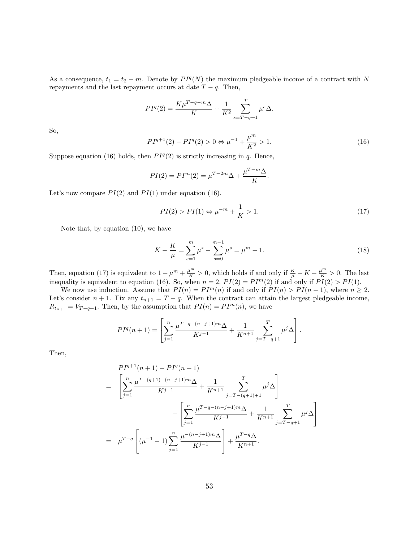As a consequence,  $t_1 = t_2 - m$ . Denote by  $PI<sup>q</sup>(N)$  the maximum pledgeable income of a contract with N repayments and the last repayment occurs at date  $T - q$ . Then,

$$
PI^{q}(2) = \frac{K\mu^{T-q-m}\Delta}{K} + \frac{1}{K^{2}} \sum_{s=T-q+1}^{T} \mu^{s}\Delta.
$$

So,

$$
PI^{q+1}(2) - PI^{q}(2) > 0 \Leftrightarrow \mu^{-1} + \frac{\mu^{m}}{K^2} > 1.
$$
\n(16)

Suppose equation (16) holds, then  $PI<sup>q</sup>(2)$  is strictly increasing in q. Hence,

$$
PI(2) = PI^{m}(2) = \mu^{T-2m}\Delta + \frac{\mu^{T-m}\Delta}{K}.
$$

Let's now compare  $PI(2)$  and  $PI(1)$  under equation (16).

$$
PI(2) > PI(1) \Leftrightarrow \mu^{-m} + \frac{1}{K} > 1.
$$
\n<sup>(17)</sup>

Note that, by equation (10), we have

$$
K - \frac{K}{\mu} = \sum_{s=1}^{m} \mu^s - \sum_{s=0}^{m-1} \mu^s = \mu^m - 1.
$$
 (18)

Then, equation (17) is equivalent to  $1 - \mu^m + \frac{\mu^m}{K} > 0$ , which holds if and only if  $\frac{K}{\mu} - K + \frac{\mu^m}{K} > 0$ . The last inequality is equivalent to equation (16). So, when  $n = 2$ ,  $PI(2) = PI<sup>m</sup>(2)$  if and only if  $PI(2) > PI(1)$ .

We now use induction. Assume that  $PI(n) = PI^m(n)$  if and only if  $PI(n) > PI(n-1)$ , where  $n \geq 2$ . Let's consider  $n + 1$ . Fix any  $t_{n+1} = T - q$ . When the contract can attain the largest pledgeable income,  $R_{t_{n+1}} = V_{T-q+1}$ . Then, by the assumption that  $PI(n) = PI^{m}(n)$ , we have

$$
PI^{q}(n+1) = \left[\sum_{j=1}^{n} \frac{\mu^{T-q-(n-j+1)m}\Delta}{K^{j-1}} + \frac{1}{K^{n+1}} \sum_{j=T-q+1}^{T} \mu^{j}\Delta\right].
$$

Then,

$$
PI^{q+1}(n+1) - PI^{q}(n+1)
$$
\n
$$
= \left[ \sum_{j=1}^{n} \frac{\mu^{T-(q+1)-(n-j+1)m} \Delta}{K^{j-1}} + \frac{1}{K^{n+1}} \sum_{j=T-(q+1)+1}^{T} \mu^{j} \Delta \right]
$$
\n
$$
- \left[ \sum_{j=1}^{n} \frac{\mu^{T-q-(n-j+1)m} \Delta}{K^{j-1}} + \frac{1}{K^{n+1}} \sum_{j=T-q+1}^{T} \mu^{j} \Delta \right]
$$
\n
$$
= \mu^{T-q} \left[ (\mu^{-1} - 1) \sum_{j=1}^{n} \frac{\mu^{-(n-j+1)m} \Delta}{K^{j-1}} \right] + \frac{\mu^{T-q} \Delta}{K^{n+1}}.
$$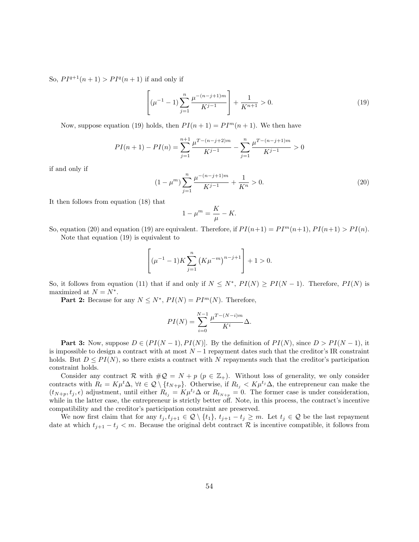So,  $PI^{q+1}(n + 1) > PI^{q}(n + 1)$  if and only if

$$
\left[ (\mu^{-1} - 1) \sum_{j=1}^{n} \frac{\mu^{-(n-j+1)m}}{K^{j-1}} \right] + \frac{1}{K^{n+1}} > 0.
$$
 (19)

Now, suppose equation (19) holds, then  $PI(n+1) = PI^m(n+1)$ . We then have

$$
PI(n+1) - PI(n) = \sum_{j=1}^{n+1} \frac{\mu^{T-(n-j+2)m}}{K^{j-1}} - \sum_{j=1}^{n} \frac{\mu^{T-(n-j+1)m}}{K^{j-1}} > 0
$$

if and only if

$$
(1 - \mu^m) \sum_{j=1}^n \frac{\mu^{-(n-j+1)m}}{K^{j-1}} + \frac{1}{K^n} > 0.
$$
 (20)

It then follows from equation (18) that

$$
1 - \mu^m = \frac{K}{\mu} - K.
$$

So, equation (20) and equation (19) are equivalent. Therefore, if  $PI(n+1) = PT^m(n+1)$ ,  $PI(n+1) > PI(n)$ . Note that equation (19) is equivalent to

$$
\left[ (\mu^{-1} - 1) K \sum_{j=1}^{n} \left( K \mu^{-m} \right)^{n-j+1} \right] + 1 > 0.
$$

So, it follows from equation (11) that if and only if  $N \leq N^*$ ,  $PI(N) \geq PI(N-1)$ . Therefore,  $PI(N)$  is maximized at  $N = N^*$ .

Part 2: Because for any  $N \le N^*$ ,  $PI(N) = PI^m(N)$ . Therefore,

$$
PI(N) = \sum_{i=0}^{N-1} \frac{\mu^{T-(N-i)m}}{K^i} \Delta.
$$

**Part 3:** Now, suppose  $D \in (PI(N-1), PI(N)]$ . By the definition of  $PI(N)$ , since  $D > PI(N-1)$ , it is impossible to design a contract with at most  $N-1$  repayment dates such that the creditor's IR constraint holds. But  $D \leq PI(N)$ , so there exists a contract with N repayments such that the creditor's participation constraint holds.

Consider any contract R with  $\#\mathcal{Q} = N + p$  ( $p \in \mathbb{Z}_+$ ). Without loss of generality, we only consider contracts with  $R_t = K\mu^t\Delta$ ,  $\forall t \in \mathcal{Q} \setminus \{t_{N+p}\}.$  Otherwise, if  $R_{t_j} < K\mu^{t_j}\Delta$ , the entrepreneur can make the  $(t_{N+p}, t_j, \epsilon)$  adjustment, until either  $R_{t_j} = K \mu^{t_j} \Delta$  or  $R_{t_{N+p}} = 0$ . The former case is under consideration, while in the latter case, the entrepreneur is strictly better off. Note, in this process, the contract's incentive compatibility and the creditor's participation constraint are preserved.

We now first claim that for any  $t_j, t_{j+1} \in \mathcal{Q} \setminus \{t_1\}, t_{j+1} - t_j \geq m$ . Let  $t_j \in \mathcal{Q}$  be the last repayment date at which  $t_{j+1} - t_j < m$ . Because the original debt contract R is incentive compatible, it follows from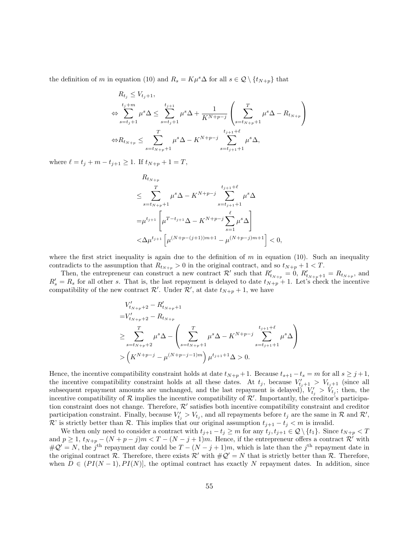the definition of m in equation (10) and  $R_s = K\mu^s \Delta$  for all  $s \in \mathcal{Q} \setminus \{t_{N+p}\}\$  that

$$
R_{t_j} \leq V_{t_j+1},
$$
  
\n
$$
\Leftrightarrow \sum_{s=t_j+1}^{t_j+m} \mu^s \Delta \leq \sum_{s=t_j+1}^{t_{j+1}} \mu^s \Delta + \frac{1}{K^{N+p-j}} \left( \sum_{s=t_{N+p}+1}^T \mu^s \Delta - R_{t_{N+p}} \right)
$$
  
\n
$$
\Leftrightarrow R_{t_{N+p}} \leq \sum_{s=t_{N+p}+1}^T \mu^s \Delta - K^{N+p-j} \sum_{s=t_{j+1}+1}^{t_{j+1}+\ell} \mu^s \Delta,
$$

where  $\ell = t_j + m - t_{j+1} \ge 1$ . If  $t_{N+p} + 1 = T$ ,

$$
R_{t_{N+p}}
$$
\n
$$
\leq \sum_{s=t_{N+p}+1}^{T} \mu^{s} \Delta - K^{N+p-j} \sum_{s=t_{j+1}+1}^{t_{j+1}+\ell} \mu^{s} \Delta
$$
\n
$$
= \mu^{t_{j+1}} \left[ \mu^{T-t_{j+1}} \Delta - K^{N+p-j} \sum_{s=1}^{\ell} \mu^{s} \Delta \right]
$$
\n
$$
< \Delta \mu^{t_{j+1}} \left[ \mu^{(N+p-(j+1))m+1} - \mu^{(N+p-j)m+1} \right] < 0,
$$

where the first strict inequality is again due to the definition of  $m$  in equation (10). Such an inequality contradicts to the assumption that  $R_{t_{N+p}} > 0$  in the original contract, and so  $t_{N+p} + 1 < T$ .

Then, the entrepreneur can construct a new contract  $\mathcal{R}'$  such that  $R'_{t_{N+p}} = 0$ ,  $R'_{t_{N+p}+1} = R_{t_{N+p}}$ , and  $R'_s = R_s$  for all other s. That is, the last repayment is delayed to date  $t_{N+p} + 1$ . Let's check the incentive compatibility of the new contract  $\mathcal{R}'$ . Under  $\mathcal{R}'$ , at date  $t_{N+p} + 1$ , we have

$$
V'_{t_{N+p}+2} - R'_{t_{N+p}+1}
$$
  
=  $V'_{t_{N+p}+2} - R_{t_{N+p}}$   

$$
\geq \sum_{s=t_{N+p}+2}^{T} \mu^s \Delta - \left( \sum_{s=t_{N+p}+1}^{T} \mu^s \Delta - K^{N+p-j} \sum_{s=t_{j+1}+1}^{t_{j+1}+\ell} \mu^s \Delta \right)
$$
  

$$
> \left( K^{N+p-j} - \mu^{(N+p-j-1)m} \right) \mu^{t_{j+1}+1} \Delta > 0.
$$

Hence, the incentive compatibility constraint holds at date  $t_{N+p}+1$ . Because  $t_{s+1}-t_s = m$  for all  $s \geq j+1$ , the incentive compatibility constraint holds at all these dates. At  $t_j$ , because  $V'_{t_j+1} > V_{t_j+1}$  (since all subsequent repayment amounts are unchanged, and the last repayment is delayed),  $V'_{t_j} > V_{t_j}$ ; then, the incentive compatibility of R implies the incentive compatibility of  $\mathcal{R}'$ . Importantly, the creditor's participation constraint does not change. Therefore,  $\mathcal{R}'$  satisfies both incentive compatibility constraint and creditor participation constraint. Finally, because  $V'_{t_j} > V_{t_j}$ , and all repayments before  $t_j$  are the same in  $R$  and  $R'$ ,  $\mathcal{R}'$  is strictly better than  $\mathcal{R}$ . This implies that our original assumption  $t_{j+1} - t_j < m$  is invalid.

We then only need to consider a contract with  $t_{j+1} - t_j \geq m$  for any  $t_j, t_{j+1} \in \mathcal{Q} \setminus \{t_1\}$ . Since  $t_{N+p} < T$ and  $p \ge 1$ ,  $t_{N+p} - (N+p-j)m < T - (N-j+1)m$ . Hence, if the entrepreneur offers a contract  $\mathcal{R}^j$  with  $\#\mathcal{Q}'=N$ , the j<sup>th</sup> repayment day could be  $T-(N-j+1)m$ , which is late than the j<sup>th</sup> repayment date in the original contract R. Therefore, there exists  $\mathcal{R}'$  with  $\#\mathcal{Q}' = N$  that is strictly better than R. Therefore, when  $D \in (PI(N-1), PI(N)]$ , the optimal contract has exactly N repayment dates. In addition, since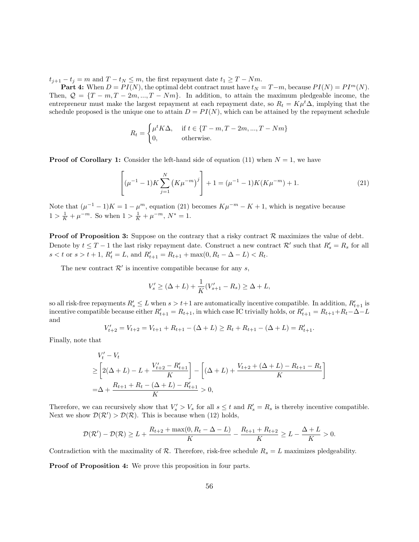$t_{j+1} - t_j = m$  and  $T - t_N \le m$ , the first repayment date  $t_1 \ge T - Nm$ .

**Part 4:** When  $D = PI(N)$ , the optimal debt contract must have  $t_N = T-m$ , because  $PI(N) = PI^m(N)$ . Then,  $Q = \{T - m, T - 2m, ..., T - Nm\}$ . In addition, to attain the maximum pledgeable income, the entrepreneur must make the largest repayment at each repayment date, so  $R_t = K\mu^t\Delta$ , implying that the schedule proposed is the unique one to attain  $D = PI(N)$ , which can be attained by the repayment schedule

$$
R_t = \begin{cases} \mu^t K \Delta, & \text{if } t \in \{T - m, T - 2m, \dots, T - Nm\} \\ 0, & \text{otherwise.} \end{cases}
$$

**Proof of Corollary 1:** Consider the left-hand side of equation (11) when  $N = 1$ , we have

$$
\left[ (\mu^{-1} - 1) K \sum_{j=1}^{N} \left( K \mu^{-m} \right)^j \right] + 1 = (\mu^{-1} - 1) K (K \mu^{-m}) + 1. \tag{21}
$$

Note that  $(\mu^{-1} - 1)K = 1 - \mu^m$ , equation (21) becomes  $K\mu^{-m} - K + 1$ , which is negative because  $1 > \frac{1}{K} + \mu^{-m}$ . So when  $1 > \frac{1}{K} + \mu^{-m}$ ,  $N^* = 1$ .

**Proof of Proposition 3:** Suppose on the contrary that a risky contract  $\mathcal{R}$  maximizes the value of debt. Denote by  $t \leq T-1$  the last risky repayment date. Construct a new contract  $\mathcal{R}'$  such that  $R'_s = R_s$  for all  $s < t$  or  $s > t + 1$ ,  $R'_t = L$ , and  $R'_{t+1} = R_{t+1} + \max(0, R_t - \Delta - L) < R_t$ .

The new contract  $\mathcal{R}'$  is incentive compatible because for any s,

$$
V'_{s} \geq (\Delta + L) + \frac{1}{K}(V'_{s+1} - R_{s}) \geq \Delta + L,
$$

so all risk-free repayments  $R'_s \leq L$  when  $s > t+1$  are automatically incentive compatible. In addition,  $R'_{t+1}$  is incentive compatible because either  $R'_{t+1} = R_{t+1}$ , in which case IC trivially holds, or  $R'_{t+1} = R_{t+1} + R_t - \Delta - L$ and

$$
V'_{t+2} = V_{t+2} = V_{t+1} + R_{t+1} - (\Delta + L) \ge R_t + R_{t+1} - (\Delta + L) = R'_{t+1}.
$$

Finally, note that

$$
V'_{t} - V_{t}
$$
\n
$$
\geq \left[2(\Delta + L) - L + \frac{V'_{t+2} - R'_{t+1}}{K}\right] - \left[(\Delta + L) + \frac{V_{t+2} + (\Delta + L) - R_{t+1} - R_t}{K}\right]
$$
\n
$$
= \Delta + \frac{R_{t+1} + R_t - (\Delta + L) - R'_{t+1}}{K} > 0,
$$

Therefore, we can recursively show that  $V'_s > V_s$  for all  $s \leq t$  and  $R'_s = R_s$  is thereby incentive compatible. Next we show  $\mathcal{D}(\mathcal{R}') > \mathcal{D}(\mathcal{R})$ . This is because when (12) holds,

$$
\mathcal{D}(\mathcal{R}') - \mathcal{D}(\mathcal{R}) \ge L + \frac{R_{t+2} + \max(0, R_t - \Delta - L)}{K} - \frac{R_{t+1} + R_{t+2}}{K} \ge L - \frac{\Delta + L}{K} > 0.
$$

Contradiction with the maximality of R. Therefore, risk-free schedule  $R_s = L$  maximizes pledgeability.

Proof of Proposition 4: We prove this proposition in four parts.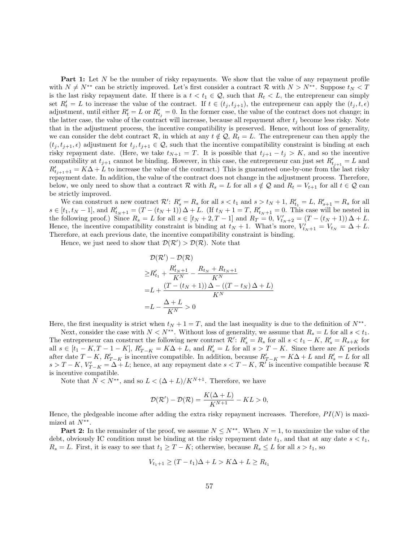**Part 1:** Let N be the number of risky repayments. We show that the value of any repayment profile with  $N \neq N^{**}$  can be strictly improved. Let's first consider a contract R with  $N > N^{**}$ . Suppose  $t_N < T$ is the last risky repayment date. If there is a  $t < t_1 \in \mathcal{Q}$ , such that  $R_t < L$ , the entrepreneur can simply set  $R'_t = L$  to increase the value of the contract. If  $t \in (t_j, t_{j+1})$ , the entrepreneur can apply the  $(t_j, t, \epsilon)$ adjustment, until either  $R'_t = L$  or  $R'_{t_j} = 0$ . In the former case, the value of the contract does not change; in the latter case, the value of the contract will increase, because all repayment after  $t_i$  become less risky. Note that in the adjustment process, the incentive compatibility is preserved. Hence, without loss of generality, we can consider the debt contract  $\mathcal{R}$ , in which at any  $t \notin \mathcal{Q}$ ,  $R_t = L$ . The entrepreneur can then apply the  $(t_j, t_{j+1}, \epsilon)$  adjustment for  $t_j, t_{j+1} \in \mathcal{Q}$ , such that the incentive compatibility constraint is binding at each risky repayment date. (Here, we take  $t_{N+1} = T$ . It is possible that  $t_{j+1} - t_j > K$ , and so the incentive compatibility at  $t_{j+1}$  cannot be binding. However, in this case, the entrepreneur can just set  $R'_{t_{j+1}} = L$  and  $R_{t_{j+1}+1}' = K\Delta + L$  to increase the value of the contract.) This is guaranteed one-by-one from the last risky repayment date. In addition, the value of the contract does not change in the adjustment process. Therefore, below, we only need to show that a contract R with  $R_s = L$  for all  $s \notin \mathcal{Q}$  and  $R_t = V_{t+1}$  for all  $t \in \mathcal{Q}$  can be strictly improved.

We can construct a new contract  $\mathcal{R}'$ :  $R'_{s} = R_{s}$  for all  $s < t_1$  and  $s > t_N + 1$ ,  $R'_{t_1} = L$ ,  $R'_{s+1} = R_{s}$  for all  $s \in [t_1, t_N - 1]$ , and  $R'_{t_N+1} = (T - (t_N + 1)) \Delta + L$ . (If  $t_N + 1 = T$ ,  $R'_{t_N+1} = 0$ . This case will be nested in the following proof.) Since  $R_s = L$  for all  $s \in [t_N + 2, T - 1]$  and  $R_T = 0$ ,  $V'_{t_N + 2} = (T - (t_N + 1)) \Delta + L$ . Hence, the incentive compatibility constraint is binding at  $t_N + 1$ . What's more,  $V'_{t_N+1} = V_{t_N} = \Delta + L$ . Therefore, at each previous date, the incentive compatibility constraint is binding.

Hence, we just need to show that  $\mathcal{D}(\mathcal{R}') > \mathcal{D}(\mathcal{R})$ . Note that

$$
\mathcal{D}(\mathcal{R}') - \mathcal{D}(\mathcal{R})
$$
\n
$$
\geq R'_{t_1} + \frac{R'_{t_N+1}}{K^N} - \frac{R_{t_N} + R_{t_N+1}}{K^N}
$$
\n
$$
= L + \frac{(T - (t_N + 1))\Delta - ((T - t_N)\Delta + L)}{K^N}
$$
\n
$$
= L - \frac{\Delta + L}{K^N} > 0
$$

Here, the first inequality is strict when  $t_N + 1 = T$ , and the last inequality is due to the definition of  $N^{**}$ .

Next, consider the case with  $N < N^{**}$ . Without loss of generality, we assume that  $R_s = L$  for all  $s < t_1$ . The entrepreneur can construct the following new contract  $\mathcal{R}'$ :  $R'_{s} = R_{s}$  for all  $s < t_{1} - K$ ,  $R'_{s} = R_{s+K}$  for all  $s \in [t_1 - K, T - 1 - K]$ ,  $R'_{T-K} = K\Delta + L$ , and  $R'_{s} = L$  for all  $s > T - K$ . Since there are K periods after date  $T - K$ ,  $R'_{T-K}$  is incentive compatible. In addition, because  $R'_{T-K} = K\Delta + L$  and  $R'_{s} = L$  for all  $s > T - K$ ,  $V'_{T-K} = \Delta + L$ ; hence, at any repayment date  $s < T - K$ ,  $\mathcal{R}^{\prime}$  is incentive compatible because  $\mathcal{R}$ is incentive compatible.

Note that  $N < N^{**}$ , and so  $L < (\Delta + L)/K^{N+1}$ . Therefore, we have

$$
\mathcal{D}(\mathcal{R}') - \mathcal{D}(\mathcal{R}) = \frac{K(\Delta + L)}{K^{N+1}} - KL > 0,
$$

Hence, the pledgeable income after adding the extra risky repayment increases. Therefore,  $PI(N)$  is maximized at  $N^{**}$ .

**Part 2:** In the remainder of the proof, we assume  $N \leq N^{**}$ . When  $N = 1$ , to maximize the value of the debt, obviously IC condition must be binding at the risky repayment date  $t_1$ , and that at any date  $s < t_1$ ,  $R_s = L$ . First, it is easy to see that  $t_1 \geq T - K$ ; otherwise, because  $R_s \leq L$  for all  $s > t_1$ , so

$$
V_{t_1+1} \ge (T-t_1)\Delta + L > K\Delta + L \ge R_{t_1}
$$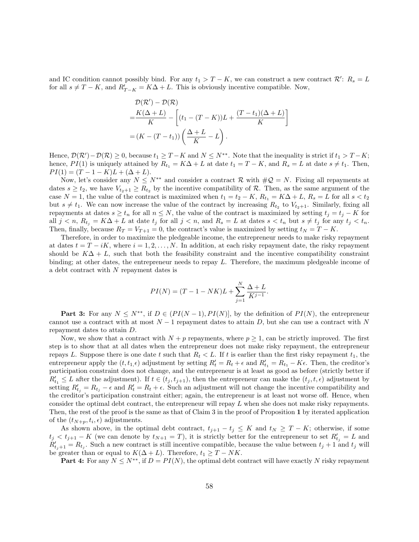and IC condition cannot possibly bind. For any  $t_1 > T - K$ , we can construct a new contract  $\mathcal{R}'$ :  $R_s = L$ for all  $s \neq T - K$ , and  $R'_{T-K} = K\Delta + L$ . This is obviously incentive compatible. Now,

$$
\mathcal{D}(\mathcal{R}') - \mathcal{D}(\mathcal{R})
$$
\n
$$
= \frac{K(\Delta + L)}{K} - \left[ (t_1 - (T - K))L + \frac{(T - t_1)(\Delta + L)}{K} \right]
$$
\n
$$
= (K - (T - t_1)) \left( \frac{\Delta + L}{K} - L \right).
$$

Hence,  $\mathcal{D}(\mathcal{R}') - \mathcal{D}(\mathcal{R}) \geq 0$ , because  $t_1 \geq T - K$  and  $N \leq N^{**}$ . Note that the inequality is strict if  $t_1 > T - K$ ; hence,  $PI(1)$  is uniquely attained by  $R_{t_1} = K\Delta + L$  at date  $t_1 = T - K$ , and  $R_s = L$  at date  $s \neq t_1$ . Then,  $PI(1) = (T - 1 - K)L + (\Delta + L).$ 

Now, let's consider any  $N \leq N^{**}$  and consider a contract R with  $\#\mathcal{Q} = N$ . Fixing all repayments at dates  $s \ge t_2$ , we have  $V_{t_2+1} \ge R_{t_2}$  by the incentive compatibility of R. Then, as the same argument of the case  $N = 1$ , the value of the contract is maximized when  $t_1 = t_2 - K$ ,  $R_{t_1} = K\Delta + L$ ,  $R_s = L$  for all  $s < t_2$ but  $s \neq t_1$ . We can now increase the value of the contract by increasing  $R_{t_2}$  to  $V_{t_2+1}$ . Similarly, fixing all repayments at dates  $s \ge t_n$  for all  $n \le N$ , the value of the contract is maximized by setting  $t_j = t_j - K$  for all  $j < n$ ,  $R_{t_j} = K\Delta + L$  at date  $t_j$  for all  $j < n$ , and  $R_s = L$  at dates  $s < t_n$  but  $s \neq t_j$  for any  $t_j < t_n$ . Then, finally, because  $R_T = V_{T+1} = 0$ , the contract's value is maximized by setting  $t_N = T - K$ .

Therefore, in order to maximize the pledgeable income, the entrepreneur needs to make risky repayment at dates  $t = T - iK$ , where  $i = 1, 2, ..., N$ . In addition, at each risky repayment date, the risky repayment should be  $K\Delta + L$ , such that both the feasibility constraint and the incentive compatibility constraint binding; at other dates, the entrepreneur needs to repay L. Therefore, the maximum pledgeable income of a debt contract with N repayment dates is

$$
PI(N) = (T - 1 - NK)L + \sum_{j=1}^{N} \frac{\Delta + L}{K^{j-1}}.
$$

**Part 3:** For any  $N \leq N^{**}$ , if  $D \in (PI(N-1), PI(N)]$ , by the definition of  $PI(N)$ , the entrepreneur cannot use a contract with at most  $N-1$  repayment dates to attain D, but she can use a contract with N repayment dates to attain D.

Now, we show that a contract with  $N + p$  repayments, where  $p \ge 1$ , can be strictly improved. The first step is to show that at all dates when the entrepreneur does not make risky repayment, the entrepreneur repays L. Suppose there is one date t such that  $R_t < L$ . If t is earlier than the first risky repayment  $t_1$ , the entrepreneur apply the  $(t, t_1, \epsilon)$  adjustment by setting  $R'_t = R_t + \epsilon$  and  $R'_{t_1} = R_{t_1} - K\epsilon$ . Then, the creditor's participation constraint does not change, and the entrepreneur is at least as good as before (strictly better if  $R_{t_1}' \leq L$  after the adjustment). If  $t \in (t_j, t_{j+1})$ , then the entrepreneur can make the  $(t_j, t, \epsilon)$  adjustment by setting  $R'_{t_j} = R_{t_j} - \epsilon$  and  $R'_t = R_t + \epsilon$ . Such an adjustment will not change the incentive compatibility and the creditor's participation constraint either; again, the entrepreneur is at least not worse off. Hence, when consider the optimal debt contract, the entrepreneur will repay L when she does not make risky repayments. Then, the rest of the proof is the same as that of Claim 3 in the proof of Proposition 1 by iterated application of the  $(t_{N+p}, t_i, \epsilon)$  adjustments.

As shown above, in the optimal debt contract,  $t_{j+1} - t_j \leq K$  and  $t_N \geq T - K$ ; otherwise, if some  $t_j < t_{j+1} - K$  (we can denote by  $t_{N+1} = T$ ), it is strictly better for the entrepreneur to set  $R'_{t_j} = L$  and  $R_{t_j+1}' = R_{t_j}$ . Such a new contract is still incentive compatible, because the value between  $t_j + 1$  and  $t_j$  will be greater than or equal to  $K(\Delta + L)$ . Therefore,  $t_1 \geq T - NK$ .

**Part 4:** For any  $N \leq N^{**}$ , if  $D = PI(N)$ , the optimal debt contract will have exactly N risky repayment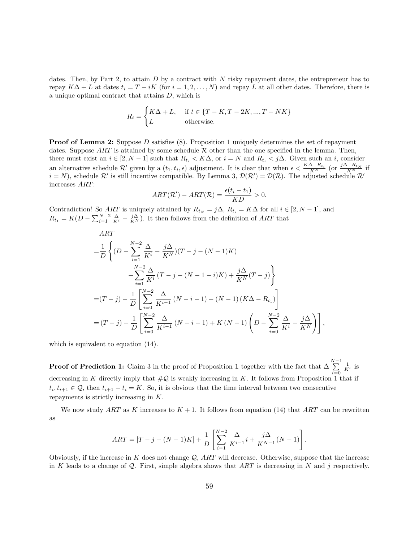dates. Then, by Part 2, to attain  $D$  by a contract with  $N$  risky repayment dates, the entrepreneur has to repay  $K\Delta + L$  at dates  $t_i = T - iK$  (for  $i = 1, 2, ..., N$ ) and repay L at all other dates. Therefore, there is a unique optimal contract that attains D, which is

$$
R_t = \begin{cases} K\Delta + L, & \text{if } t \in \{T - K, T - 2K, \dots, T - NK\} \\ L & \text{otherwise.} \end{cases}
$$

Proof of Lemma 2: Suppose D satisfies (8). Proposition 1 uniquely determines the set of repayment dates. Suppose  $ART$  is attained by some schedule  $R$  other than the one specified in the lemma. Then, there must exist an  $i \in [2, N-1]$  such that  $R_{t_i} < K\Delta$ , or  $i = N$  and  $R_{t_i} < j\Delta$ . Given such an i, consider an alternative schedule  $\mathcal{R}'$  given by a  $(t_1, t_i, \epsilon)$  adjustment. It is clear that when  $\epsilon < \frac{K\Delta - R_{t_i}}{K^N}$  (or  $\frac{j\Delta - R_{t_i}}{K^N}$  if  $i = N$ , schedule  $\mathcal{R}'$  is still incentive compatible. By Lemma 3,  $\mathcal{D}(\mathcal{R}') = \mathcal{D}(\mathcal{R})$ . The adjusted schedule  $\mathcal{R}'$ increases ART:

$$
ART(\mathcal{R}') - ART(\mathcal{R}) = \frac{\epsilon(t_i - t_1)}{KD} > 0.
$$

Contradiction! So ART is uniquely attained by  $R_{t_N} = j\Delta$ ,  $R_{t_i} = K\Delta$  for all  $i \in [2, N - 1]$ , and  $R_{t_1} = K(D - \sum_{i=1}^{N-2} \frac{\Delta}{K^i} - \frac{j\Delta}{K^N})$ . It then follows from the definition of ART that

$$
ART
$$
  
\n
$$
= \frac{1}{D} \left\{ (D - \sum_{i=1}^{N-2} \frac{\Delta}{K^i} - \frac{j\Delta}{K^N}) (T - j - (N - 1)K) + \sum_{i=1}^{N-2} \frac{\Delta}{K^i} (T - j - (N - 1 - i)K) + \frac{j\Delta}{K^N} (T - j) \right\}
$$
  
\n
$$
= (T - j) - \frac{1}{D} \left[ \sum_{i=0}^{N-2} \frac{\Delta}{K^{i-1}} (N - i - 1) - (N - 1) (K\Delta - R_{t_1}) \right]
$$
  
\n
$$
= (T - j) - \frac{1}{D} \left[ \sum_{i=0}^{N-2} \frac{\Delta}{K^{i-1}} (N - i - 1) + K (N - 1) \left( D - \sum_{i=0}^{N-2} \frac{\Delta}{K^i} - \frac{j\Delta}{K^N} \right) \right],
$$

which is equivalent to equation (14).

**Proof of Prediction 1:** Claim 3 in the proof of Proposition 1 together with the fact that  $\Delta \sum_{n=1}^{N-1}$  $i=0$  $\frac{1}{K^i}$  is decreasing in K directly imply that  $\#\mathcal{Q}$  is weakly increasing in K. It follows from Proposition 1 that if  $t_i, t_{i+1} \in \mathcal{Q}$ , then  $t_{i+1} - t_i = K$ . So, it is obvious that the time interval between two consecutive repayments is strictly increasing in K.

We now study ART as K increases to  $K + 1$ . It follows from equation (14) that ART can be rewritten as

$$
ART = [T - j - (N - 1)K] + \frac{1}{D} \left[ \sum_{i=1}^{N-2} \frac{\Delta}{K^{i-1}} i + \frac{j\Delta}{K^{N-1}} (N - 1) \right].
$$

Obviously, if the increase in K does not change  $Q$ , ART will decrease. Otherwise, suppose that the increase in K leads to a change of  $Q$ . First, simple algebra shows that ART is decreasing in N and j respectively.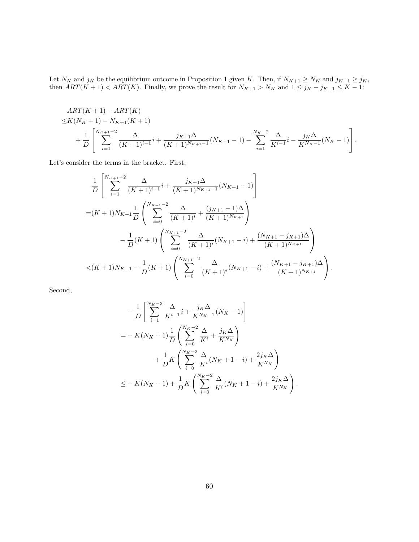Let  $N_K$  and  $j_K$  be the equilibrium outcome in Proposition 1 given K. Then, if  $N_{K+1} \ge N_K$  and  $j_{K+1} \ge j_K$ , then  $ART(K + 1) < ART(K)$ . Finally, we prove the result for  $N_{K+1} > N_K$  and  $1 \leq j_K - j_{K+1} \leq K - 1$ :

$$
ART(K + 1) - ART(K)
$$
  
\n
$$
\leq K(N_K + 1) - N_{K+1}(K + 1)
$$
  
\n
$$
+ \frac{1}{D} \left[ \sum_{i=1}^{N_{K+1}-2} \frac{\Delta}{(K+1)^{i-1}} i + \frac{j_{K+1}\Delta}{(K+1)^{N_{K+1}-1}} (N_{K+1} - 1) - \sum_{i=1}^{N_K-2} \frac{\Delta}{K^{i-1}} i - \frac{j_K\Delta}{K^{N_K-1}} (N_K - 1) \right].
$$

Let's consider the terms in the bracket. First,

$$
\frac{1}{D} \left[ \sum_{i=1}^{N_{K+1}-2} \frac{\Delta}{(K+1)^{i-1}} i + \frac{j_{K+1}\Delta}{(K+1)^{N_{K+1}-1}} (N_{K+1} - 1) \right]
$$
\n
$$
= (K+1)N_{K+1} \frac{1}{D} \left( \sum_{i=0}^{N_{K+1}-2} \frac{\Delta}{(K+1)^{i}} + \frac{(j_{K+1}-1)\Delta}{(K+1)^{N_{K+1}}} \right)
$$
\n
$$
- \frac{1}{D} (K+1) \left( \sum_{i=0}^{N_{K+1}-2} \frac{\Delta}{(K+1)^{i}} (N_{K+1} - i) + \frac{(N_{K+1} - j_{K+1})\Delta}{(K+1)^{N_{K+1}}} \right)
$$
\n
$$
< (K+1)N_{K+1} - \frac{1}{D} (K+1) \left( \sum_{i=0}^{N_{K+1}-2} \frac{\Delta}{(K+1)^{i}} (N_{K+1} - i) + \frac{(N_{K+1} - j_{K+1})\Delta}{(K+1)^{N_{K+1}}} \right).
$$

Second,

$$
- \frac{1}{D} \left[ \sum_{i=1}^{N_K - 2} \frac{\Delta}{K^{i-1}} i + \frac{j_K \Delta}{K^{N_K - 1}} (N_K - 1) \right]
$$
  
=  $- K(N_K + 1) \frac{1}{D} \left( \sum_{i=0}^{N_K - 2} \frac{\Delta}{K^i} + \frac{j_K \Delta}{K^{N_K}} \right)$   
 $+ \frac{1}{D} K \left( \sum_{i=0}^{N_K - 2} \frac{\Delta}{K^i} (N_K + 1 - i) + \frac{2j_K \Delta}{K^{N_K}} \right)$   
 $\leq - K(N_K + 1) + \frac{1}{D} K \left( \sum_{i=0}^{N_K - 2} \frac{\Delta}{K^i} (N_K + 1 - i) + \frac{2j_K \Delta}{K^{N_K}} \right).$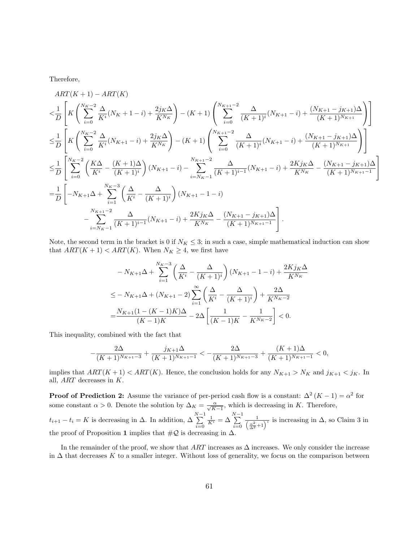Therefore,

$$
ART(K + 1) - ART(K)
$$
\n
$$
\begin{aligned}\n&\leq \frac{1}{D} \left[ K \left( \sum_{i=0}^{N_K - 2} \frac{\Delta}{K^i} (N_K + 1 - i) + \frac{2j_K \Delta}{K^{N_K}} \right) - (K + 1) \left( \sum_{i=0}^{N_{K+1} - 2} \frac{\Delta}{(K+1)^i} (N_{K+1} - i) + \frac{(N_{K+1} - j_{K+1})\Delta}{(K+1)^{N_{K+1}}} \right) \right] \\
&\leq \frac{1}{D} \left[ K \left( \sum_{i=0}^{N_K - 2} \frac{\Delta}{K^i} (N_{K+1} - i) + \frac{2j_K \Delta}{K^{N_K}} \right) - (K + 1) \left( \sum_{i=0}^{N_{K+1} - 2} \frac{\Delta}{(K+1)^i} (N_{K+1} - i) + \frac{(N_{K+1} - j_{K+1})\Delta}{(K+1)^{N_{K+1}}} \right) \right] \\
&\leq \frac{1}{D} \left[ \sum_{i=0}^{N_K - 2} \left( \frac{K\Delta}{K^i} - \frac{(K+1)\Delta}{(K+1)^i} \right) (N_{K+1} - i) - \sum_{i=N_K - 1}^{N_{K+1} - 2} \frac{\Delta}{(K+1)^{i-1}} (N_{K+1} - i) + \frac{2Kj_K \Delta}{K^{N_K}} - \frac{(N_{K+1} - j_{K+1})\Delta}{(K+1)^{N_{K+1} - 1}} \right] \\
&= \frac{1}{D} \left[ -N_{K+1} \Delta + \sum_{i=1}^{N_{K} - 3} \left( \frac{\Delta}{K^i} - \frac{\Delta}{(K+1)^i} \right) (N_{K+1} - 1 - i) - \sum_{i=N_K - 1}^{N_{K+1} - 2} \frac{\Delta}{(K+1)^{N_K}} - \frac{(N_{K+1} - j_{K+1})\Delta}{(K+1)^{N_{K+1} - 1}} \right].\n\end{aligned}
$$

Note, the second term in the bracket is 0 if  $N_K \leq 3$ ; in such a case, simple mathematical induction can show that  $ART(K + 1) < ART(K)$ . When  $N_K \geq 4$ , we first have

$$
-N_{K+1}\Delta + \sum_{i=1}^{N_K-3} \left(\frac{\Delta}{K^i} - \frac{\Delta}{(K+1)^i}\right)(N_{K+1} - 1 - i) + \frac{2Kj_K\Delta}{K^{N_K}}
$$
  

$$
\leq -N_{K+1}\Delta + (N_{K+1} - 2)\sum_{i=1}^{\infty} \left(\frac{\Delta}{K^i} - \frac{\Delta}{(K+1)^i}\right) + \frac{2\Delta}{K^{N_K-2}}
$$
  

$$
= \frac{N_{K+1}(1 - (K-1)K)\Delta}{(K-1)K} - 2\Delta \left[\frac{1}{(K-1)K} - \frac{1}{K^{N_K-2}}\right] < 0.
$$

This inequality, combined with the fact that

$$
-\frac{2\Delta}{(K+1)^{N_{K+1}-3}}+\frac{j_{K+1}\Delta}{(K+1)^{N_{K+1}-1}}<-\frac{2\Delta}{(K+1)^{N_{K+1}-3}}+\frac{(K+1)\Delta}{(K+1)^{N_{K+1}-1}}<0,
$$

implies that  $ART(K+1) < ART(K)$ . Hence, the conclusion holds for any  $N_{K+1} > N_K$  and  $j_{K+1} < j_K$ . In all, ART decreases in K.

**Proof of Prediction 2:** Assume the variance of per-period cash flow is a constant:  $\Delta^2 (K - 1) = \alpha^2$  for some constant  $\alpha > 0$ . Denote the solution by  $\Delta_K = \frac{\alpha}{\sqrt{K-1}}$ , which is decreasing in K. Therefore,  $t_{i+1} - t_i = K$  is decreasing in  $\Delta$ . In addition,  $\Delta \sum_{i=1}^{N-1}$  $i=0$  $\frac{1}{K^i} = \Delta \sum_{n=1}^{N-1}$  $i=0$ 1  $\frac{1}{\left(\frac{\alpha^2}{\Delta^2}+1\right)^i}$  is increasing in  $\Delta$ , so Claim 3 in the proof of Proposition 1 implies that  $\#\mathcal{Q}$  is decreasing in  $\Delta$ .

In the remainder of the proof, we show that ART increases as  $\Delta$  increases. We only consider the increase in  $\Delta$  that decreases K to a smaller integer. Without loss of generality, we focus on the comparison between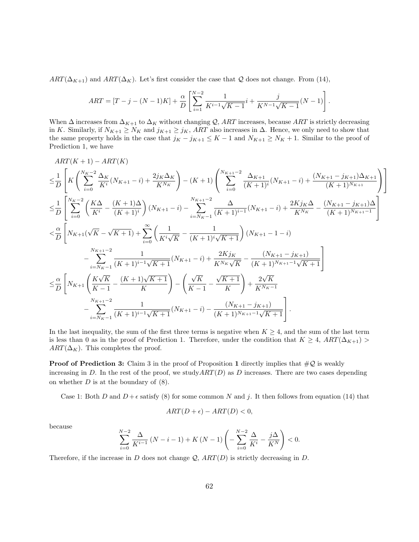$ART(\Delta_{K+1})$  and  $ART(\Delta_K)$ . Let's first consider the case that Q does not change. From (14),

$$
ART = [T - j - (N - 1)K] + \frac{\alpha}{D} \left[ \sum_{i=1}^{N-2} \frac{1}{K^{i-1}\sqrt{K-1}} i + \frac{j}{K^{N-1}\sqrt{K-1}} (N - 1) \right].
$$

When  $\Delta$  increases from  $\Delta_{K+1}$  to  $\Delta_K$  without changing Q, ART increases, because ART is strictly decreasing in K. Similarly, if  $N_{K+1} \ge N_K$  and  $j_{K+1} \ge j_K$ , ART also increases in  $\Delta$ . Hence, we only need to show that the same property holds in the case that  $j_K - j_{K+1} \leq K - 1$  and  $N_{K+1} \geq N_K + 1$ . Similar to the proof of Prediction 1, we have

$$
ART(K + 1) - ART(K)
$$
\n
$$
\leq \frac{1}{D} \left[ K \left( \sum_{i=0}^{N_K - 2} \frac{\Delta_K}{K^i} (N_{K+1} - i) + \frac{2j_K \Delta_K}{K^{N_K}} \right) - (K + 1) \left( \sum_{i=0}^{N_{K+1} - 2} \frac{\Delta_{K+1}}{(K+1)^i} (N_{K+1} - i) + \frac{(N_{K+1} - j_{K+1}) \Delta_{K+1}}{(K+1)^{N_{K+1}}} \right) \right]
$$
\n
$$
\leq \frac{1}{D} \left[ \sum_{i=0}^{N_K - 2} \left( \frac{K \Delta}{K^i} - \frac{(K+1) \Delta}{(K+1)^i} \right) (N_{K+1} - i) - \sum_{i=N_K - 1}^{N_{K+1} - 2} \frac{\Delta}{(K+1)^{i-1}} (N_{K+1} - i) + \frac{2Kj_K \Delta}{K^{N_K}} - \frac{(N_{K+1} - j_{K+1}) \Delta}{(K+1)^{N_{K+1} - 1}} \right]
$$
\n
$$
< \frac{\alpha}{D} \left[ N_{K+1} (\sqrt{K} - \sqrt{K+1}) + \sum_{i=0}^{\infty} \left( \frac{1}{K^i \sqrt{K}} - \frac{1}{(K+1)^i \sqrt{K+1}} \right) (N_{K+1} - 1 - i)
$$
\n
$$
- \sum_{i=N_K - 1}^{N_{K+1} - 2} \frac{1}{(K+1)^{i-1} \sqrt{K+1}} (N_{K+1} - i) + \frac{2Kj_K}{K^{N_K} \sqrt{K}} - \frac{(N_{K+1} - j_{K+1})}{(K+1)^{N_{K+1} - 1} \sqrt{K+1}} \right]
$$
\n
$$
\leq \frac{\alpha}{D} \left[ N_{K+1} \left( \frac{K \sqrt{K}}{K - 1} - \frac{(K+1)\sqrt{K+1}}{K} \right) - \left( \frac{\sqrt{K}}{K - 1} - \frac{\sqrt{K+1}}{K} \right) + \frac{2\sqrt{K}}{K^{N_K - 1}}
$$
\n
$$
- \sum_{i=N_K - 1}^{N_{K+1} - 2} \frac{1}{(K+1)^{i-1} \sqrt
$$

In the last inequality, the sum of the first three terms is negative when  $K \geq 4$ , and the sum of the last term is less than 0 as in the proof of Prediction 1. Therefore, under the condition that  $K \geq 4$ ,  $ART(\Delta_{K+1}) >$  $ART(\Delta_K)$ . This completes the proof.

**Proof of Prediction 3:** Claim 3 in the proof of Proposition 1 directly implies that  $\#\mathcal{Q}$  is weakly increasing in D. In the rest of the proof, we study  $ART(D)$  as D increases. There are two cases depending on whether  $D$  is at the boundary of  $(8)$ .

Case 1: Both D and  $D + \epsilon$  satisfy (8) for some common N and j. It then follows from equation (14) that

$$
ART(D + \epsilon) - ART(D) < 0,
$$

because

$$
\sum_{i=0}^{N-2} \frac{\Delta}{K^{i-1}} (N-i-1) + K (N-1) \left( -\sum_{i=0}^{N-2} \frac{\Delta}{K^i} - \frac{j\Delta}{K^N} \right) < 0.
$$

Therefore, if the increase in D does not change  $Q$ ,  $ART(D)$  is strictly decreasing in D.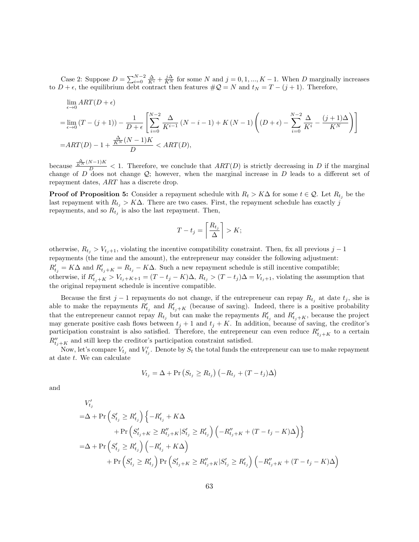Case 2: Suppose  $D = \sum_{i=0}^{N-2} \frac{\Delta}{K^i} + \frac{j\Delta}{K^N}$  for some N and  $j = 0, 1, ..., K - 1$ . When D marginally increases to  $D + \epsilon$ , the equilibrium debt contract then features  $\#\mathcal{Q} = N$  and  $t_N = T - (j + 1)$ . Therefore,

$$
\lim_{\epsilon \to 0} ART(D + \epsilon)
$$
\n
$$
= \lim_{\epsilon \to 0} (T - (j+1)) - \frac{1}{D + \epsilon} \left[ \sum_{i=0}^{N-2} \frac{\Delta}{K^{i-1}} (N - i - 1) + K (N - 1) \left( (D + \epsilon) - \sum_{i=0}^{N-2} \frac{\Delta}{K^i} - \frac{(j+1)\Delta}{K^N} \right) \right]
$$
\n
$$
= ART(D) - 1 + \frac{\frac{\Delta}{K^N} (N-1)K}{D} < ART(D),
$$

because  $\frac{\Delta N(N-1)K}{D}$  < 1. Therefore, we conclude that  $ART(D)$  is strictly decreasing in D if the marginal change of  $D$  does not change  $Q$ ; however, when the marginal increase in  $D$  leads to a different set of repayment dates, ART has a discrete drop.

**Proof of Proposition 5:** Consider a repayment schedule with  $R_t > K\Delta$  for some  $t \in \mathcal{Q}$ . Let  $R_{t_i}$  be the last repayment with  $R_{t_j} > K\Delta$ . There are two cases. First, the repayment schedule has exactly j repayments, and so  $R_{t_j}$  is also the last repayment. Then,

$$
T-t_j = \left\lceil \frac{R_{t_j}}{\Delta} \right\rceil > K;
$$

otherwise,  $R_{t_i} > V_{t_i+1}$ , violating the incentive compatibility constraint. Then, fix all previous j – 1 repayments (the time and the amount), the entrepreneur may consider the following adjustment:  $R'_{t_j} = K\Delta$  and  $R'_{t_j+K} = R_{t_j} - K\Delta$ . Such a new repayment schedule is still incentive compatible; otherwise, if  $R'_{t_j+K} > V_{t_j+K+1} = (T-t_j-K)\Delta$ ,  $R_{t_j} > (T-t_j)\Delta = V_{t_j+1}$ , violating the assumption that the original repayment schedule is incentive compatible.

Because the first j – 1 repayments do not change, if the entrepreneur can repay  $R_{t_j}$  at date  $t_j$ , she is able to make the repayments  $R'_{t_j}$  and  $R'_{t_j+K}$  (because of saving). Indeed, there is a positive probability that the entrepreneur cannot repay  $R_{t_j}$  but can make the repayments  $R'_{t_j}$  and  $R'_{t_j+K}$ , because the project may generate positive cash flows between  $t_j + 1$  and  $t_j + K$ . In addition, because of saving, the creditor's participation constraint is also satisfied. Therefore, the entrepreneur can even reduce  $R'_{t_j+K}$  to a certain  $R_{t_j+K}''$  and still keep the creditor's participation constraint satisfied.

Now, let's compare  $V_{t_j}$  and  $V'_{t_j}$ . Denote by  $S_t$  the total funds the entrepreneur can use to make repayment at date t. We can calculate

$$
V_{t_j} = \Delta + \Pr(S_{t_j} \ge R_{t_j}) \left( -R_{t_j} + (T - t_j)\Delta \right)
$$

and

$$
V'_{t_j}
$$
  
= $\Delta$  + Pr  $(S'_{t_j} \ge R'_{t_j})$   $\{-R'_{t_j} + K\Delta$   
+ Pr  $(S'_{t_j+K} \ge R''_{t_j+K}|S'_{t_j} \ge R'_{t_j})$   $(-R''_{t_j+K} + (T - t_j - K)\Delta)$   
= $\Delta$  + Pr  $(S'_{t_j} \ge R'_{t_j})$   $(-R'_{t_j} + K\Delta)$   
+ Pr  $(S'_{t_j} \ge R'_{t_j})$  Pr  $(S'_{t_j+K} \ge R''_{t_j+K}|S'_{t_j} \ge R'_{t_j})$   $(-R''_{t_j+K} + (T - t_j - K)\Delta)$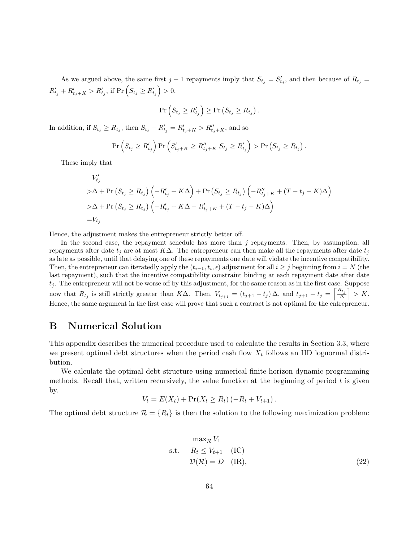As we argued above, the same first  $j-1$  repayments imply that  $S_{t_j} = S'_{t_j}$ , and then because of  $R_{t_j} =$  $R'_{t_j} + R'_{t_j+K} > R'_{t_j}$ , if Pr $(S_{t_j} \ge R'_{t_j}) > 0$ ,

$$
\Pr\left(S_{t_j} \ge R_{t_j}'\right) \ge \Pr\left(S_{t_j} \ge R_{t_j}\right).
$$

In addition, if  $S_{t_j} \ge R_{t_j}$ , then  $S_{t_j} - R'_{t_j} = R'_{t_j+K} > R''_{t_j+K}$ , and so

$$
\Pr\left(S_{t_j} \ge R'_{t_j}\right) \Pr\left(S'_{t_j+K} \ge R''_{t_j+K} | S_{t_j} \ge R'_{t_j}\right) > \Pr\left(S_{t_j} \ge R_{t_j}\right).
$$

These imply that

$$
V'_{t_j}
$$
  
\n
$$
\geq \Delta + \Pr(S_{t_j} \geq R_{t_j}) \left( -R'_{t_j} + K\Delta \right) + \Pr(S_{t_j} \geq R_{t_j}) \left( -R''_{t_j+K} + (T - t_j - K)\Delta \right)
$$
  
\n
$$
\geq \Delta + \Pr(S_{t_j} \geq R_{t_j}) \left( -R'_{t_j} + K\Delta - R'_{t_j+K} + (T - t_j - K)\Delta \right)
$$
  
\n
$$
= V_{t_j}
$$

Hence, the adjustment makes the entrepreneur strictly better off.

In the second case, the repayment schedule has more than j repayments. Then, by assumption, all repayments after date  $t_j$  are at most K $\Delta$ . The entrepreneur can then make all the repayments after date  $t_j$ as late as possible, until that delaying one of these repayments one date will violate the incentive compatibility. Then, the entrepreneur can iteratedly apply the  $(t_{i-1}, t_i, \epsilon)$  adjustment for all  $i \geq j$  beginning from  $i = N$  (the last repayment), such that the incentive compatibility constraint binding at each repayment date after date  $t_j$ . The entrepreneur will not be worse off by this adjustment, for the same reason as in the first case. Suppose now that  $R_{t_j}$  is still strictly greater than  $K\Delta$ . Then,  $V_{t_{j+1}} = (t_{j+1} - t_j) \Delta$ , and  $t_{j+1} - t_j = \left\lceil \frac{R_{t_j}}{\Delta} \right\rceil > K$ . Hence, the same argument in the first case will prove that such a contract is not optimal for the entrepreneur.

# B Numerical Solution

This appendix describes the numerical procedure used to calculate the results in Section 3.3, where we present optimal debt structures when the period cash flow  $X_t$  follows an IID lognormal distribution.

We calculate the optimal debt structure using numerical finite-horizon dynamic programming methods. Recall that, written recursively, the value function at the beginning of period t is given by.

$$
V_t = E(X_t) + \Pr(X_t \ge R_t) (-R_t + V_{t+1}).
$$

The optimal debt structure  $\mathcal{R} = \{R_t\}$  is then the solution to the following maximization problem:

$$
\max_{\mathcal{R}} V_1
$$
  
s.t.  $R_t \le V_{t+1}$  (IC)  

$$
\mathcal{D}(\mathcal{R}) = D
$$
 (IR), (22)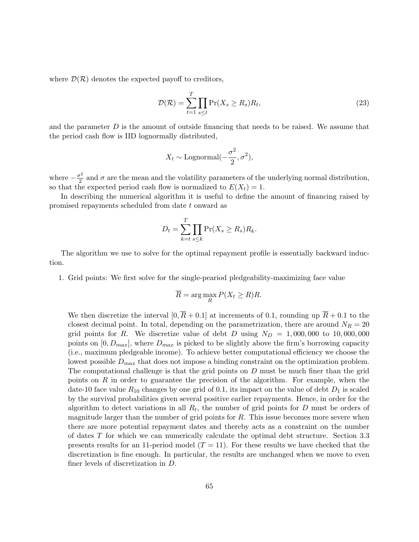where  $\mathcal{D}(\mathcal{R})$  denotes the expected payoff to creditors,

$$
\mathcal{D}(\mathcal{R}) = \sum_{t=1}^{T} \prod_{s \le t} \Pr(X_s \ge R_s) R_t,
$$
\n(23)

and the parameter  $D$  is the amount of outside financing that needs to be raised. We assume that the period cash flow is IID lognormally distributed,

$$
X_t \sim \text{Lognormal}(-\frac{\sigma^2}{2}, \sigma^2),
$$

where  $-\frac{\sigma^2}{2}$  $\frac{\sigma^2}{2}$  and  $\sigma$  are the mean and the volatility parameters of the underlying normal distribution, so that the expected period cash flow is normalized to  $E(X_t) = 1$ .

In describing the numerical algorithm it is useful to define the amount of financing raised by promised repayments scheduled from date t onward as

$$
D_t = \sum_{k=t}^{T} \prod_{s \leq k} \Pr(X_s \geq R_s) R_k.
$$

The algorithm we use to solve for the optimal repayment profile is essentially backward induction.

1. Grid points: We first solve for the single-peariod pledgeability-maximizing face value

$$
\overline{R} = \arg\max_{R} P(X_t \ge R)R.
$$

We then discretize the interval  $[0, \overline{R} + 0.1]$  at increments of 0.1, rounding up  $\overline{R} + 0.1$  to the closest decimal point. In total, depending on the parametrization, there are around  $N_R = 20$ grid points for R. We discretize value of debt D using  $N_D = 1,000,000$  to 10,000,000 points on  $[0, D_{max}]$ , where  $D_{max}$  is picked to be slightly above the firm's borrowing capacity (i.e., maximum pledgeable income). To achieve better computational efficiency we choose the lowest possible  $D_{max}$  that does not impose a binding constraint on the optimization problem. The computational challenge is that the grid points on D must be much finer than the grid points on  $R$  in order to guarantee the precision of the algorithm. For example, when the date-10 face value  $R_{10}$  changes by one grid of 0.1, its impact on the value of debt  $D_1$  is scaled by the survival probabilities given several positive earlier repayments. Hence, in order for the algorithm to detect variations in all  $R_t$ , the number of grid points for  $D$  must be orders of magnitude larger than the number of grid points for  $R$ . This issue becomes more severe when there are more potential repayment dates and thereby acts as a constraint on the number of dates T for which we can numerically calculate the optimal debt structure. Section 3.3 presents results for an 11-period model  $(T = 11)$ . For these results we have checked that the discretization is fine enough. In particular, the results are unchanged when we move to even finer levels of discretization in D.